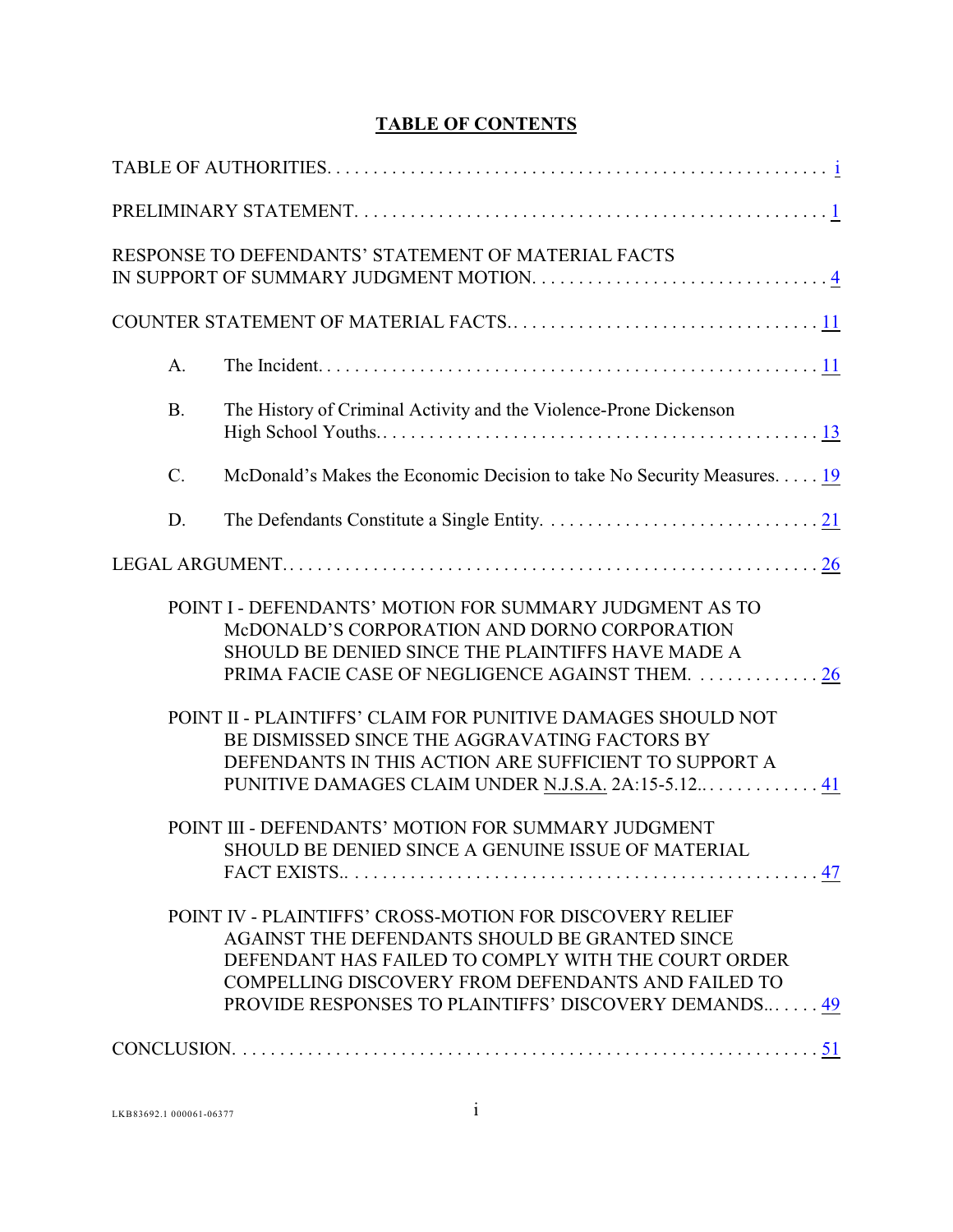## **TABLE OF CONTENTS**

|           | RESPONSE TO DEFENDANTS' STATEMENT OF MATERIAL FACTS                                                                                                                                                                                                                              |
|-----------|----------------------------------------------------------------------------------------------------------------------------------------------------------------------------------------------------------------------------------------------------------------------------------|
|           |                                                                                                                                                                                                                                                                                  |
| A.        |                                                                                                                                                                                                                                                                                  |
| <b>B.</b> | The History of Criminal Activity and the Violence-Prone Dickenson                                                                                                                                                                                                                |
| $C$ .     | McDonald's Makes the Economic Decision to take No Security Measures. 19                                                                                                                                                                                                          |
| D.        |                                                                                                                                                                                                                                                                                  |
|           |                                                                                                                                                                                                                                                                                  |
|           | POINT I - DEFENDANTS' MOTION FOR SUMMARY JUDGMENT AS TO<br>McDONALD'S CORPORATION AND DORNO CORPORATION<br>SHOULD BE DENIED SINCE THE PLAINTIFFS HAVE MADE A<br>PRIMA FACIE CASE OF NEGLIGENCE AGAINST THEM.  26                                                                 |
|           | POINT II - PLAINTIFFS' CLAIM FOR PUNITIVE DAMAGES SHOULD NOT<br>BE DISMISSED SINCE THE AGGRAVATING FACTORS BY<br>DEFENDANTS IN THIS ACTION ARE SUFFICIENT TO SUPPORT A<br>PUNITIVE DAMAGES CLAIM UNDER N.J.S.A. 2A:15-5.12 41                                                    |
|           | POINT III - DEFENDANTS' MOTION FOR SUMMARY JUDGMENT<br>SHOULD BE DENIED SINCE A GENUINE ISSUE OF MATERIAL                                                                                                                                                                        |
|           | POINT IV - PLAINTIFFS' CROSS-MOTION FOR DISCOVERY RELIEF<br>AGAINST THE DEFENDANTS SHOULD BE GRANTED SINCE<br>DEFENDANT HAS FAILED TO COMPLY WITH THE COURT ORDER<br>COMPELLING DISCOVERY FROM DEFENDANTS AND FAILED TO<br>PROVIDE RESPONSES TO PLAINTIFFS' DISCOVERY DEMANDS 49 |
|           |                                                                                                                                                                                                                                                                                  |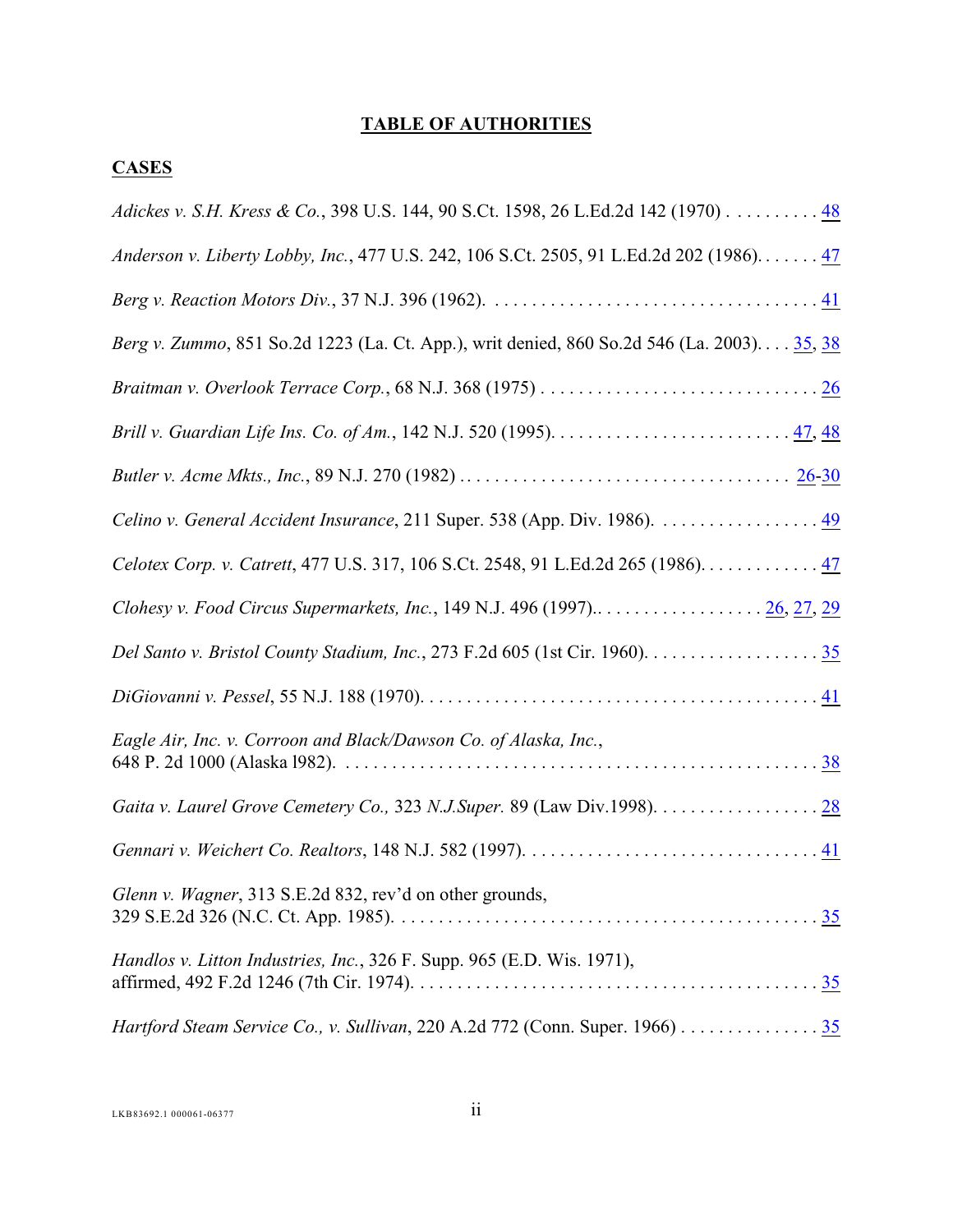## <span id="page-1-0"></span>**TABLE OF AUTHORITIES**

## **CASES**

| Adickes v. S.H. Kress & Co., 398 U.S. 144, 90 S.Ct. 1598, 26 L.Ed.2d 142 (1970) 48         |
|--------------------------------------------------------------------------------------------|
| Anderson v. Liberty Lobby, Inc., 477 U.S. 242, 106 S.Ct. 2505, 91 L.Ed.2d 202 (1986) 47    |
|                                                                                            |
| Berg v. Zummo, 851 So.2d 1223 (La. Ct. App.), writ denied, 860 So.2d 546 (La. 2003) 35, 38 |
|                                                                                            |
|                                                                                            |
|                                                                                            |
| Celino v. General Accident Insurance, 211 Super. 538 (App. Div. 1986). 49                  |
| Celotex Corp. v. Catrett, 477 U.S. 317, 106 S.Ct. 2548, 91 L.Ed.2d 265 (1986). 47          |
| Clohesy v. Food Circus Supermarkets, Inc., 149 N.J. 496 (1997) 26, 27, 29                  |
|                                                                                            |
|                                                                                            |
| Eagle Air, Inc. v. Corroon and Black/Dawson Co. of Alaska, Inc.,                           |
|                                                                                            |
|                                                                                            |
| Glenn v. Wagner, 313 S.E.2d 832, rev'd on other grounds,                                   |
| Handlos v. Litton Industries, Inc., 326 F. Supp. 965 (E.D. Wis. 1971),                     |
| Hartford Steam Service Co., v. Sullivan, 220 A.2d 772 (Conn. Super. 1966) 35               |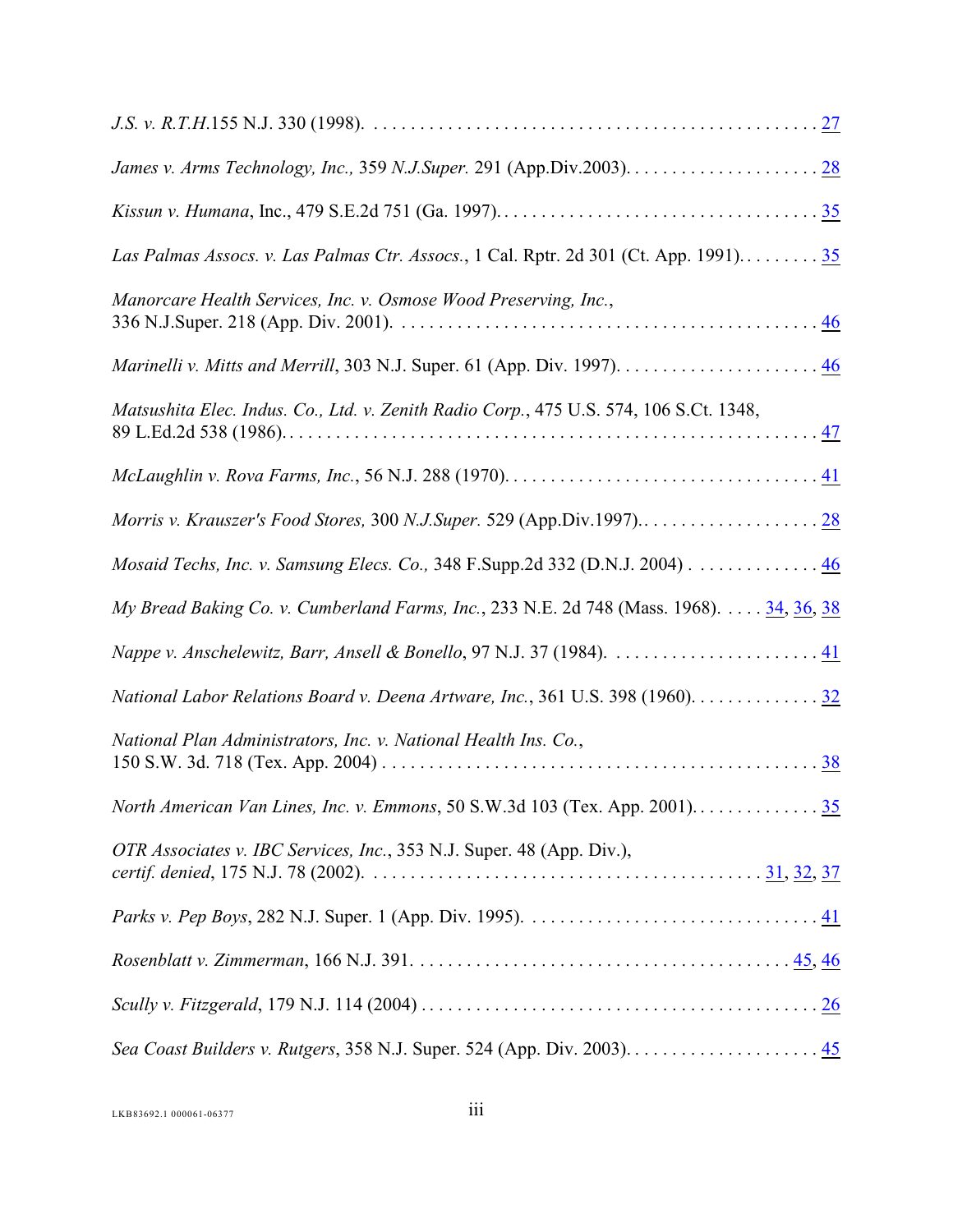| Las Palmas Assocs. v. Las Palmas Ctr. Assocs., 1 Cal. Rptr. 2d 301 (Ct. App. 1991) 35   |
|-----------------------------------------------------------------------------------------|
| Manorcare Health Services, Inc. v. Osmose Wood Preserving, Inc.,                        |
|                                                                                         |
| Matsushita Elec. Indus. Co., Ltd. v. Zenith Radio Corp., 475 U.S. 574, 106 S.Ct. 1348,  |
|                                                                                         |
|                                                                                         |
| Mosaid Techs, Inc. v. Samsung Elecs. Co., 348 F.Supp.2d 332 (D.N.J. 2004) 46            |
| My Bread Baking Co. v. Cumberland Farms, Inc., 233 N.E. 2d 748 (Mass. 1968). 34, 36, 38 |
|                                                                                         |
| National Labor Relations Board v. Deena Artware, Inc., 361 U.S. 398 (1960). 32          |
| National Plan Administrators, Inc. v. National Health Ins. Co.,                         |
|                                                                                         |
| OTR Associates v. IBC Services, Inc., 353 N.J. Super. 48 (App. Div.),                   |
|                                                                                         |
|                                                                                         |
|                                                                                         |
|                                                                                         |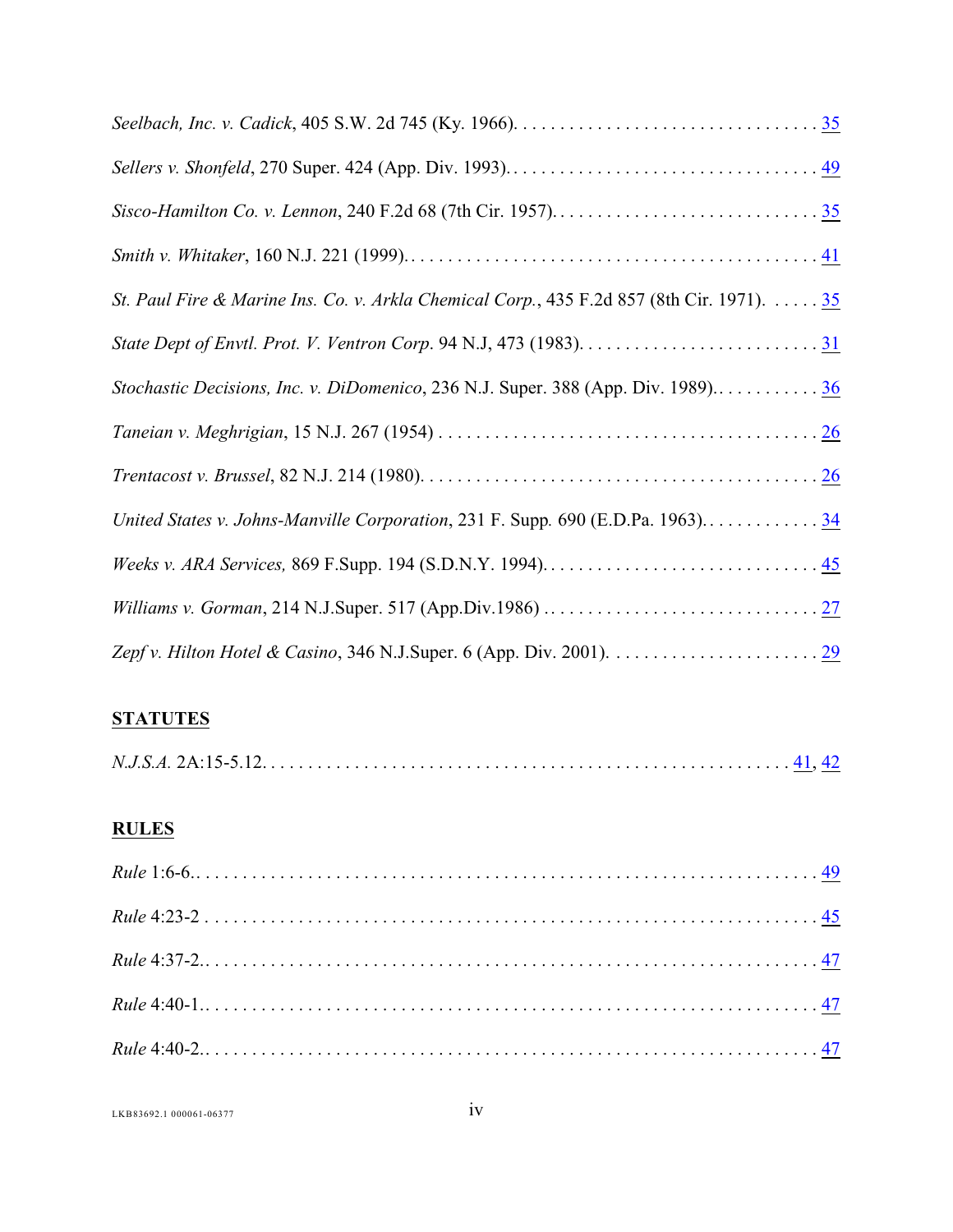| St. Paul Fire & Marine Ins. Co. v. Arkla Chemical Corp., 435 F.2d 857 (8th Cir. 1971). 35 |
|-------------------------------------------------------------------------------------------|
|                                                                                           |
| Stochastic Decisions, Inc. v. DiDomenico, 236 N.J. Super. 388 (App. Div. 1989)36          |
|                                                                                           |
|                                                                                           |
| United States v. Johns-Manville Corporation, 231 F. Supp. 690 (E.D.Pa. 1963)34            |
|                                                                                           |
|                                                                                           |
|                                                                                           |

## **STATUTES**

|--|--|--|

## **RULES**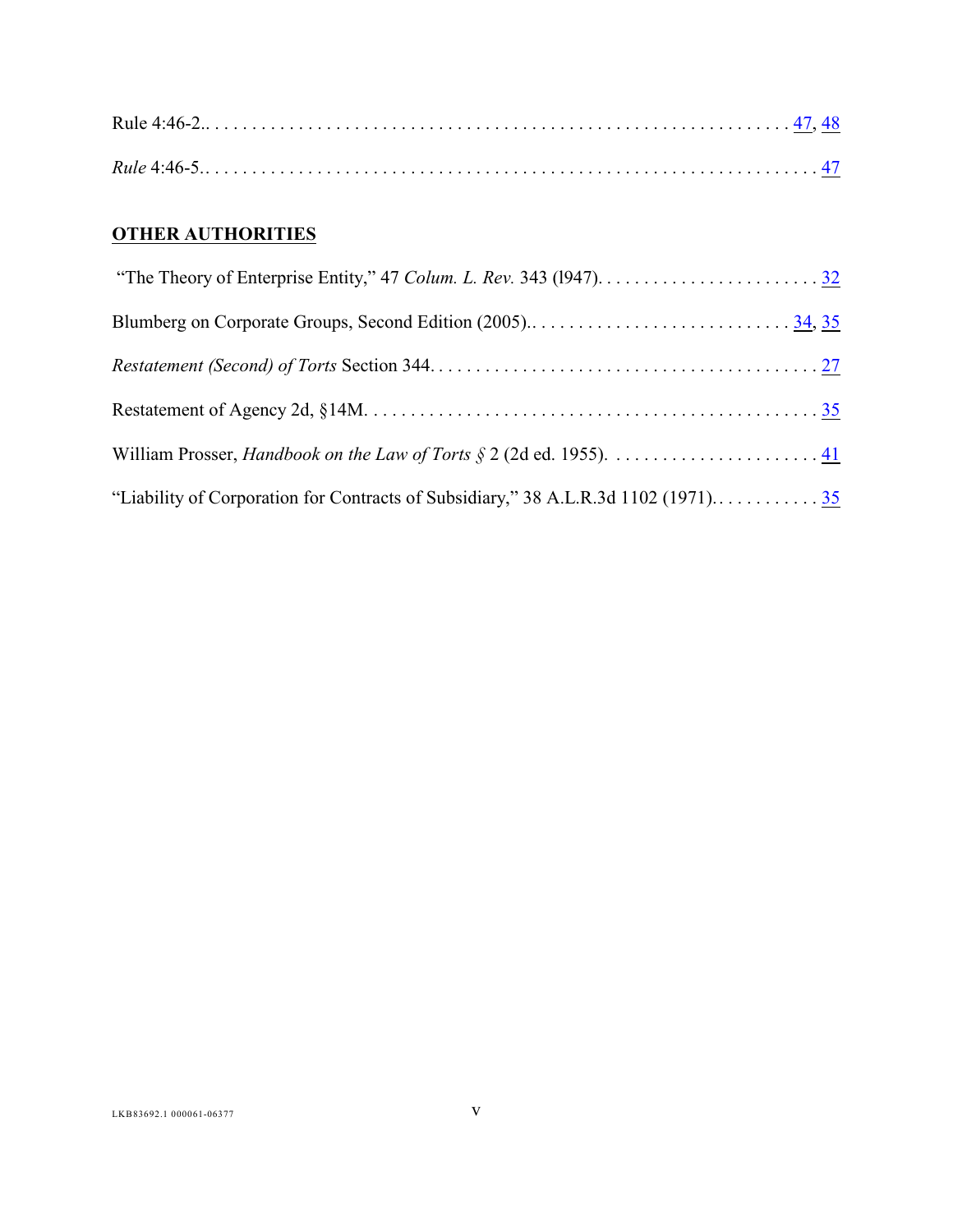# **OTHER AUTHORITIES**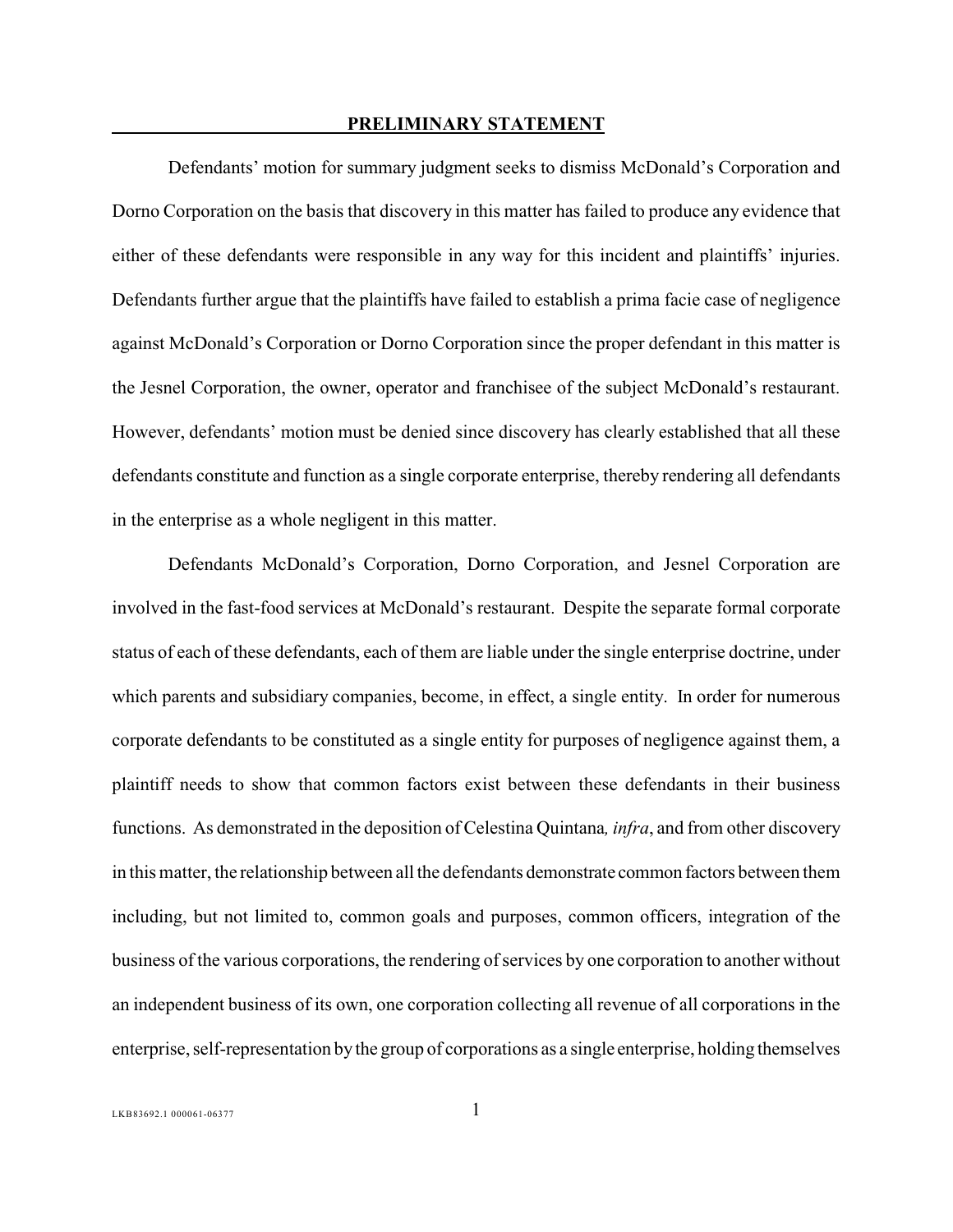#### **PRELIMINARY STATEMENT**

<span id="page-5-0"></span>Defendants' motion for summary judgment seeks to dismiss McDonald's Corporation and Dorno Corporation on the basis that discovery in this matter has failed to produce any evidence that either of these defendants were responsible in any way for this incident and plaintiffs' injuries. Defendants further argue that the plaintiffs have failed to establish a prima facie case of negligence against McDonald's Corporation or Dorno Corporation since the proper defendant in this matter is the Jesnel Corporation, the owner, operator and franchisee of the subject McDonald's restaurant. However, defendants' motion must be denied since discovery has clearly established that all these defendants constitute and function as a single corporate enterprise, thereby rendering all defendants in the enterprise as a whole negligent in this matter.

Defendants McDonald's Corporation, Dorno Corporation, and Jesnel Corporation are involved in the fast-food services at McDonald's restaurant. Despite the separate formal corporate status of each of these defendants, each of them are liable under the single enterprise doctrine, under which parents and subsidiary companies, become, in effect, a single entity. In order for numerous corporate defendants to be constituted as a single entity for purposes of negligence against them, a plaintiff needs to show that common factors exist between these defendants in their business functions. As demonstrated in the deposition of Celestina Quintana*, infra*, and from other discovery in this matter, the relationship between all the defendants demonstrate common factors between them including, but not limited to, common goals and purposes, common officers, integration of the business of the various corporations, the rendering of services by one corporation to another without an independent business of its own, one corporation collecting all revenue of all corporations in the enterprise, self-representation by the group of corporations as a single enterprise, holding themselves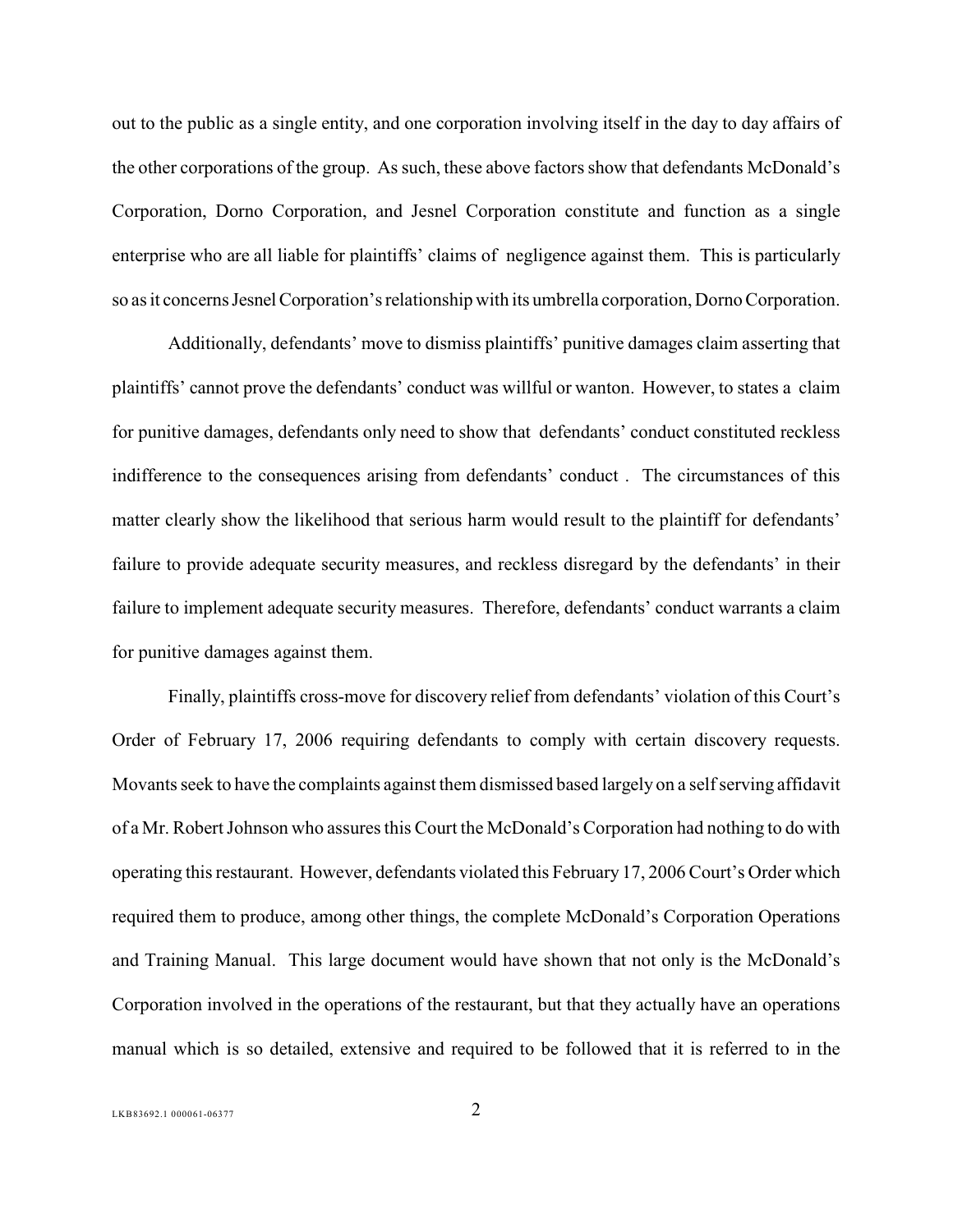out to the public as a single entity, and one corporation involving itself in the day to day affairs of the other corporations of the group. As such, these above factors show that defendants McDonald's Corporation, Dorno Corporation, and Jesnel Corporation constitute and function as a single enterprise who are all liable for plaintiffs' claims of negligence against them. This is particularly so as it concerns Jesnel Corporation's relationship with its umbrella corporation, Dorno Corporation.

Additionally, defendants' move to dismiss plaintiffs' punitive damages claim asserting that plaintiffs' cannot prove the defendants' conduct was willful or wanton. However, to states a claim for punitive damages, defendants only need to show that defendants' conduct constituted reckless indifference to the consequences arising from defendants' conduct . The circumstances of this matter clearly show the likelihood that serious harm would result to the plaintiff for defendants' failure to provide adequate security measures, and reckless disregard by the defendants' in their failure to implement adequate security measures. Therefore, defendants' conduct warrants a claim for punitive damages against them.

Finally, plaintiffs cross-move for discovery relief from defendants' violation of this Court's Order of February 17, 2006 requiring defendants to comply with certain discovery requests. Movants seek to have the complaints against them dismissed based largely on a self serving affidavit of a Mr. RobertJohnson who assures this Court the McDonald's Corporation had nothing to do with operating this restaurant. However, defendants violated this February 17, 2006 Court's Order which required them to produce, among other things, the complete McDonald's Corporation Operations and Training Manual. This large document would have shown that not only is the McDonald's Corporation involved in the operations of the restaurant, but that they actually have an operations manual which is so detailed, extensive and required to be followed that it is referred to in the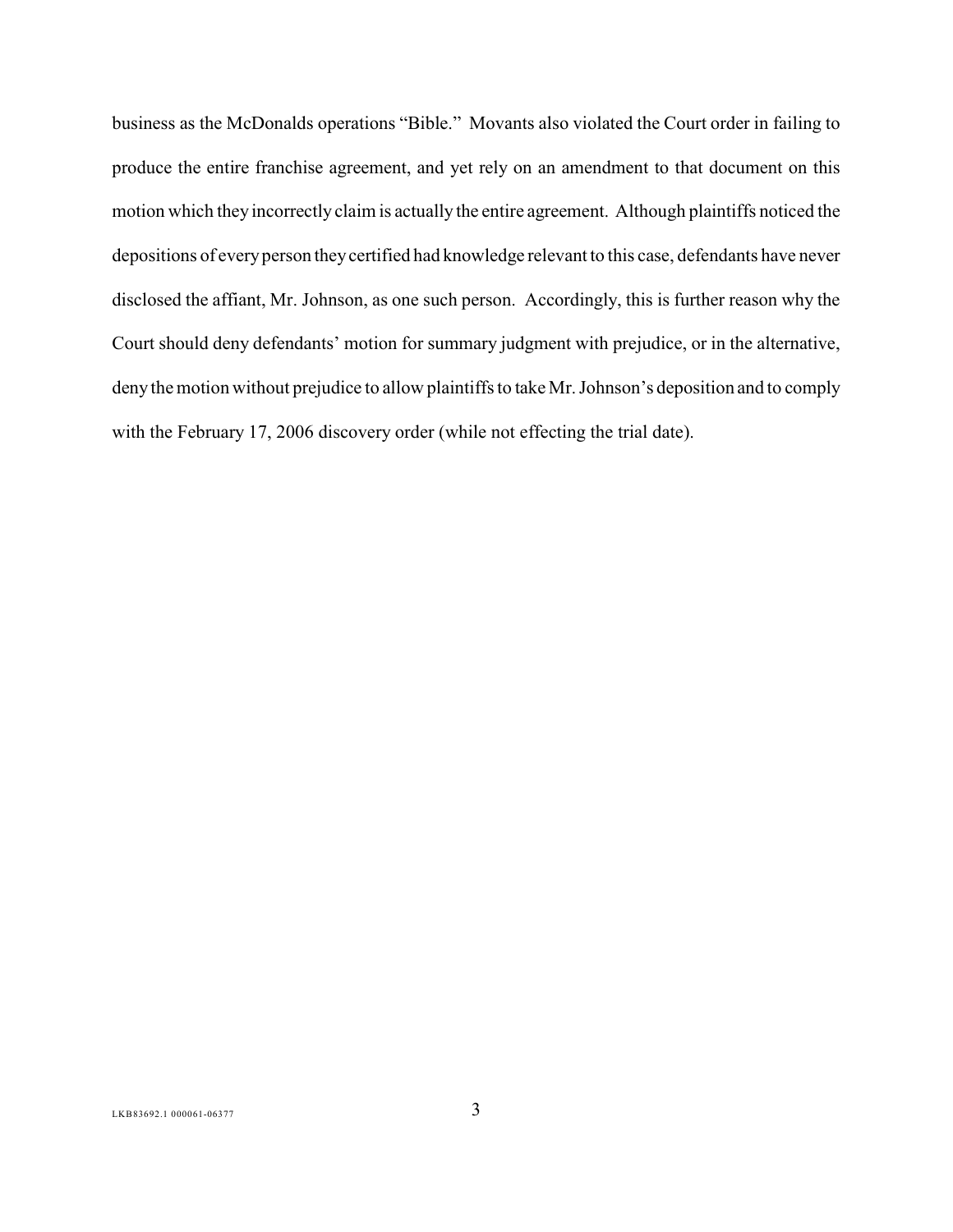business as the McDonalds operations "Bible." Movants also violated the Court order in failing to produce the entire franchise agreement, and yet rely on an amendment to that document on this motion which they incorrectly claim is actually the entire agreement. Although plaintiffs noticed the depositions of every person they certified had knowledge relevant to this case, defendants have never disclosed the affiant, Mr. Johnson, as one such person. Accordingly, this is further reason why the Court should deny defendants' motion for summary judgment with prejudice, or in the alternative, deny the motion without prejudice to allow plaintiffs to take Mr. Johnson's deposition and to comply with the February 17, 2006 discovery order (while not effecting the trial date).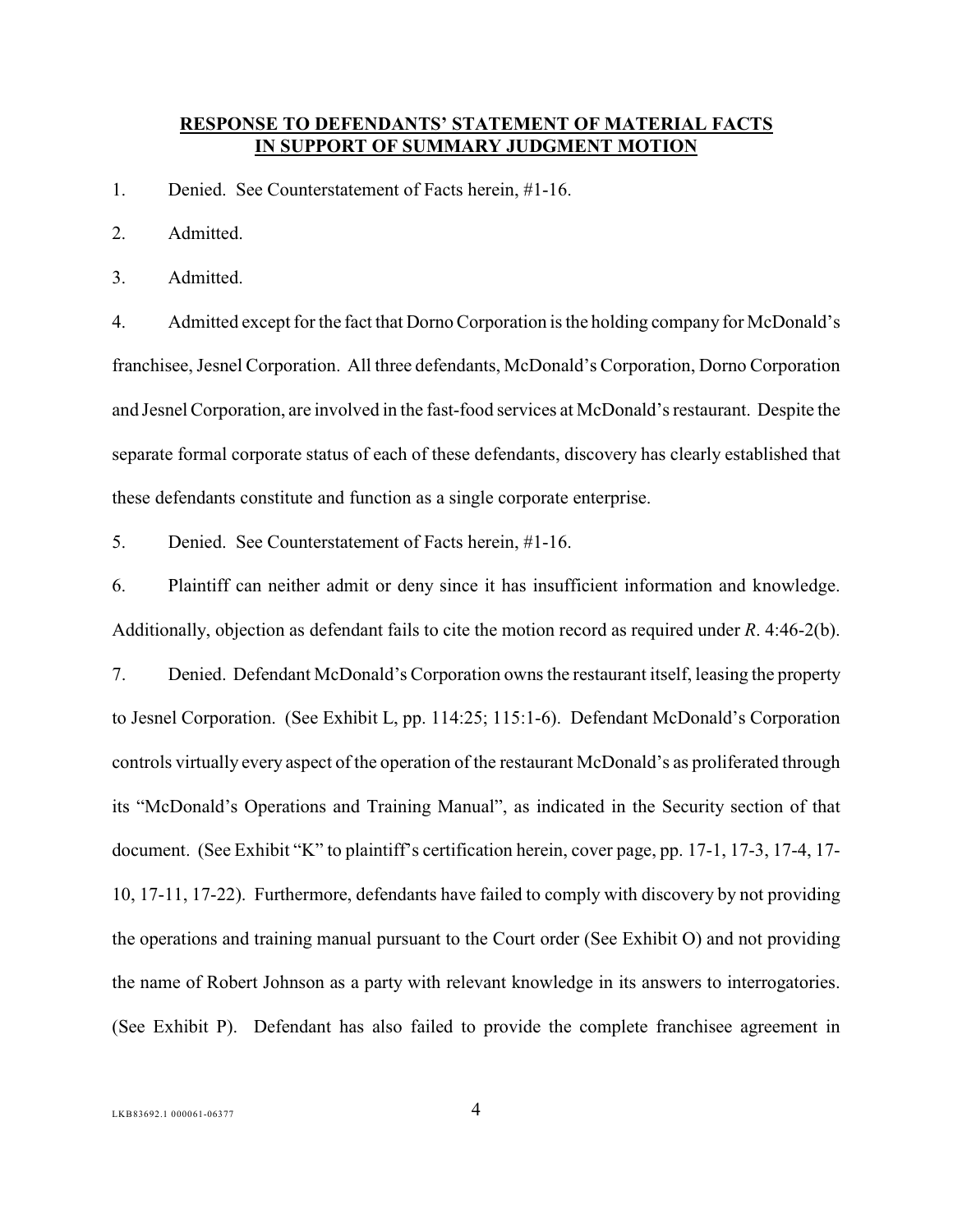### <span id="page-8-0"></span>**RESPONSE TO DEFENDANTS' STATEMENT OF MATERIAL FACTS IN SUPPORT OF SUMMARY JUDGMENT MOTION**

1. Denied. See Counterstatement of Facts herein, #1-16.

2. Admitted.

3. Admitted.

4. Admitted except for the fact that Dorno Corporation is the holding company for McDonald's franchisee, Jesnel Corporation. All three defendants, McDonald's Corporation, Dorno Corporation and Jesnel Corporation, are involved in the fast-food services at McDonald's restaurant. Despite the separate formal corporate status of each of these defendants, discovery has clearly established that these defendants constitute and function as a single corporate enterprise.

5. Denied. See Counterstatement of Facts herein, #1-16.

6. Plaintiff can neither admit or deny since it has insufficient information and knowledge. Additionally, objection as defendant fails to cite the motion record as required under *R*. 4:46-2(b).

7. Denied. Defendant McDonald's Corporation owns the restaurant itself, leasing the property to Jesnel Corporation. (See Exhibit L, pp. 114:25; 115:1-6). Defendant McDonald's Corporation controls virtually every aspect of the operation of the restaurant McDonald's as proliferated through its "McDonald's Operations and Training Manual", as indicated in the Security section of that document. (See Exhibit "K" to plaintiff's certification herein, cover page, pp. 17-1, 17-3, 17-4, 17- 10, 17-11, 17-22). Furthermore, defendants have failed to comply with discovery by not providing the operations and training manual pursuant to the Court order (See Exhibit O) and not providing the name of Robert Johnson as a party with relevant knowledge in its answers to interrogatories. (See Exhibit P). Defendant has also failed to provide the complete franchisee agreement in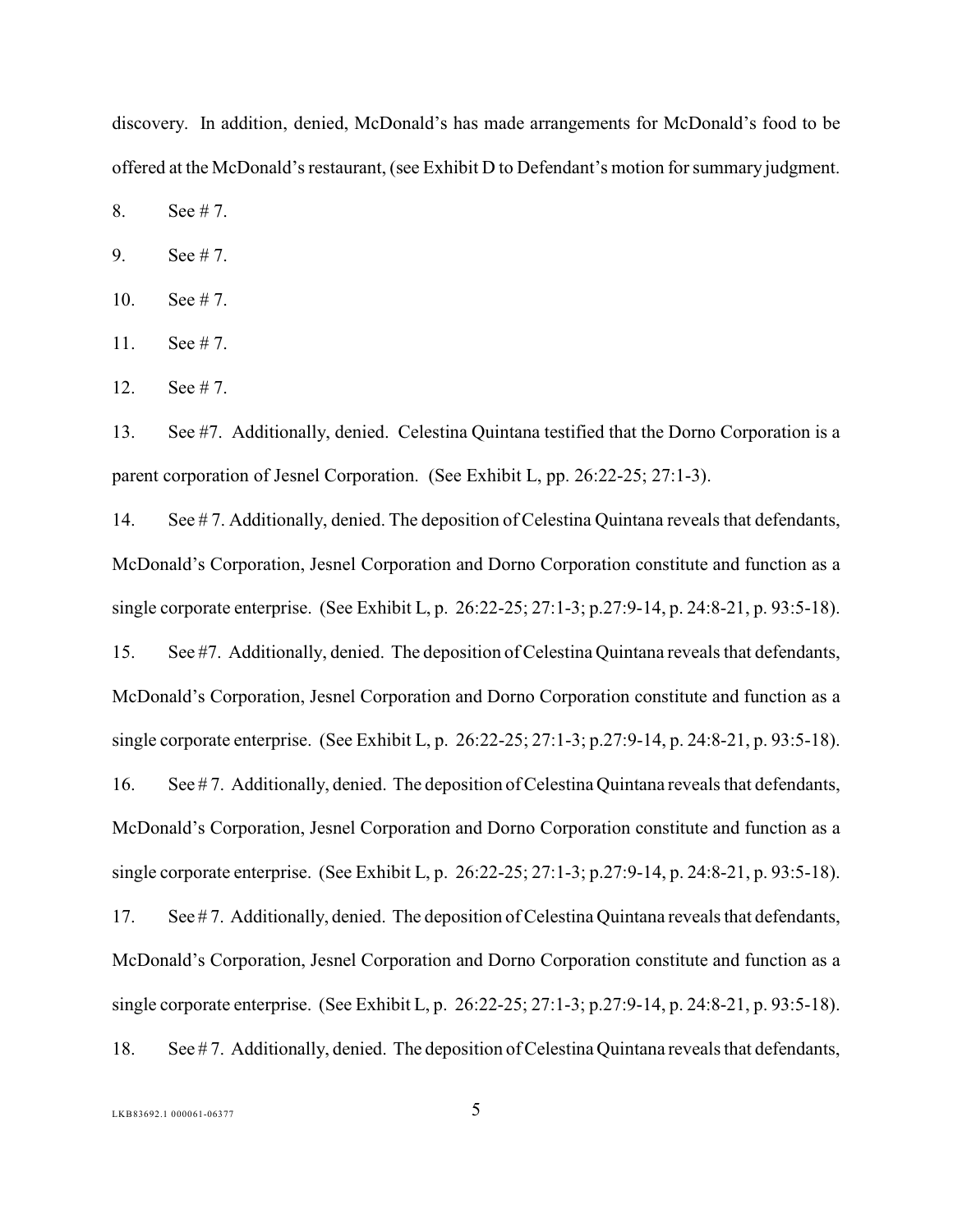discovery. In addition, denied, McDonald's has made arrangements for McDonald's food to be offered at the McDonald's restaurant, (see Exhibit D to Defendant's motion for summary judgment.

8. See # 7.

9. See # 7.

- 10. See # 7.
- 11. See # 7.
- 12. See # 7.

13. See #7. Additionally, denied. Celestina Quintana testified that the Dorno Corporation is a parent corporation of Jesnel Corporation. (See Exhibit L, pp. 26:22-25; 27:1-3).

14. See # 7. Additionally, denied. The deposition of Celestina Quintana reveals that defendants, McDonald's Corporation, Jesnel Corporation and Dorno Corporation constitute and function as a single corporate enterprise. (See Exhibit L, p. 26:22-25; 27:1-3; p.27:9-14, p. 24:8-21, p. 93:5-18). 15. See #7. Additionally, denied. The deposition ofCelestina Quintana reveals that defendants, McDonald's Corporation, Jesnel Corporation and Dorno Corporation constitute and function as a single corporate enterprise. (See Exhibit L, p. 26:22-25; 27:1-3; p.27:9-14, p. 24:8-21, p. 93:5-18). 16. See #7. Additionally, denied. The deposition of Celestina Quintana reveals that defendants, McDonald's Corporation, Jesnel Corporation and Dorno Corporation constitute and function as a single corporate enterprise. (See Exhibit L, p. 26:22-25; 27:1-3; p.27:9-14, p. 24:8-21, p. 93:5-18). 17. See #7. Additionally, denied. The deposition of Celestina Quintana reveals that defendants, McDonald's Corporation, Jesnel Corporation and Dorno Corporation constitute and function as a single corporate enterprise. (See Exhibit L, p. 26:22-25; 27:1-3; p.27:9-14, p. 24:8-21, p. 93:5-18). 18. See # 7. Additionally, denied. The deposition of Celestina Quintana reveals that defendants,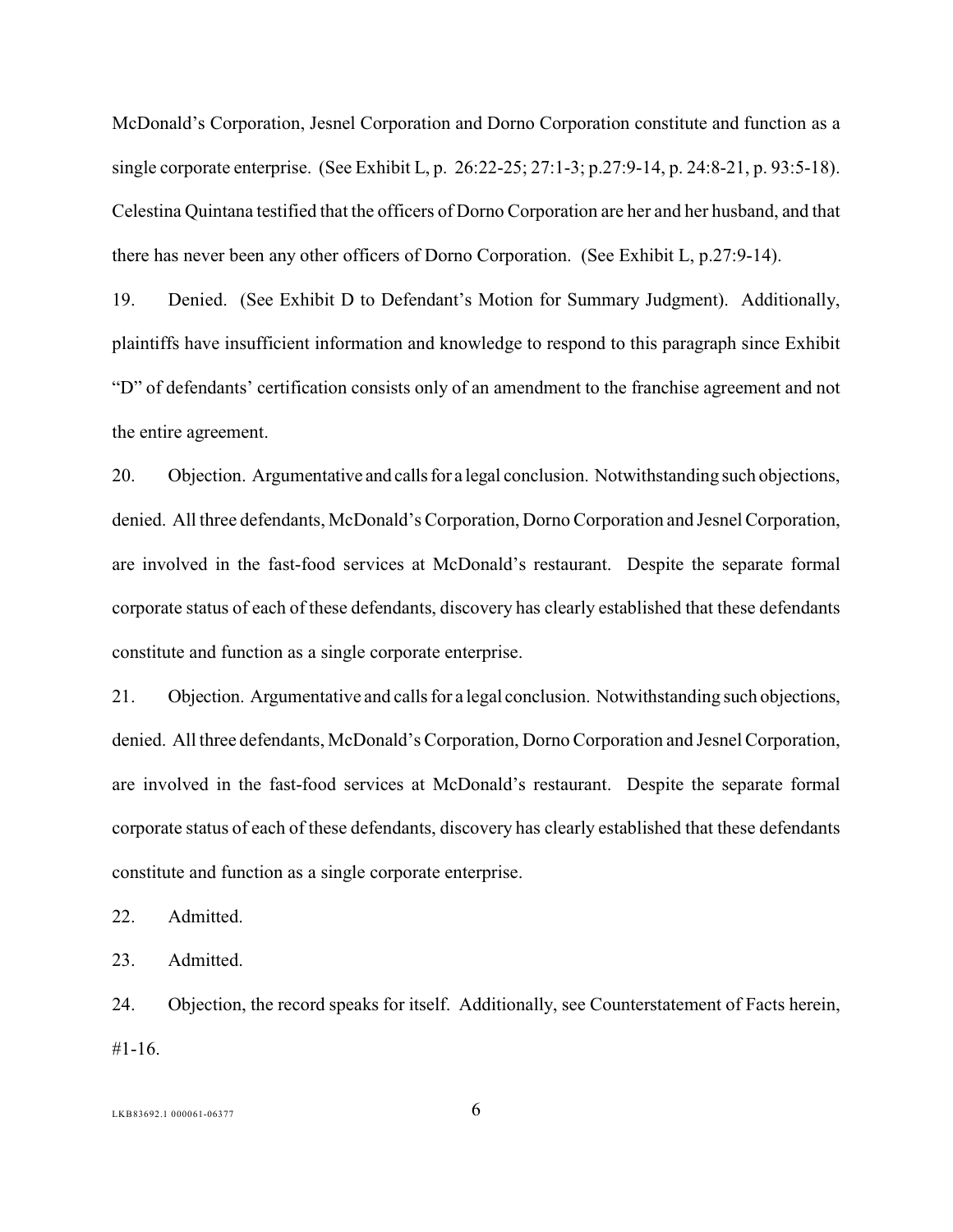McDonald's Corporation, Jesnel Corporation and Dorno Corporation constitute and function as a single corporate enterprise. (See Exhibit L, p. 26:22-25; 27:1-3; p.27:9-14, p. 24:8-21, p. 93:5-18). Celestina Quintana testified that the officers of Dorno Corporation are her and her husband, and that there has never been any other officers of Dorno Corporation. (See Exhibit L, p.27:9-14).

19. Denied. (See Exhibit D to Defendant's Motion for Summary Judgment). Additionally, plaintiffs have insufficient information and knowledge to respond to this paragraph since Exhibit "D" of defendants' certification consists only of an amendment to the franchise agreement and not the entire agreement.

20. Objection. Argumentative and calls for a legal conclusion. Notwithstanding such objections, denied. All three defendants, McDonald's Corporation, Dorno Corporation and Jesnel Corporation, are involved in the fast-food services at McDonald's restaurant. Despite the separate formal corporate status of each of these defendants, discovery has clearly established that these defendants constitute and function as a single corporate enterprise.

21. Objection. Argumentative and calls for a legal conclusion. Notwithstanding such objections, denied. All three defendants, McDonald's Corporation, Dorno Corporation and Jesnel Corporation, are involved in the fast-food services at McDonald's restaurant. Despite the separate formal corporate status of each of these defendants, discovery has clearly established that these defendants constitute and function as a single corporate enterprise.

22. Admitted.

23. Admitted.

24. Objection, the record speaks for itself. Additionally, see Counterstatement of Facts herein, #1-16.

 $LKB83692.1\ 000061-06377$  6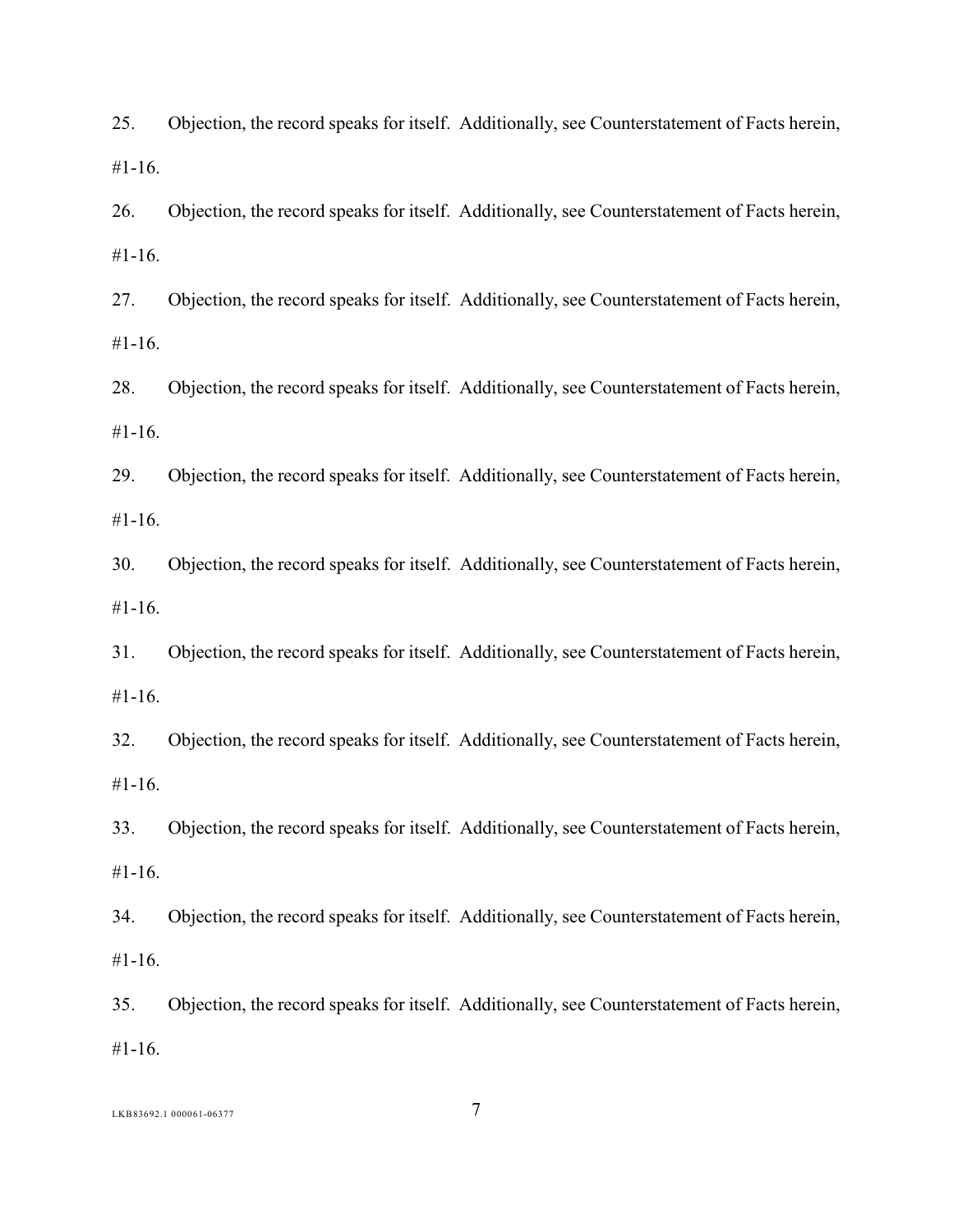25. Objection, the record speaks for itself. Additionally, see Counterstatement of Facts herein, #1-16.

26. Objection, the record speaks for itself. Additionally, see Counterstatement of Facts herein, #1-16.

27. Objection, the record speaks for itself. Additionally, see Counterstatement of Facts herein, #1-16.

28. Objection, the record speaks for itself. Additionally, see Counterstatement of Facts herein, #1-16.

29. Objection, the record speaks for itself. Additionally, see Counterstatement of Facts herein, #1-16.

30. Objection, the record speaks for itself. Additionally, see Counterstatement of Facts herein, #1-16.

31. Objection, the record speaks for itself. Additionally, see Counterstatement of Facts herein, #1-16.

32. Objection, the record speaks for itself. Additionally, see Counterstatement of Facts herein, #1-16.

33. Objection, the record speaks for itself. Additionally, see Counterstatement of Facts herein, #1-16.

34. Objection, the record speaks for itself. Additionally, see Counterstatement of Facts herein, #1-16.

35. Objection, the record speaks for itself. Additionally, see Counterstatement of Facts herein, #1-16.

LKB83692.1 000061-06377 7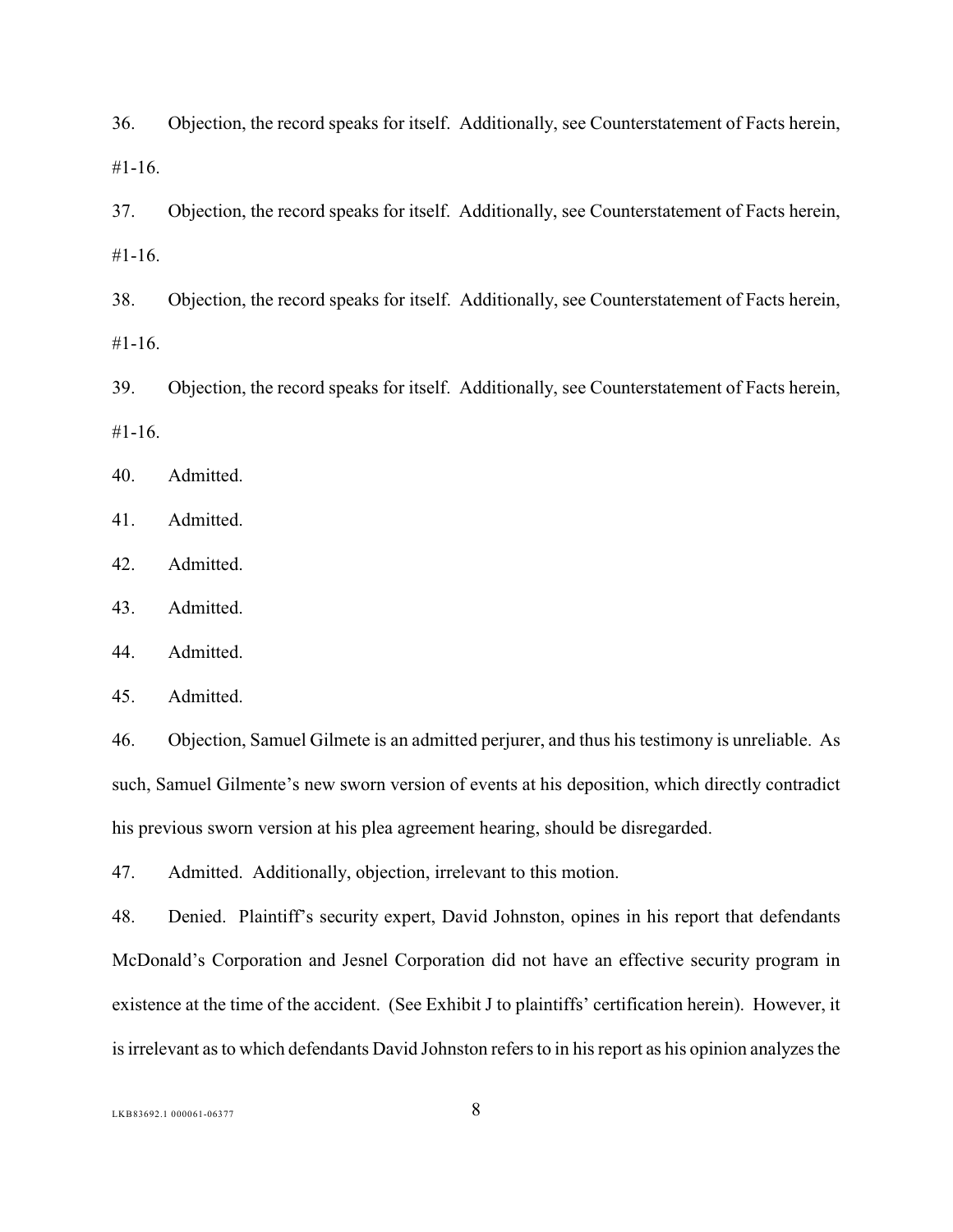36. Objection, the record speaks for itself. Additionally, see Counterstatement of Facts herein, #1-16.

37. Objection, the record speaks for itself. Additionally, see Counterstatement of Facts herein, #1-16.

38. Objection, the record speaks for itself. Additionally, see Counterstatement of Facts herein, #1-16.

39. Objection, the record speaks for itself. Additionally, see Counterstatement of Facts herein, #1-16.

40. Admitted.

41. Admitted.

42. Admitted.

43. Admitted.

44. Admitted.

45. Admitted.

46. Objection, Samuel Gilmete is an admitted perjurer, and thus his testimony is unreliable. As such, Samuel Gilmente's new sworn version of events at his deposition, which directly contradict his previous sworn version at his plea agreement hearing, should be disregarded.

47. Admitted. Additionally, objection, irrelevant to this motion.

48. Denied. Plaintiff's security expert, David Johnston, opines in his report that defendants McDonald's Corporation and Jesnel Corporation did not have an effective security program in existence at the time of the accident. (See Exhibit J to plaintiffs' certification herein). However, it is irrelevant as to which defendants David Johnston refers to in his report as his opinion analyzes the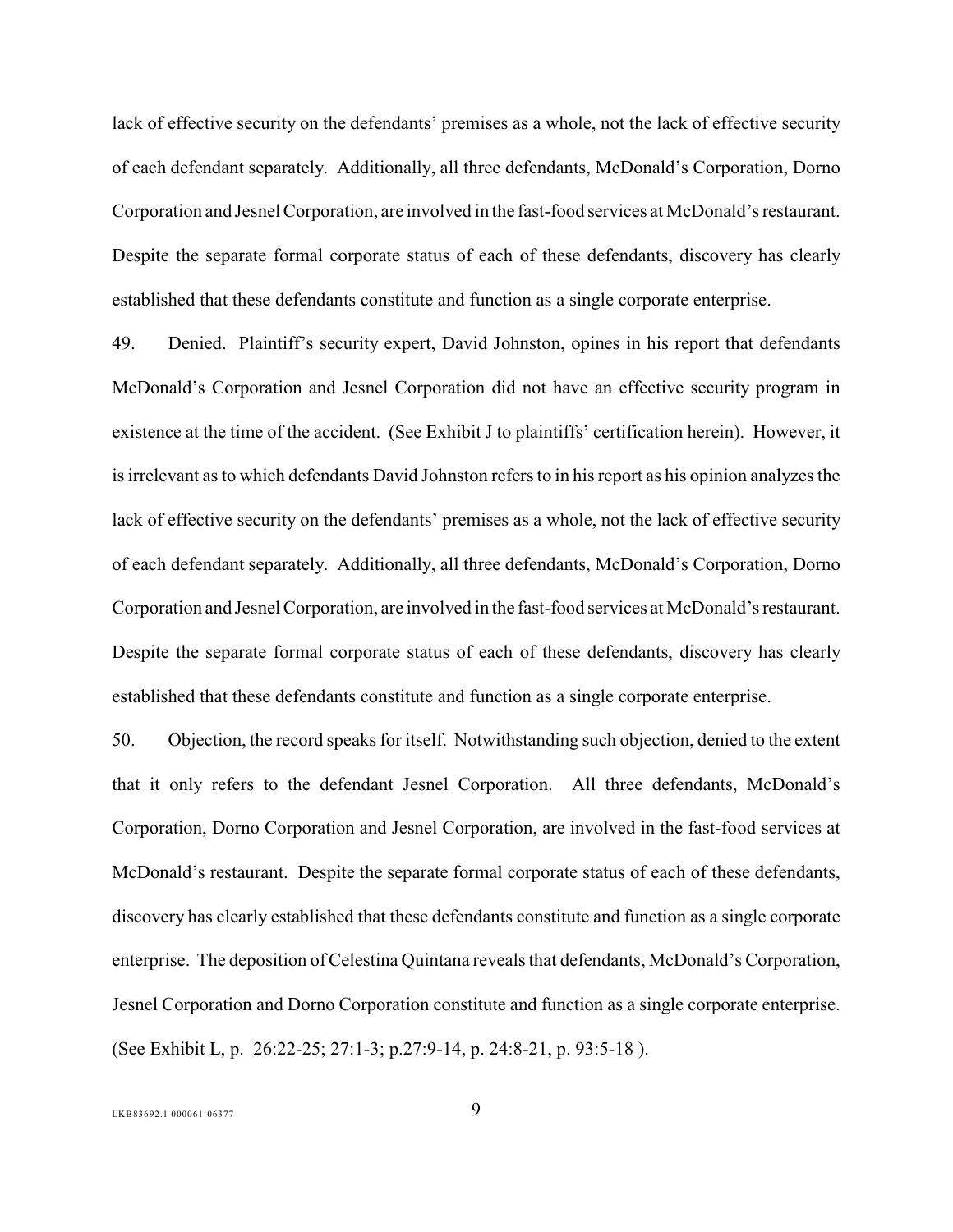lack of effective security on the defendants' premises as a whole, not the lack of effective security of each defendant separately. Additionally, all three defendants, McDonald's Corporation, Dorno Corporation and Jesnel Corporation, are involved in the fast-food services at McDonald's restaurant. Despite the separate formal corporate status of each of these defendants, discovery has clearly established that these defendants constitute and function as a single corporate enterprise.

49. Denied. Plaintiff's security expert, David Johnston, opines in his report that defendants McDonald's Corporation and Jesnel Corporation did not have an effective security program in existence at the time of the accident. (See Exhibit J to plaintiffs' certification herein). However, it is irrelevant as to which defendants David Johnston refers to in his report as his opinion analyzes the lack of effective security on the defendants' premises as a whole, not the lack of effective security of each defendant separately. Additionally, all three defendants, McDonald's Corporation, Dorno Corporation and Jesnel Corporation, are involved in the fast-food services at McDonald's restaurant. Despite the separate formal corporate status of each of these defendants, discovery has clearly established that these defendants constitute and function as a single corporate enterprise.

50. Objection, the record speaks for itself. Notwithstanding such objection, denied to the extent that it only refers to the defendant Jesnel Corporation. All three defendants, McDonald's Corporation, Dorno Corporation and Jesnel Corporation, are involved in the fast-food services at McDonald's restaurant. Despite the separate formal corporate status of each of these defendants, discovery has clearly established that these defendants constitute and function as a single corporate enterprise. The deposition ofCelestina Quintana reveals that defendants, McDonald's Corporation, Jesnel Corporation and Dorno Corporation constitute and function as a single corporate enterprise. (See Exhibit L, p. 26:22-25; 27:1-3; p.27:9-14, p. 24:8-21, p. 93:5-18 ).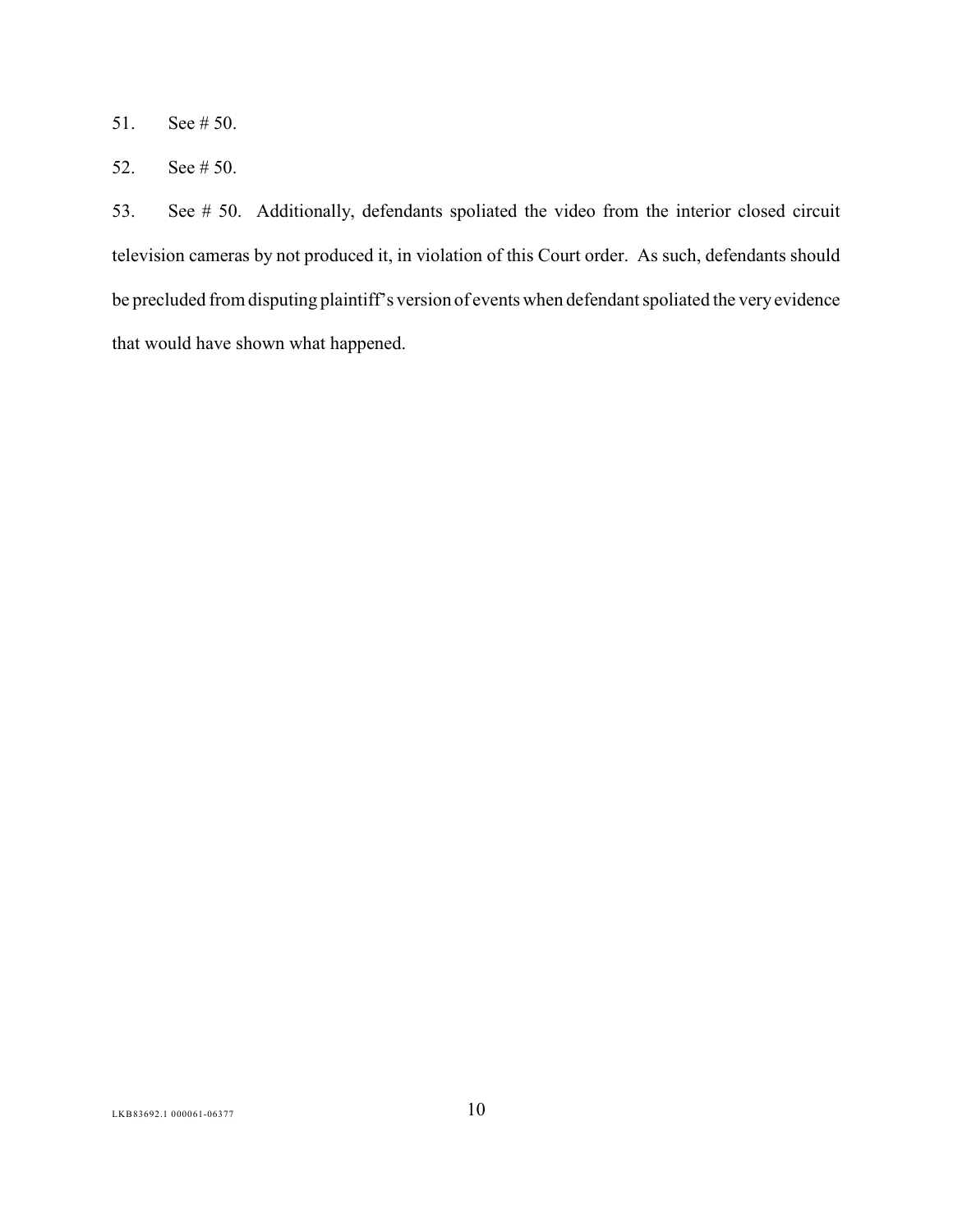- 51. See # 50.
- 52. See # 50.

53. See # 50. Additionally, defendants spoliated the video from the interior closed circuit television cameras by not produced it, in violation of this Court order. As such, defendants should be precluded from disputing plaintiff's version of events when defendant spoliated the very evidence that would have shown what happened.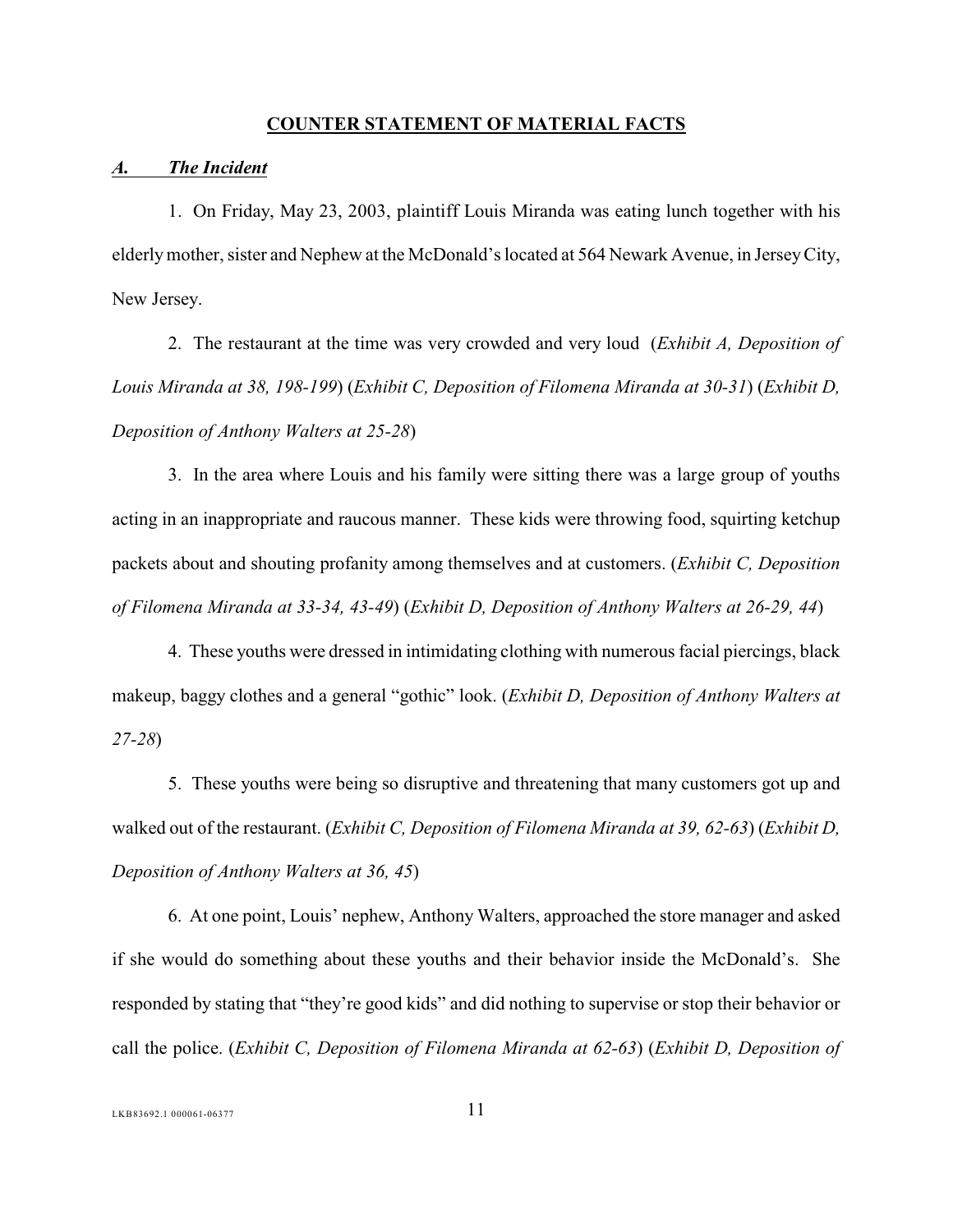#### <span id="page-15-0"></span>**COUNTER STATEMENT OF MATERIAL FACTS**

#### <span id="page-15-1"></span>*A. The Incident*

1. On Friday, May 23, 2003, plaintiff Louis Miranda was eating lunch together with his elderly mother, sister and Nephew at the McDonald's located at 564 Newark Avenue, in Jersey City, New Jersey.

2. The restaurant at the time was very crowded and very loud (*Exhibit A, Deposition of Louis Miranda at 38, 198-199*) (*Exhibit C, Deposition of Filomena Miranda at 30-31*) (*Exhibit D, Deposition of Anthony Walters at 25-28*)

3. In the area where Louis and his family were sitting there was a large group of youths acting in an inappropriate and raucous manner. These kids were throwing food, squirting ketchup packets about and shouting profanity among themselves and at customers. (*Exhibit C, Deposition of Filomena Miranda at 33-34, 43-49*) (*Exhibit D, Deposition of Anthony Walters at 26-29, 44*)

4. These youths were dressed in intimidating clothing with numerous facial piercings, black makeup, baggy clothes and a general "gothic" look. (*Exhibit D, Deposition of Anthony Walters at 27-28*)

5. These youths were being so disruptive and threatening that many customers got up and walked out of the restaurant. (*Exhibit C, Deposition of Filomena Miranda at 39, 62-63*) (*Exhibit D, Deposition of Anthony Walters at 36, 45*)

6. At one point, Louis' nephew, Anthony Walters, approached the store manager and asked if she would do something about these youths and their behavior inside the McDonald's. She responded by stating that "they're good kids" and did nothing to supervise or stop their behavior or call the police. (*Exhibit C, Deposition of Filomena Miranda at 62-63*) (*Exhibit D, Deposition of*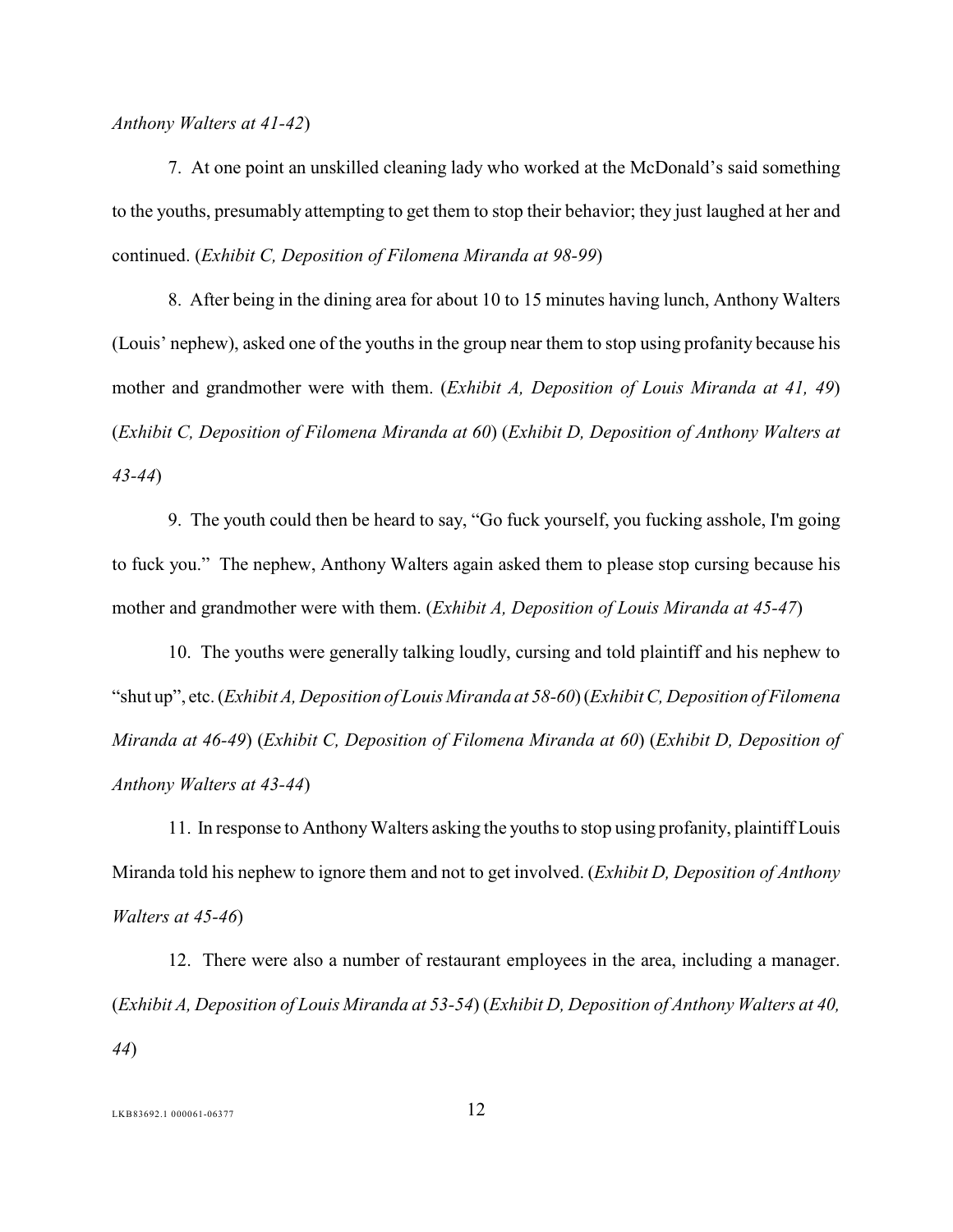*Anthony Walters at 41-42*)

7. At one point an unskilled cleaning lady who worked at the McDonald's said something to the youths, presumably attempting to get them to stop their behavior; they just laughed at her and continued. (*Exhibit C, Deposition of Filomena Miranda at 98-99*)

8. After being in the dining area for about 10 to 15 minutes having lunch, Anthony Walters (Louis' nephew), asked one of the youths in the group near them to stop using profanity because his mother and grandmother were with them. (*Exhibit A, Deposition of Louis Miranda at 41, 49*) (*Exhibit C, Deposition of Filomena Miranda at 60*) (*Exhibit D, Deposition of Anthony Walters at 43-44*)

9. The youth could then be heard to say, "Go fuck yourself, you fucking asshole, I'm going to fuck you." The nephew, Anthony Walters again asked them to please stop cursing because his mother and grandmother were with them. (*Exhibit A, Deposition of Louis Miranda at 45-47*)

10. The youths were generally talking loudly, cursing and told plaintiff and his nephew to "shut up", etc. (*Exhibit A, Deposition of Louis Miranda at 58-60*) (*Exhibit C, Deposition of Filomena Miranda at 46-49*) (*Exhibit C, Deposition of Filomena Miranda at 60*) (*Exhibit D, Deposition of Anthony Walters at 43-44*)

11. In response to Anthony Walters asking the youths to stop using profanity, plaintiff Louis Miranda told his nephew to ignore them and not to get involved. (*Exhibit D, Deposition of Anthony Walters at 45-46*)

12. There were also a number of restaurant employees in the area, including a manager. (*Exhibit A, Deposition of Louis Miranda at 53-54*) (*Exhibit D, Deposition of Anthony Walters at 40, 44*)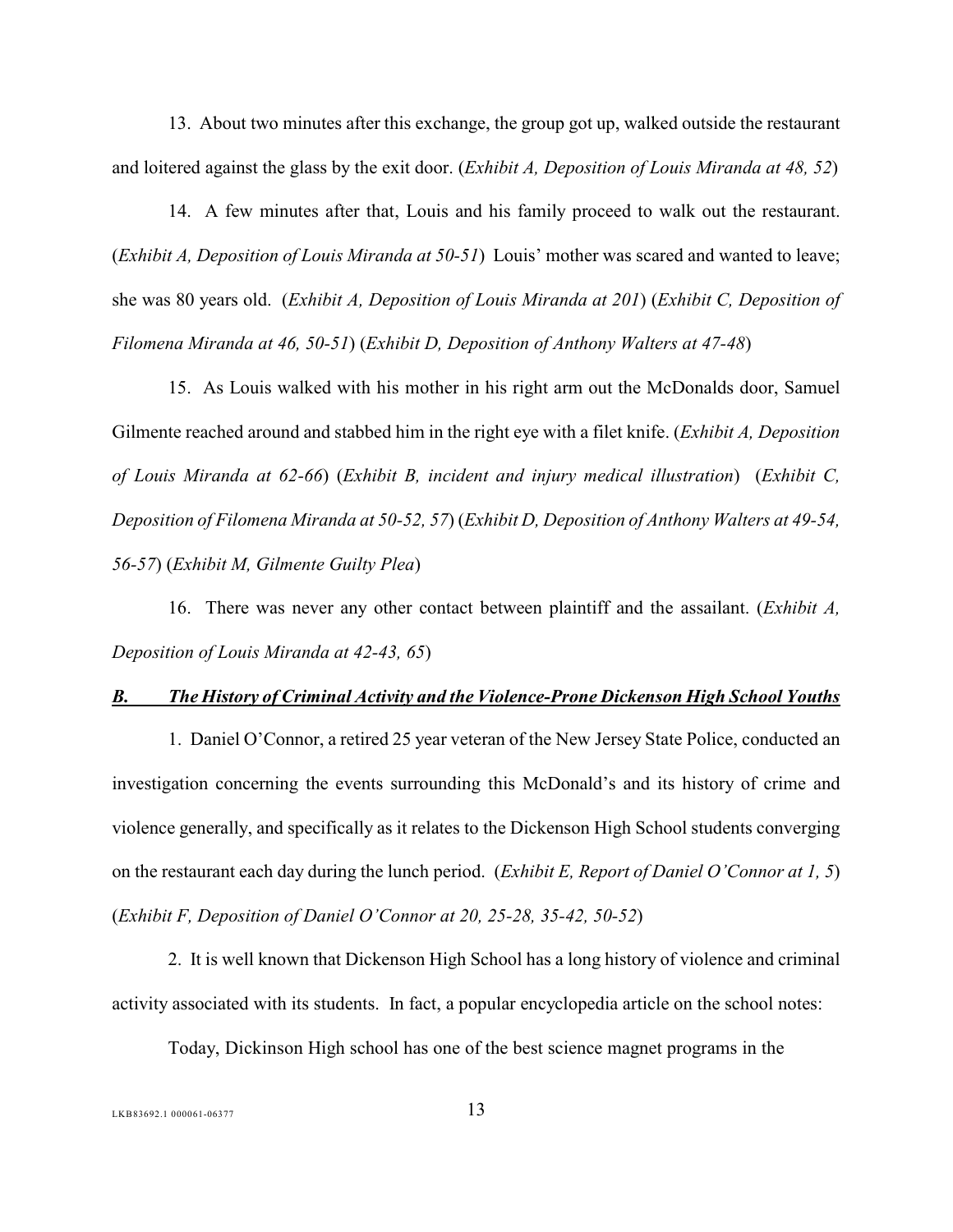13. About two minutes after this exchange, the group got up, walked outside the restaurant and loitered against the glass by the exit door. (*Exhibit A, Deposition of Louis Miranda at 48, 52*)

14. A few minutes after that, Louis and his family proceed to walk out the restaurant. (*Exhibit A, Deposition of Louis Miranda at 50-51*) Louis' mother was scared and wanted to leave; she was 80 years old. (*Exhibit A, Deposition of Louis Miranda at 201*) (*Exhibit C, Deposition of Filomena Miranda at 46, 50-51*) (*Exhibit D, Deposition of Anthony Walters at 47-48*)

15. As Louis walked with his mother in his right arm out the McDonalds door, Samuel Gilmente reached around and stabbed him in the right eye with a filet knife. (*Exhibit A, Deposition of Louis Miranda at 62-66*) (*Exhibit B, incident and injury medical illustration*) (*Exhibit C, Deposition of Filomena Miranda at 50-52, 57*) (*Exhibit D, Deposition of Anthony Walters at 49-54, 56-57*) (*Exhibit M, Gilmente Guilty Plea*)

16. There was never any other contact between plaintiff and the assailant. (*Exhibit A, Deposition of Louis Miranda at 42-43, 65*)

#### <span id="page-17-0"></span>*B. The History of Criminal Activity and the Violence-Prone Dickenson High School Youths*

1. Daniel O'Connor, a retired 25 year veteran of the New Jersey State Police, conducted an investigation concerning the events surrounding this McDonald's and its history of crime and violence generally, and specifically as it relates to the Dickenson High School students converging on the restaurant each day during the lunch period. (*Exhibit E, Report of Daniel O'Connor at 1, 5*) (*Exhibit F, Deposition of Daniel O'Connor at 20, 25-28, 35-42, 50-52*)

2. It is well known that Dickenson High School has a long history of violence and criminal activity associated with its students. In fact, a popular encyclopedia article on the school notes:

Today, Dickinson High school has one of the best science magnet programs in the

 $LKB83692.1\ 000061-06377$  13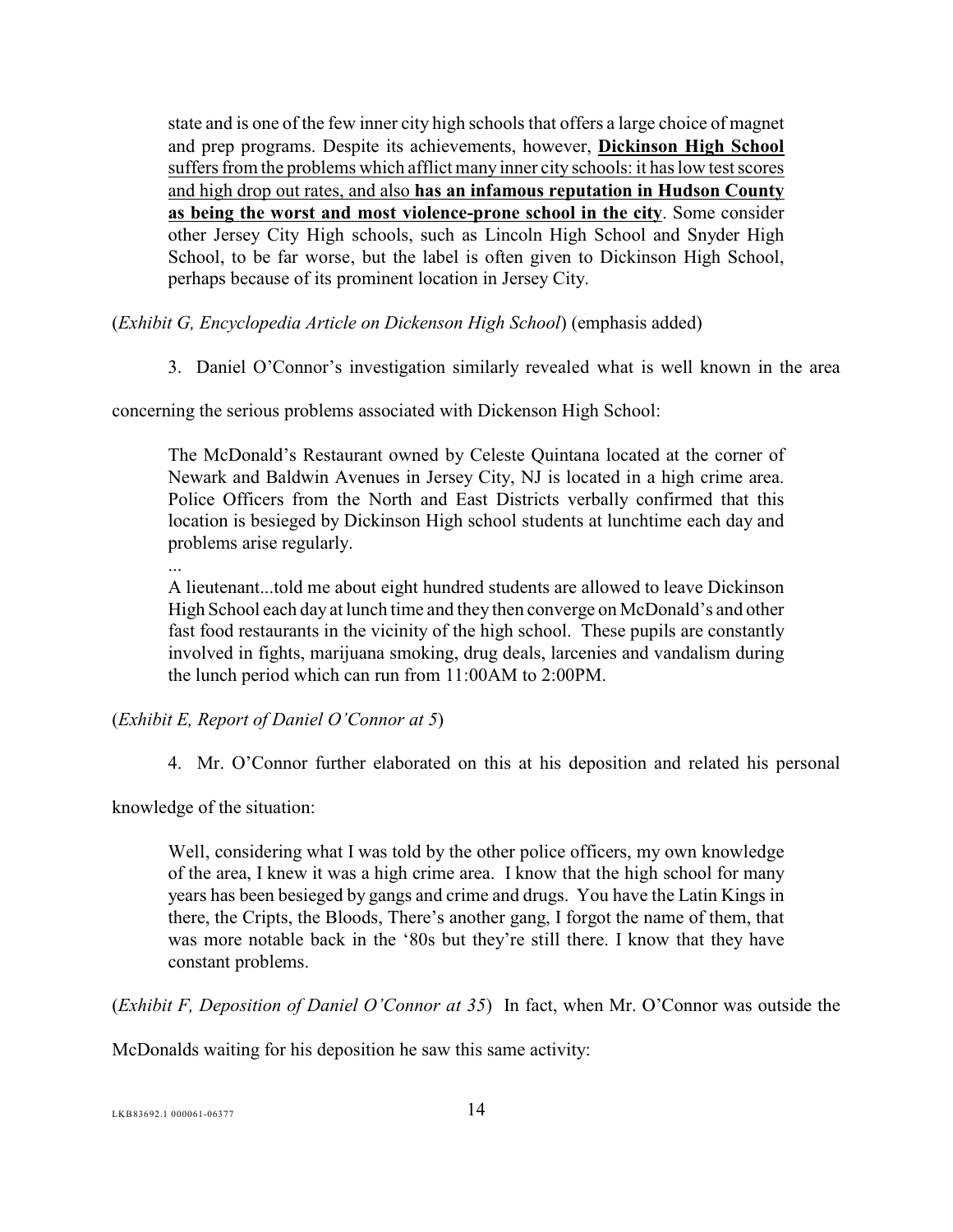state and is one of the few inner city high schools that offers a large choice of magnet and prep programs. Despite its achievements, however, **Dickinson High School** suffers from the problems which afflict many inner city schools: it has low test scores and high drop out rates, and also **has an infamous reputation in Hudson County as being the worst and most violence-prone school in the city**. Some consider other Jersey City High schools, such as Lincoln High School and Snyder High School, to be far worse, but the label is often given to Dickinson High School, perhaps because of its prominent location in Jersey City.

(*Exhibit G, Encyclopedia Article on Dickenson High School*) (emphasis added)

3. Daniel O'Connor's investigation similarly revealed what is well known in the area

concerning the serious problems associated with Dickenson High School:

The McDonald's Restaurant owned by Celeste Quintana located at the corner of Newark and Baldwin Avenues in Jersey City, NJ is located in a high crime area. Police Officers from the North and East Districts verbally confirmed that this location is besieged by Dickinson High school students at lunchtime each day and problems arise regularly.

...

A lieutenant...told me about eight hundred students are allowed to leave Dickinson High School each day at lunch time and they then converge on McDonald's and other fast food restaurants in the vicinity of the high school. These pupils are constantly involved in fights, marijuana smoking, drug deals, larcenies and vandalism during the lunch period which can run from 11:00AM to 2:00PM.

(*Exhibit E, Report of Daniel O'Connor at 5*)

4. Mr. O'Connor further elaborated on this at his deposition and related his personal

knowledge of the situation:

Well, considering what I was told by the other police officers, my own knowledge of the area, I knew it was a high crime area. I know that the high school for many years has been besieged by gangs and crime and drugs. You have the Latin Kings in there, the Cripts, the Bloods, There's another gang, I forgot the name of them, that was more notable back in the '80s but they're still there. I know that they have constant problems.

(*Exhibit F, Deposition of Daniel O'Connor at 35*) In fact, when Mr. O'Connor was outside the

McDonalds waiting for his deposition he saw this same activity:

 $14$ <br>LKB83692.1 000061-06377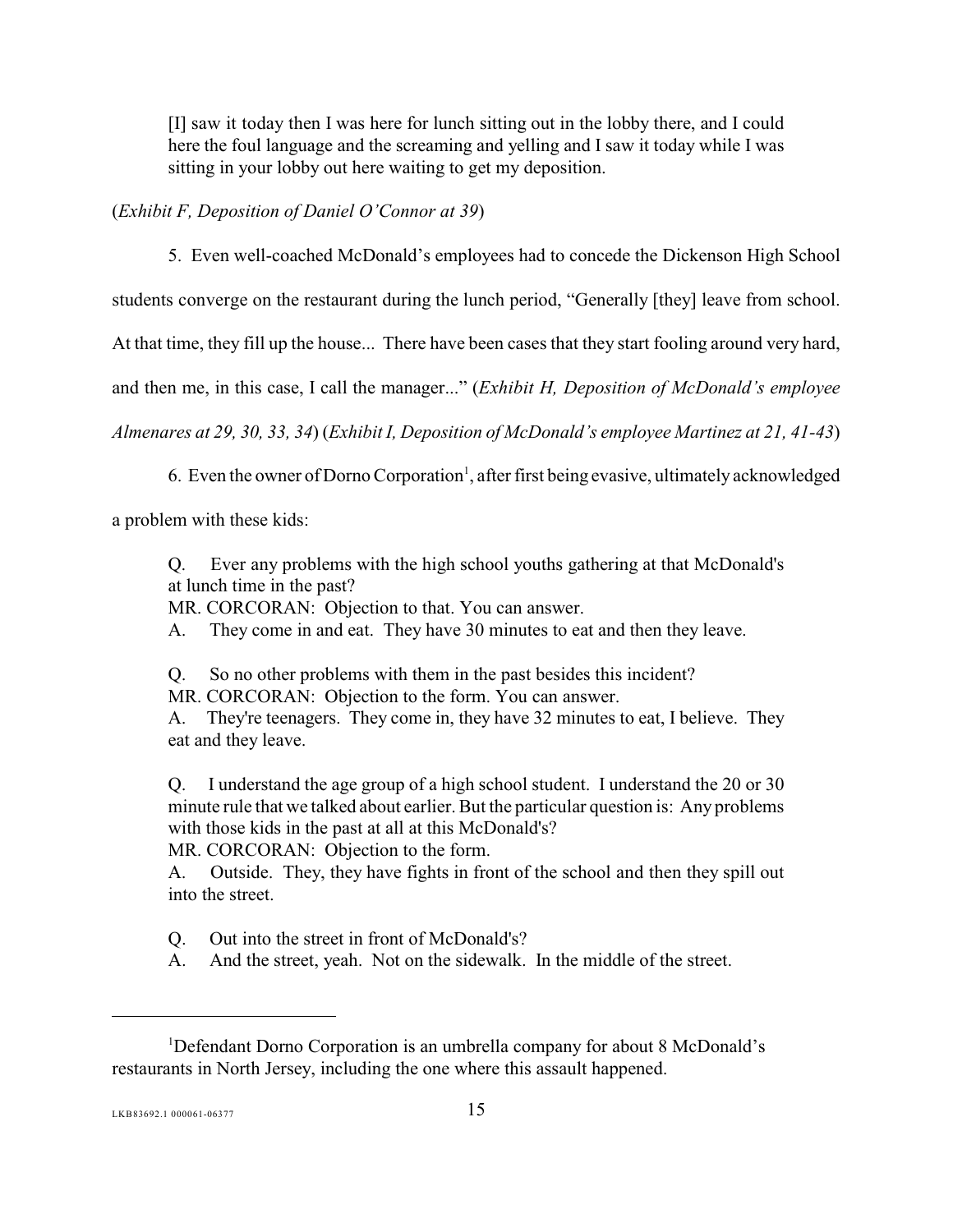[I] saw it today then I was here for lunch sitting out in the lobby there, and I could here the foul language and the screaming and yelling and I saw it today while I was sitting in your lobby out here waiting to get my deposition.

(*Exhibit F, Deposition of Daniel O'Connor at 39*)

5. Even well-coached McDonald's employees had to concede the Dickenson High School

students converge on the restaurant during the lunch period, "Generally [they] leave from school.

At that time, they fill up the house... There have been cases that they start fooling around very hard,

and then me, in this case, I call the manager..." (*Exhibit H, Deposition of McDonald's employee*

*Almenares at 29, 30, 33, 34*) (*Exhibit I, Deposition of McDonald's employee Martinez at 21, 41-43*)

6. Even the owner of Dorno Corporation<sup>1</sup>, after first being evasive, ultimately acknowledged

a problem with these kids:

Q. Ever any problems with the high school youths gathering at that McDonald's at lunch time in the past?

MR. CORCORAN: Objection to that. You can answer.

A. They come in and eat. They have 30 minutes to eat and then they leave.

Q. So no other problems with them in the past besides this incident?

MR. CORCORAN: Objection to the form. You can answer.

A. They're teenagers. They come in, they have 32 minutes to eat, I believe. They eat and they leave.

Q. I understand the age group of a high school student. I understand the 20 or 30 minute rule that we talked about earlier. But the particular question is: Any problems with those kids in the past at all at this McDonald's?

MR. CORCORAN: Objection to the form.

A. Outside. They, they have fights in front of the school and then they spill out into the street.

Q. Out into the street in front of McDonald's?

A. And the street, yeah. Not on the sidewalk. In the middle of the street.

<sup>&</sup>lt;sup>1</sup>Defendant Dorno Corporation is an umbrella company for about 8 McDonald's restaurants in North Jersey, including the one where this assault happened.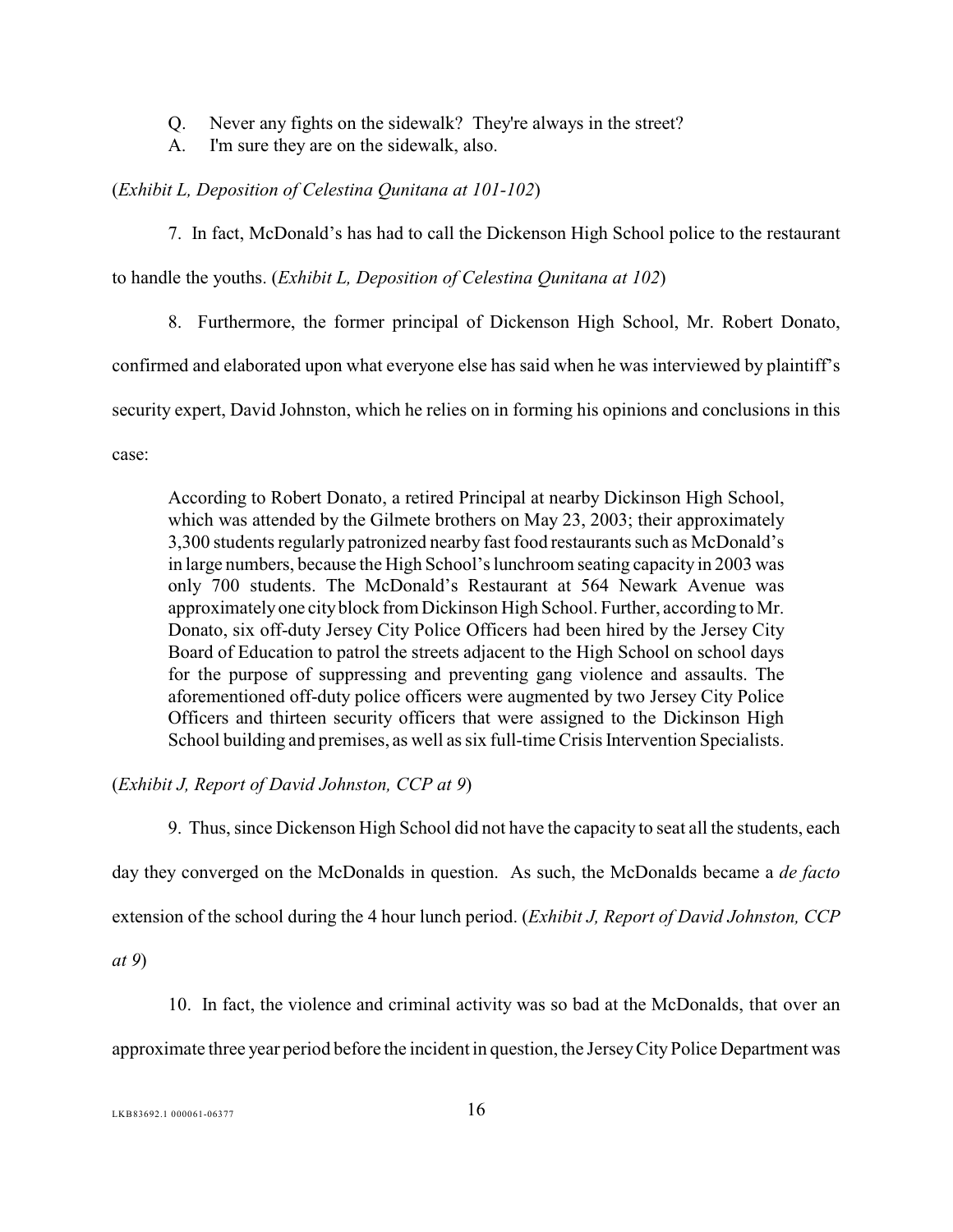- Q. Never any fights on the sidewalk? They're always in the street?
- A. I'm sure they are on the sidewalk, also.

#### (*Exhibit L, Deposition of Celestina Qunitana at 101-102*)

7. In fact, McDonald's has had to call the Dickenson High School police to the restaurant

to handle the youths. (*Exhibit L, Deposition of Celestina Qunitana at 102*)

8. Furthermore, the former principal of Dickenson High School, Mr. Robert Donato,

confirmed and elaborated upon what everyone else has said when he was interviewed by plaintiff's

security expert, David Johnston, which he relies on in forming his opinions and conclusions in this

case:

According to Robert Donato, a retired Principal at nearby Dickinson High School, which was attended by the Gilmete brothers on May 23, 2003; their approximately 3,300 students regularly patronized nearby fast food restaurants such as McDonald's in large numbers, because the High School's lunchroom seating capacity in 2003 was only 700 students. The McDonald's Restaurant at 564 Newark Avenue was approximately one city block from Dickinson High School. Further, according to Mr. Donato, six off-duty Jersey City Police Officers had been hired by the Jersey City Board of Education to patrol the streets adjacent to the High School on school days for the purpose of suppressing and preventing gang violence and assaults. The aforementioned off-duty police officers were augmented by two Jersey City Police Officers and thirteen security officers that were assigned to the Dickinson High School building and premises, as well as six full-time Crisis Intervention Specialists.

(*Exhibit J, Report of David Johnston, CCP at 9*)

9. Thus, since Dickenson High School did not have the capacity to seat all the students, each

day they converged on the McDonalds in question. As such, the McDonalds became a *de facto*

extension of the school during the 4 hour lunch period. (*Exhibit J, Report of David Johnston, CCP*

*at 9*)

10. In fact, the violence and criminal activity was so bad at the McDonalds, that over an

approximate three year period before the incident in question, the Jersey City Police Department was

 $LKB83692.1\ 000061-06377$  16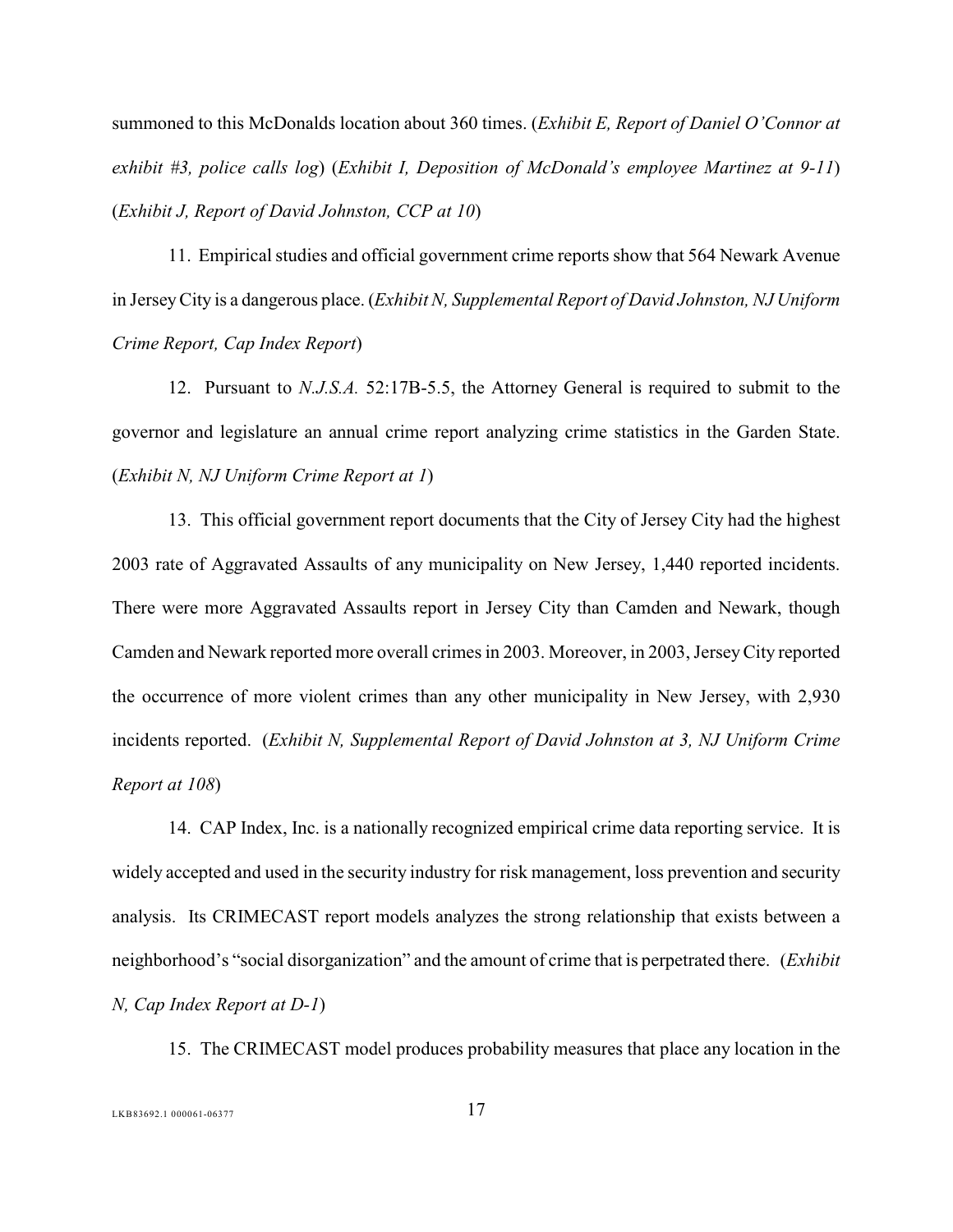summoned to this McDonalds location about 360 times. (*Exhibit E, Report of Daniel O'Connor at exhibit #3, police calls log*) (*Exhibit I, Deposition of McDonald's employee Martinez at 9-11*) (*Exhibit J, Report of David Johnston, CCP at 10*)

11. Empirical studies and official government crime reports show that 564 Newark Avenue in JerseyCity is a dangerous place. (*Exhibit N, Supplemental Report of David Johnston, NJ Uniform Crime Report, Cap Index Report*)

12. Pursuant to *N.J.S.A.* 52:17B-5.5, the Attorney General is required to submit to the governor and legislature an annual crime report analyzing crime statistics in the Garden State. (*Exhibit N, NJ Uniform Crime Report at 1*)

13. This official government report documents that the City of Jersey City had the highest 2003 rate of Aggravated Assaults of any municipality on New Jersey, 1,440 reported incidents. There were more Aggravated Assaults report in Jersey City than Camden and Newark, though Camden and Newark reported more overall crimes in 2003. Moreover, in 2003, Jersey City reported the occurrence of more violent crimes than any other municipality in New Jersey, with 2,930 incidents reported. (*Exhibit N, Supplemental Report of David Johnston at 3, NJ Uniform Crime Report at 108*)

14. CAP Index, Inc. is a nationally recognized empirical crime data reporting service. It is widely accepted and used in the security industry for risk management, loss prevention and security analysis. Its CRIMECAST report models analyzes the strong relationship that exists between a neighborhood's "social disorganization" and the amount of crime that is perpetrated there. (*Exhibit N, Cap Index Report at D-1*)

15. The CRIMECAST model produces probability measures that place any location in the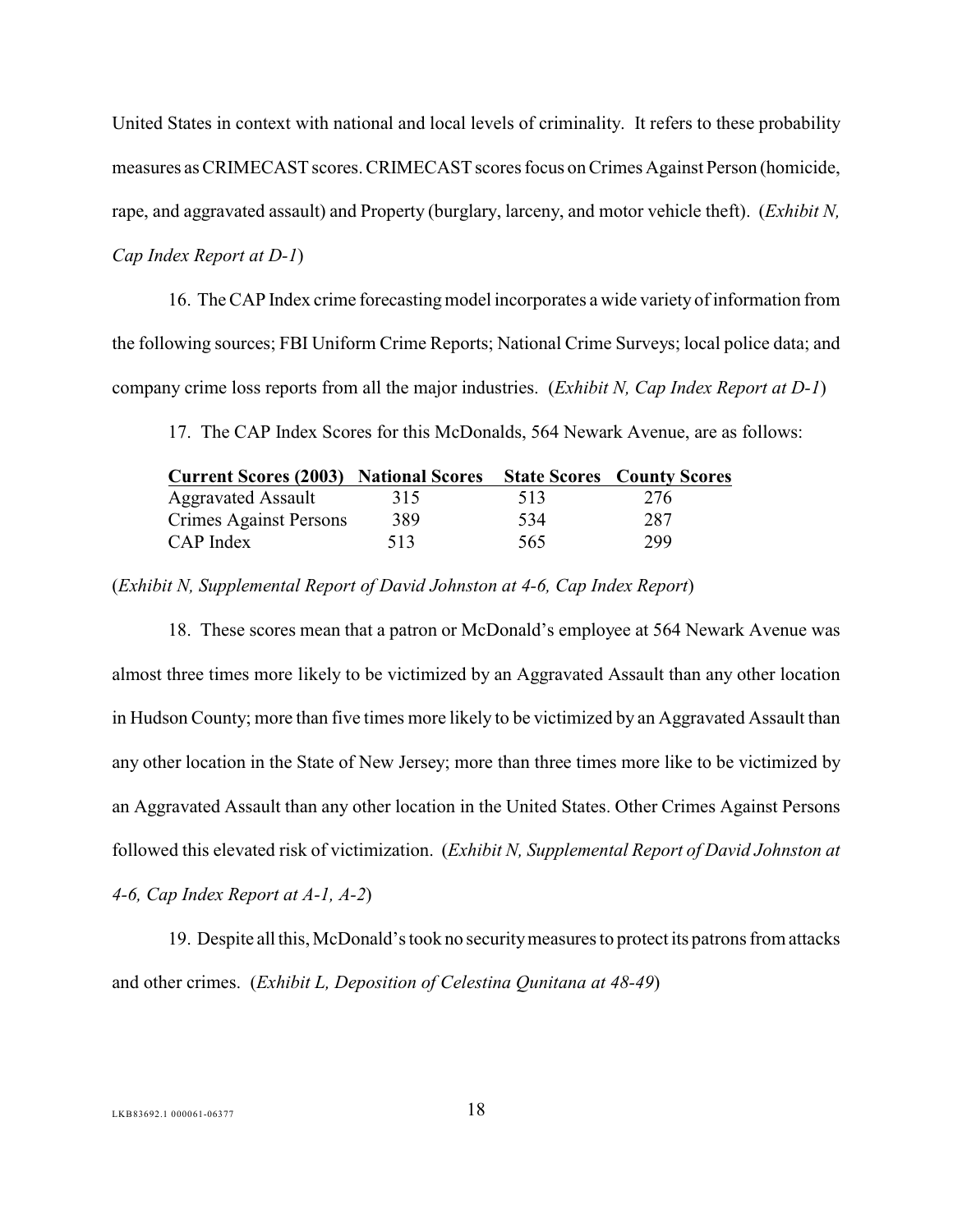United States in context with national and local levels of criminality. It refers to these probability measures as CRIMECAST scores. CRIMECAST scores focus on Crimes Against Person (homicide, rape, and aggravated assault) and Property (burglary, larceny, and motor vehicle theft). (*Exhibit N, Cap Index Report at D-1*)

16. The CAP Index crime forecasting model incorporates a wide variety of information from the following sources; FBI Uniform Crime Reports; National Crime Surveys; local police data; and company crime loss reports from all the major industries. (*Exhibit N, Cap Index Report at D-1*)

17. The CAP Index Scores for this McDonalds, 564 Newark Avenue, are as follows:

| <b>Current Scores (2003) National Scores</b> |     |     | <b>State Scores County Scores</b> |
|----------------------------------------------|-----|-----|-----------------------------------|
| <b>Aggravated Assault</b>                    | 315 | 513 | 276                               |
| Crimes Against Persons                       | 389 | 534 | 287                               |
| CAP Index                                    | 513 | 565 | 299                               |

(*Exhibit N, Supplemental Report of David Johnston at 4-6, Cap Index Report*)

18. These scores mean that a patron or McDonald's employee at 564 Newark Avenue was almost three times more likely to be victimized by an Aggravated Assault than any other location in Hudson County; more than five times more likely to be victimized by an Aggravated Assault than any other location in the State of New Jersey; more than three times more like to be victimized by an Aggravated Assault than any other location in the United States. Other Crimes Against Persons followed this elevated risk of victimization. (*Exhibit N, Supplemental Report of David Johnston at 4-6, Cap Index Report at A-1, A-2*)

19. Despite all this, McDonald's took no security measures to protect its patrons from attacks and other crimes. (*Exhibit L, Deposition of Celestina Qunitana at 48-49*)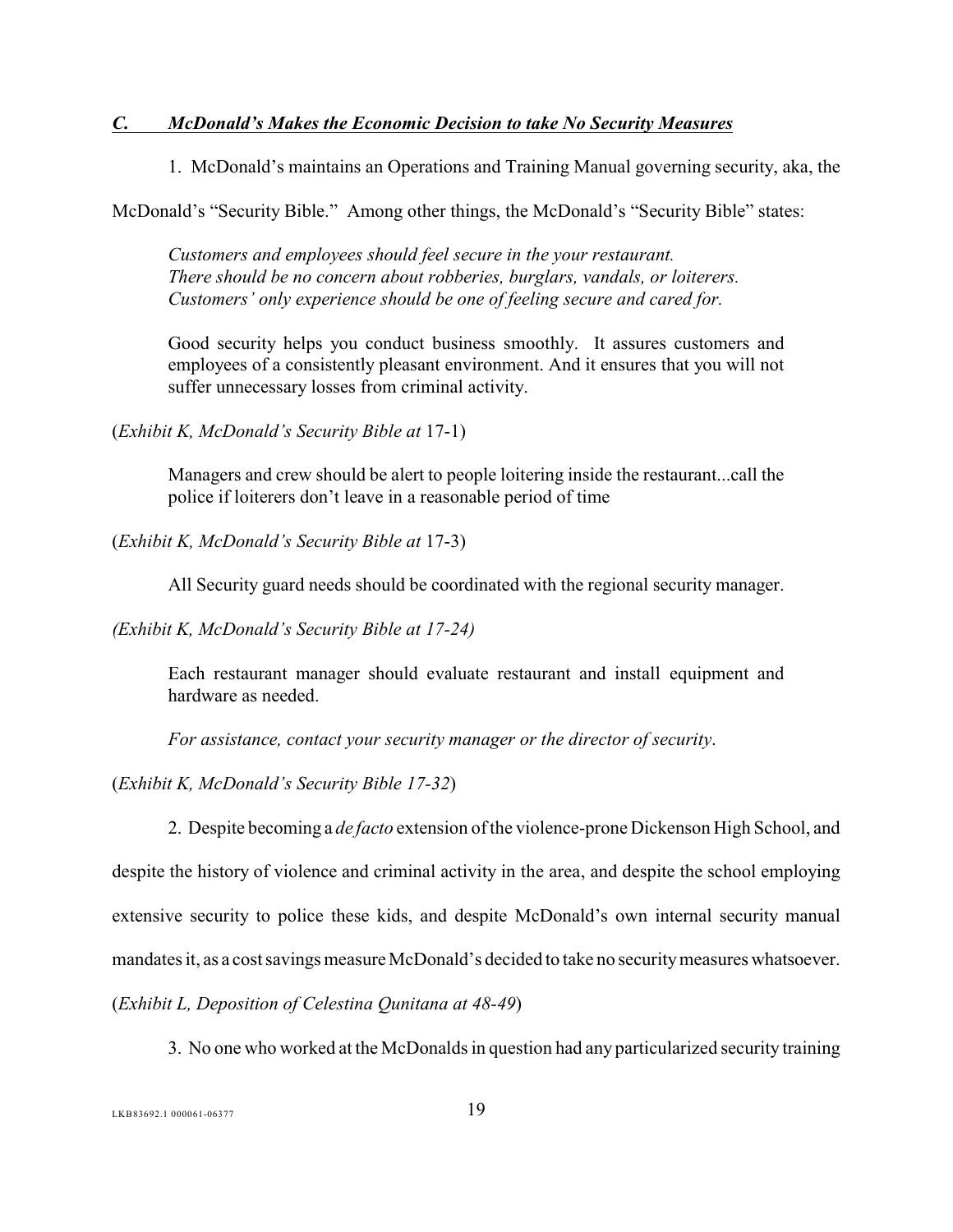#### <span id="page-23-0"></span>*C. McDonald's Makes the Economic Decision to take No Security Measures*

1. McDonald's maintains an Operations and Training Manual governing security, aka, the

McDonald's "Security Bible." Among other things, the McDonald's "Security Bible" states:

*Customers and employees should feel secure in the your restaurant. There should be no concern about robberies, burglars, vandals, or loiterers. Customers' only experience should be one of feeling secure and cared for.*

Good security helps you conduct business smoothly. It assures customers and employees of a consistently pleasant environment. And it ensures that you will not suffer unnecessary losses from criminal activity.

(*Exhibit K, McDonald's Security Bible at* 17-1)

Managers and crew should be alert to people loitering inside the restaurant...call the police if loiterers don't leave in a reasonable period of time

(*Exhibit K, McDonald's Security Bible at* 17-3)

All Security guard needs should be coordinated with the regional security manager.

*(Exhibit K, McDonald's Security Bible at 17-24)*

Each restaurant manager should evaluate restaurant and install equipment and hardware as needed.

*For assistance, contact your security manager or the director of security*.

(*Exhibit K, McDonald's Security Bible 17-32*)

2. Despite becoming a *de facto* extension of the violence-prone Dickenson High School, and despite the history of violence and criminal activity in the area, and despite the school employing extensive security to police these kids, and despite McDonald's own internal security manual mandates it, as a cost savings measure McDonald's decided to take no security measures whatsoever. (*Exhibit L, Deposition of Celestina Qunitana at 48-49*)

3. No one who worked at the McDonalds in question had any particularized security training

LKB83692.1 000061-06377 19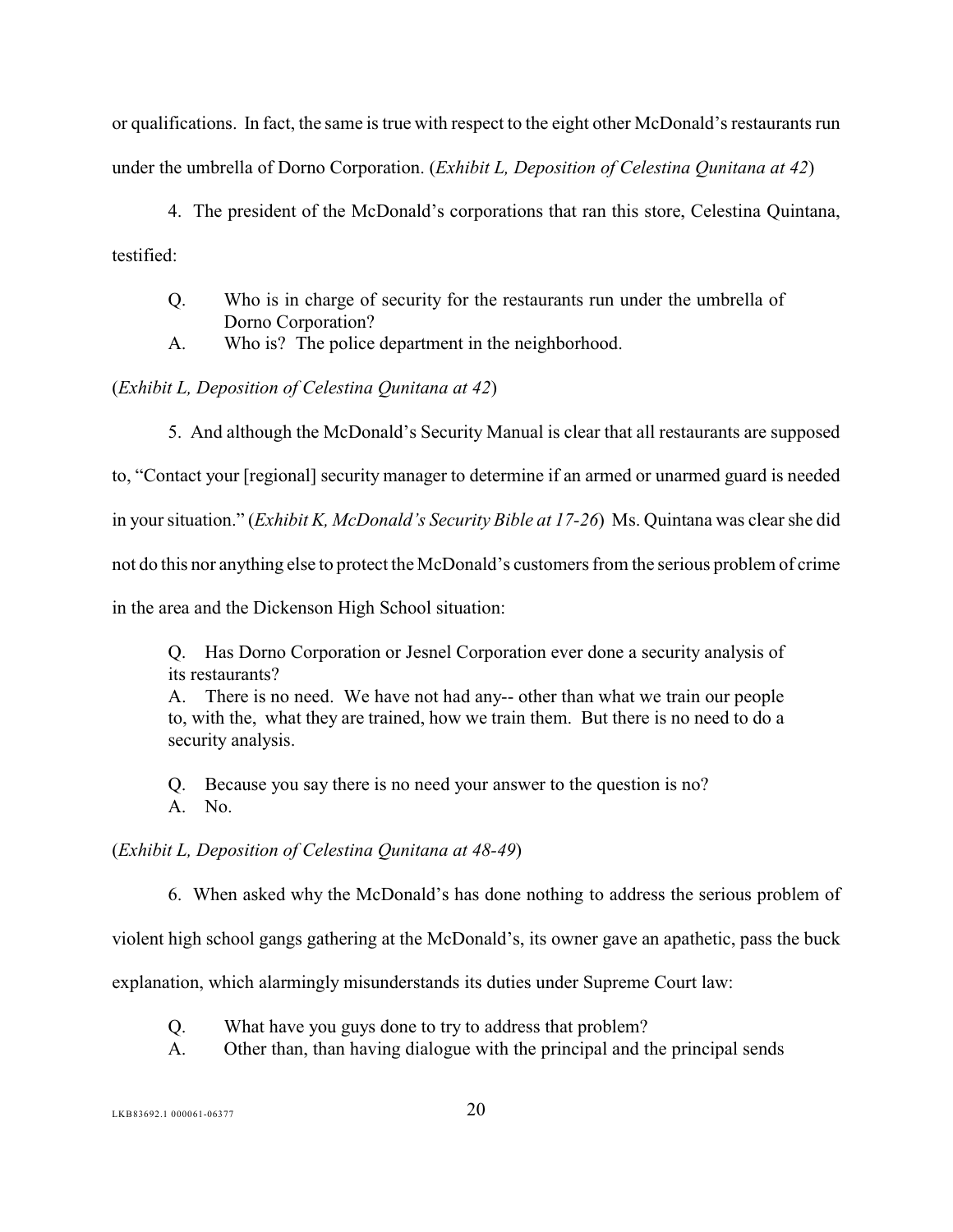or qualifications. In fact, the same is true with respect to the eight other McDonald's restaurants run under the umbrella of Dorno Corporation. (*Exhibit L, Deposition of Celestina Qunitana at 42*)

- 4. The president of the McDonald's corporations that ran this store, Celestina Quintana, testified:
	- Q. Who is in charge of security for the restaurants run under the umbrella of Dorno Corporation?
	- A. Who is? The police department in the neighborhood.

(*Exhibit L, Deposition of Celestina Qunitana at 42*)

5. And although the McDonald's Security Manual is clear that all restaurants are supposed

to, "Contact your [regional] security manager to determine if an armed or unarmed guard is needed

in your situation." (*Exhibit K, McDonald's Security Bible at 17-26*) Ms. Quintana was clear she did

not do this nor anything else to protect the McDonald's customers from the serious problem of crime

in the area and the Dickenson High School situation:

Q. Has Dorno Corporation or Jesnel Corporation ever done a security analysis of its restaurants?

A. There is no need. We have not had any-- other than what we train our people to, with the, what they are trained, how we train them. But there is no need to do a security analysis.

Q. Because you say there is no need your answer to the question is no? A. No.

### (*Exhibit L, Deposition of Celestina Qunitana at 48-49*)

6. When asked why the McDonald's has done nothing to address the serious problem of

violent high school gangs gathering at the McDonald's, its owner gave an apathetic, pass the buck

explanation, which alarmingly misunderstands its duties under Supreme Court law:

- Q. What have you guys done to try to address that problem?
- A. Other than, than having dialogue with the principal and the principal sends

LKB83692.1 000061-06377 20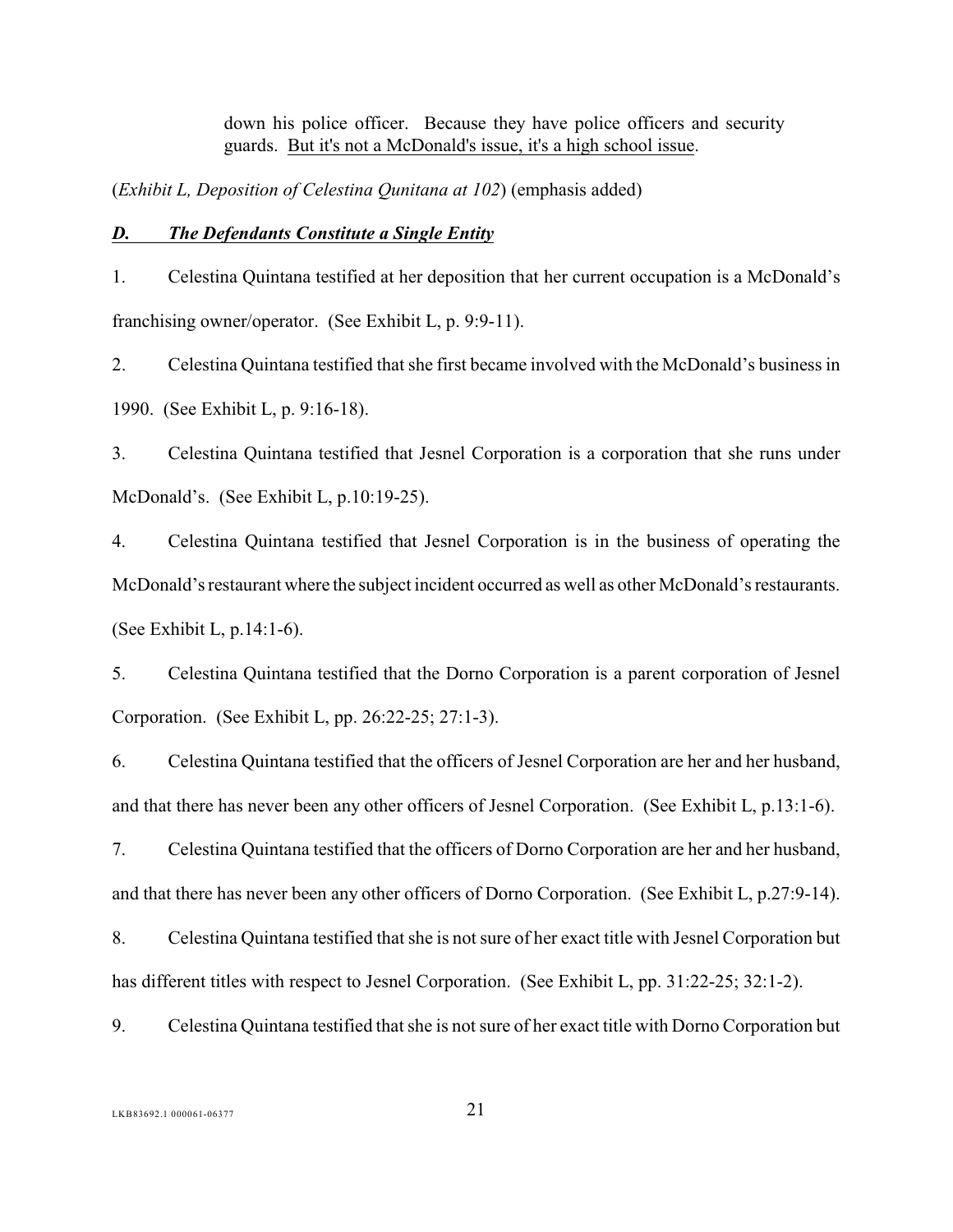down his police officer. Because they have police officers and security guards. But it's not a McDonald's issue, it's a high school issue.

(*Exhibit L, Deposition of Celestina Qunitana at 102*) (emphasis added)

#### <span id="page-25-0"></span>*D. The Defendants Constitute a Single Entity*

1. Celestina Quintana testified at her deposition that her current occupation is a McDonald's franchising owner/operator. (See Exhibit L, p. 9:9-11).

2. Celestina Quintana testified that she first became involved with the McDonald's business in 1990. (See Exhibit L, p. 9:16-18).

3. Celestina Quintana testified that Jesnel Corporation is a corporation that she runs under McDonald's. (See Exhibit L, p.10:19-25).

4. Celestina Quintana testified that Jesnel Corporation is in the business of operating the McDonald's restaurant where the subject incident occurred as well as other McDonald's restaurants. (See Exhibit L, p.14:1-6).

5. Celestina Quintana testified that the Dorno Corporation is a parent corporation of Jesnel Corporation. (See Exhibit L, pp. 26:22-25; 27:1-3).

6. Celestina Quintana testified that the officers of Jesnel Corporation are her and her husband, and that there has never been any other officers of Jesnel Corporation. (See Exhibit L, p.13:1-6).

7. Celestina Quintana testified that the officers of Dorno Corporation are her and her husband, and that there has never been any other officers of Dorno Corporation. (See Exhibit L, p.27:9-14).

8. Celestina Quintana testified that she is not sure of her exact title with Jesnel Corporation but has different titles with respect to Jesnel Corporation. (See Exhibit L, pp. 31:22-25; 32:1-2).

9. Celestina Quintana testified that she is not sure of her exact title with Dorno Corporation but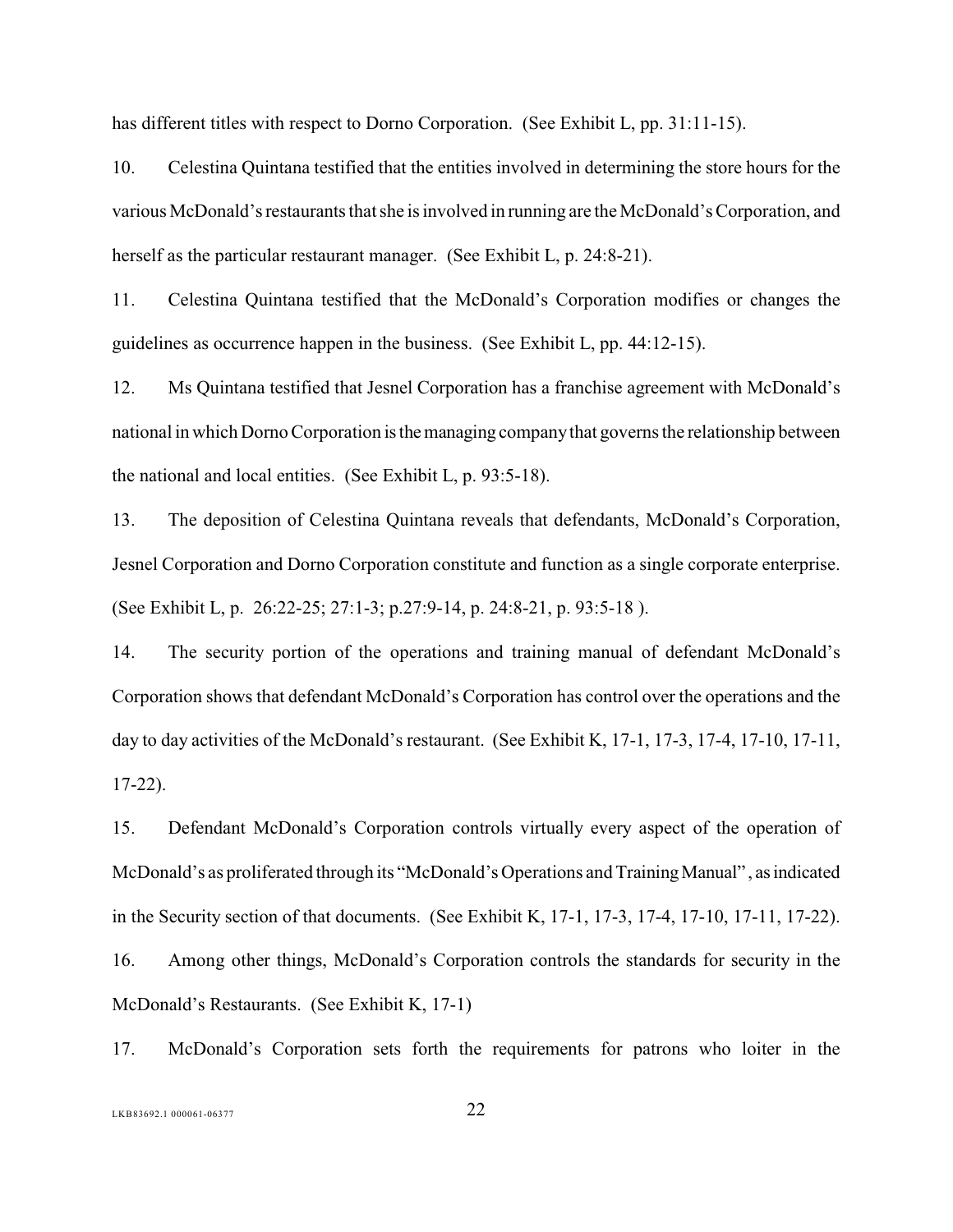has different titles with respect to Dorno Corporation. (See Exhibit L, pp. 31:11-15).

10. Celestina Quintana testified that the entities involved in determining the store hours for the various McDonald's restaurants that she is involved in running are the McDonald's Corporation, and herself as the particular restaurant manager. (See Exhibit L, p. 24:8-21).

11. Celestina Quintana testified that the McDonald's Corporation modifies or changes the guidelines as occurrence happen in the business. (See Exhibit L, pp. 44:12-15).

12. Ms Quintana testified that Jesnel Corporation has a franchise agreement with McDonald's national in which Dorno Corporation is the managing company that governs the relationship between the national and local entities. (See Exhibit L, p. 93:5-18).

13. The deposition of Celestina Quintana reveals that defendants, McDonald's Corporation, Jesnel Corporation and Dorno Corporation constitute and function as a single corporate enterprise. (See Exhibit L, p. 26:22-25; 27:1-3; p.27:9-14, p. 24:8-21, p. 93:5-18 ).

14. The security portion of the operations and training manual of defendant McDonald's Corporation shows that defendant McDonald's Corporation has control over the operations and the day to day activities of the McDonald's restaurant. (See Exhibit K, 17-1, 17-3, 17-4, 17-10, 17-11, 17-22).

15. Defendant McDonald's Corporation controls virtually every aspect of the operation of McDonald's as proliferated through its "McDonald's Operations and Training Manual" , as indicated in the Security section of that documents. (See Exhibit K, 17-1, 17-3, 17-4, 17-10, 17-11, 17-22). 16. Among other things, McDonald's Corporation controls the standards for security in the McDonald's Restaurants. (See Exhibit K, 17-1)

17. McDonald's Corporation sets forth the requirements for patrons who loiter in the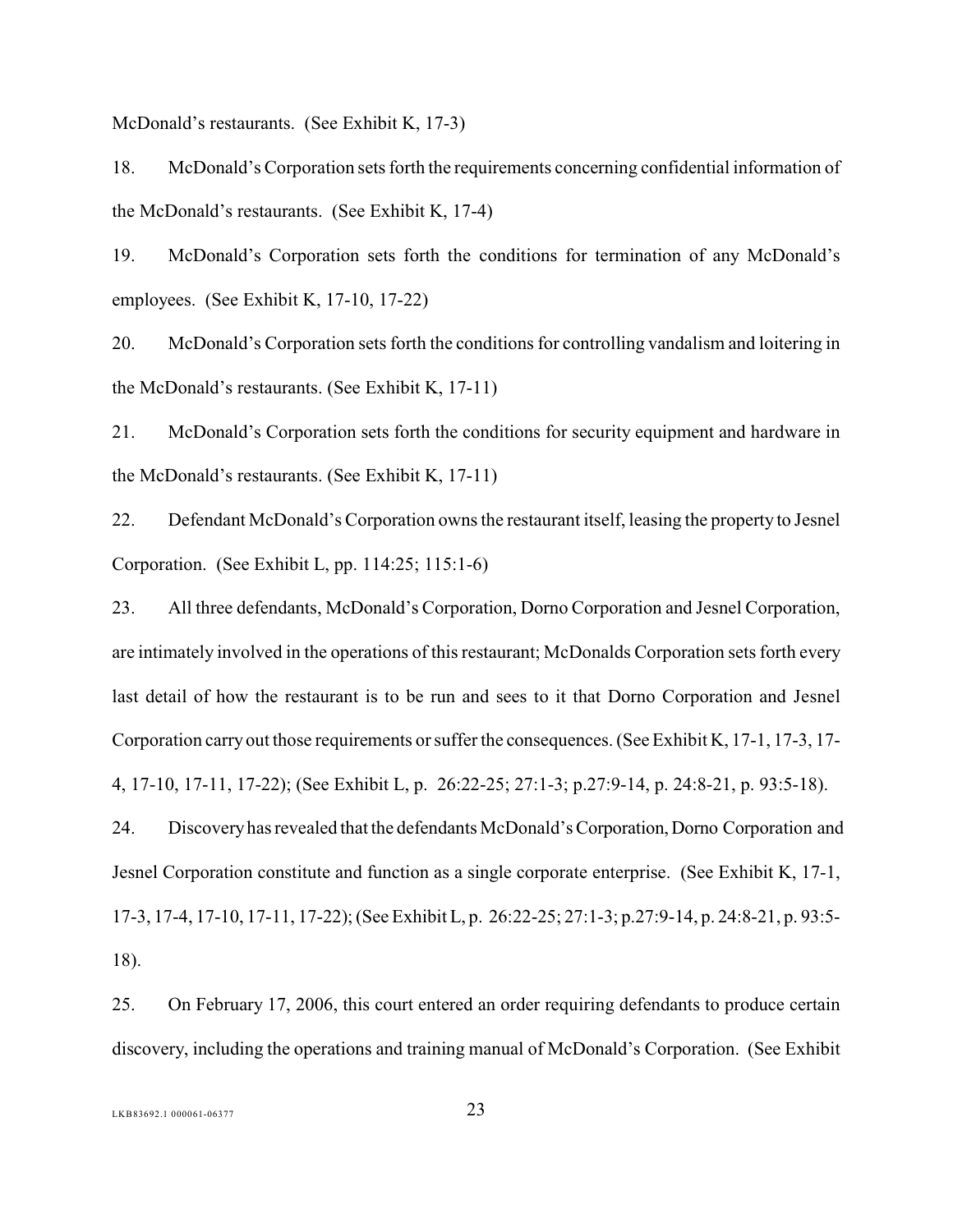McDonald's restaurants. (See Exhibit K, 17-3)

18. McDonald's Corporation sets forth the requirements concerning confidential information of the McDonald's restaurants. (See Exhibit K, 17-4)

19. McDonald's Corporation sets forth the conditions for termination of any McDonald's employees. (See Exhibit K, 17-10, 17-22)

20. McDonald's Corporation sets forth the conditions for controlling vandalism and loitering in the McDonald's restaurants. (See Exhibit K, 17-11)

21. McDonald's Corporation sets forth the conditions for security equipment and hardware in the McDonald's restaurants. (See Exhibit K, 17-11)

22. Defendant McDonald's Corporation owns the restaurant itself, leasing the property to Jesnel Corporation. (See Exhibit L, pp. 114:25; 115:1-6)

23. All three defendants, McDonald's Corporation, Dorno Corporation and Jesnel Corporation, are intimately involved in the operations of this restaurant; McDonalds Corporation sets forth every last detail of how the restaurant is to be run and sees to it that Dorno Corporation and Jesnel Corporation carry out those requirements or suffer the consequences. (See Exhibit K, 17-1, 17-3, 17- 4, 17-10, 17-11, 17-22); (See Exhibit L, p. 26:22-25; 27:1-3; p.27:9-14, p. 24:8-21, p. 93:5-18).

24. Discovery has revealed that the defendants McDonald's Corporation, Dorno Corporation and Jesnel Corporation constitute and function as a single corporate enterprise. (See Exhibit K, 17-1, 17-3, 17-4, 17-10, 17-11, 17-22); (See Exhibit L, p. 26:22-25; 27:1-3; p.27:9-14, p. 24:8-21, p. 93:5- 18).

25. On February 17, 2006, this court entered an order requiring defendants to produce certain discovery, including the operations and training manual of McDonald's Corporation. (See Exhibit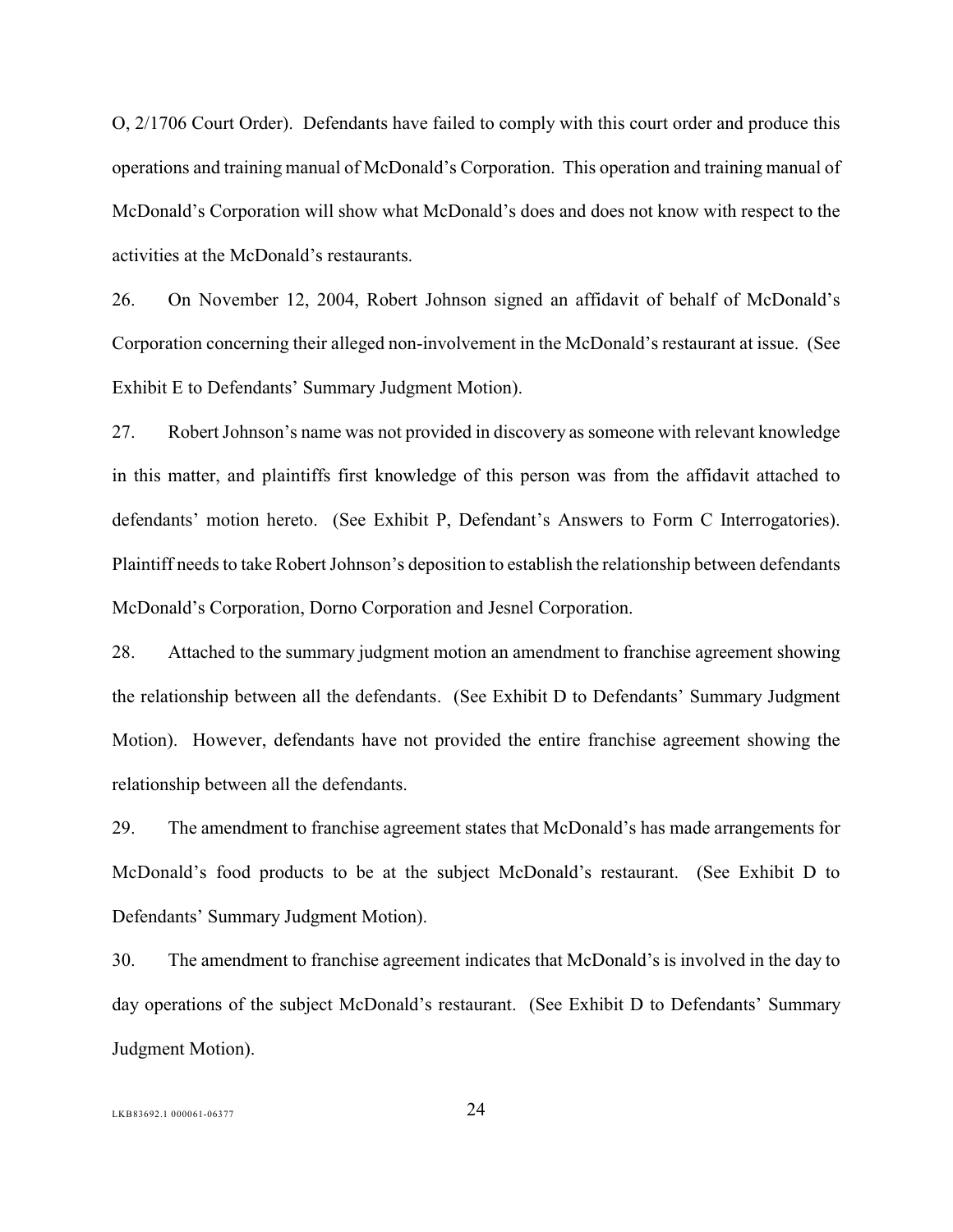O, 2/1706 Court Order).Defendants have failed to comply with this court order and produce this operations and training manual of McDonald's Corporation. This operation and training manual of McDonald's Corporation will show what McDonald's does and does not know with respect to the activities at the McDonald's restaurants.

26. On November 12, 2004, Robert Johnson signed an affidavit of behalf of McDonald's Corporation concerning their alleged non-involvement in the McDonald's restaurant at issue. (See Exhibit E to Defendants' Summary Judgment Motion).

27. Robert Johnson's name was not provided in discovery as someone with relevant knowledge in this matter, and plaintiffs first knowledge of this person was from the affidavit attached to defendants' motion hereto. (See Exhibit P, Defendant's Answers to Form C Interrogatories). Plaintiff needs to take Robert Johnson's deposition to establish the relationship between defendants McDonald's Corporation, Dorno Corporation and Jesnel Corporation.

28. Attached to the summary judgment motion an amendment to franchise agreement showing the relationship between all the defendants. (See Exhibit D to Defendants' Summary Judgment Motion). However, defendants have not provided the entire franchise agreement showing the relationship between all the defendants.

29. The amendment to franchise agreement states that McDonald's has made arrangements for McDonald's food products to be at the subject McDonald's restaurant. (See Exhibit D to Defendants' Summary Judgment Motion).

30. The amendment to franchise agreement indicates that McDonald's is involved in the day to day operations of the subject McDonald's restaurant. (See Exhibit D to Defendants' Summary Judgment Motion).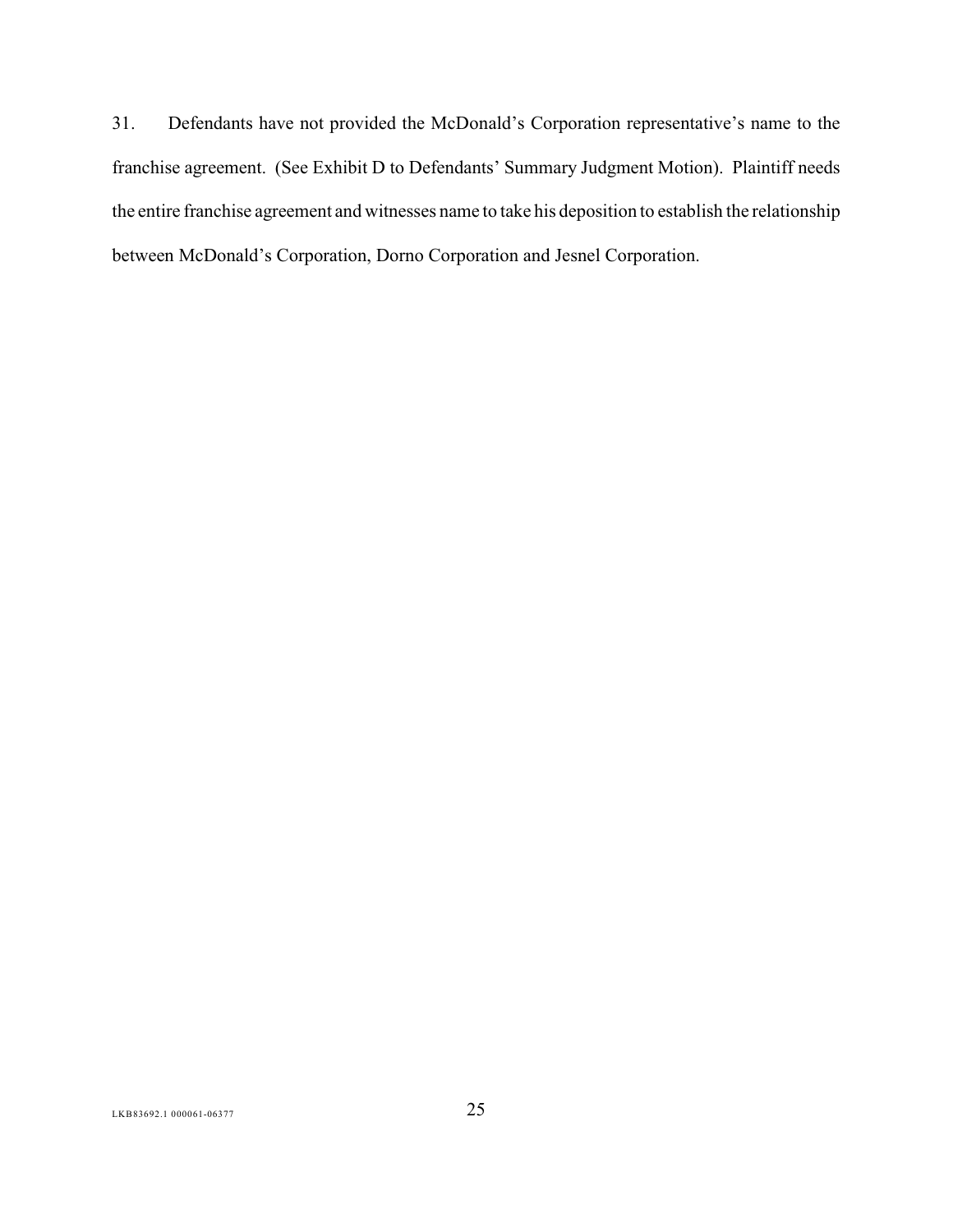31. Defendants have not provided the McDonald's Corporation representative's name to the franchise agreement. (See Exhibit D to Defendants' Summary Judgment Motion). Plaintiff needs the entire franchise agreement and witnesses name to take his deposition to establish the relationship between McDonald's Corporation, Dorno Corporation and Jesnel Corporation.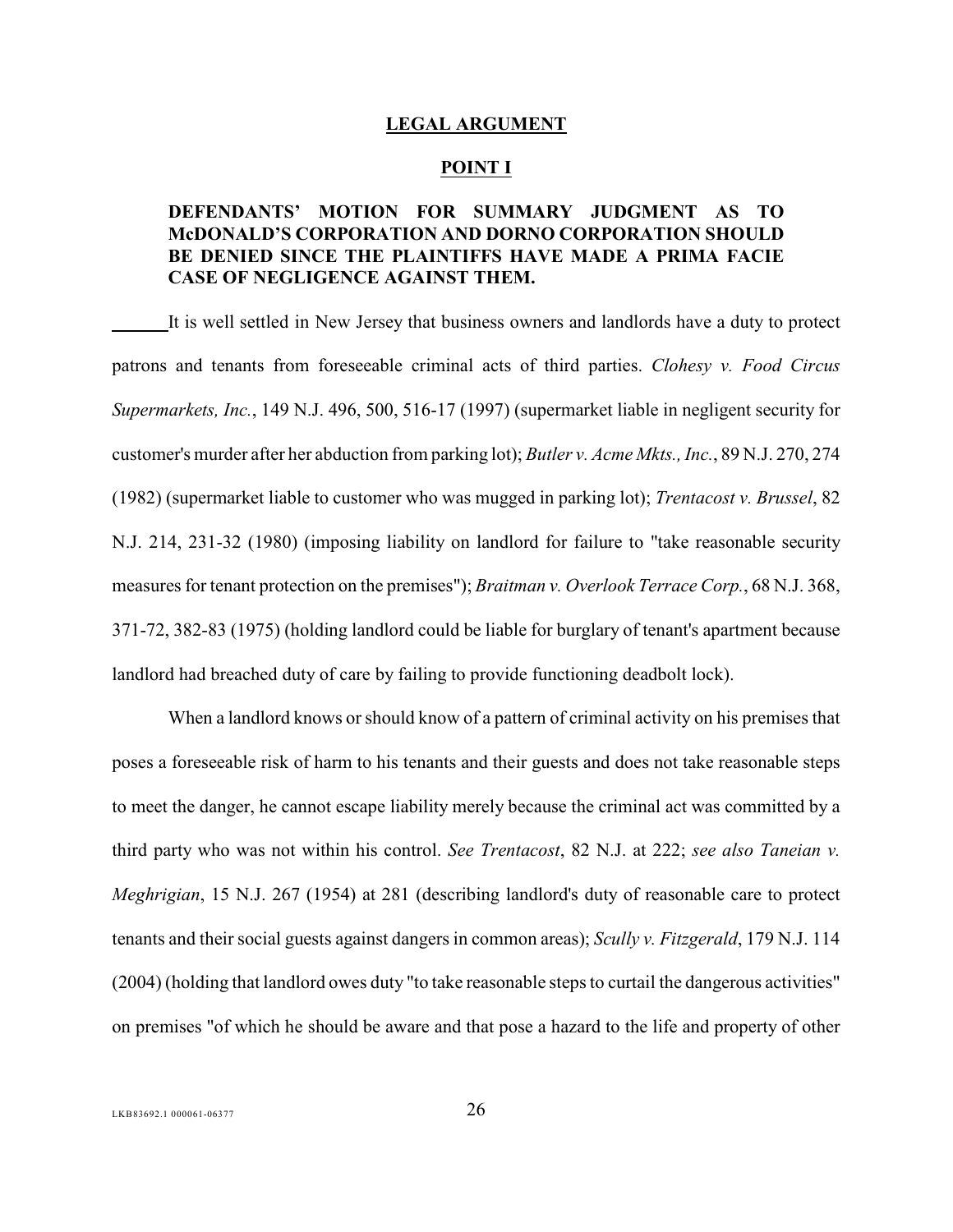#### <span id="page-30-0"></span>**LEGAL ARGUMENT**

#### <span id="page-30-7"></span><span id="page-30-4"></span><span id="page-30-3"></span><span id="page-30-1"></span>**POINT I**

### **DEFENDANTS' MOTION FOR SUMMARY JUDGMENT AS TO McDONALD'S CORPORATION AND DORNO CORPORATION SHOULD BE DENIED SINCE THE PLAINTIFFS HAVE MADE A PRIMA FACIE CASE OF NEGLIGENCE AGAINST THEM.**

It is well settled in New Jersey that business owners and landlords have a duty to protect patrons and tenants from foreseeable criminal acts of third parties. *Clohesy v. Food Circus Supermarkets, Inc.*, 149 N.J. 496, 500, 516-17 (1997) (supermarket liable in negligent security for customer's murder after her abduction from parking lot); *Butler v. Acme Mkts., Inc.*, 89 N.J. 270, 274 (1982) (supermarket liable to customer who was mugged in parking lot); *Trentacost v. Brussel*, 82 N.J. 214, 231-32 (1980) (imposing liability on landlord for failure to "take reasonable security measures for tenant protection on the premises"); *Braitman v. Overlook Terrace Corp.*, 68 N.J. 368, 371-72, 382-83 (1975) (holding landlord could be liable for burglary of tenant's apartment because landlord had breached duty of care by failing to provide functioning deadbolt lock).

<span id="page-30-6"></span><span id="page-30-5"></span><span id="page-30-2"></span>When a landlord knows or should know of a pattern of criminal activity on his premises that poses a foreseeable risk of harm to his tenants and their guests and does not take reasonable steps to meet the danger, he cannot escape liability merely because the criminal act was committed by a third party who was not within his control. *See Trentacost*, 82 N.J. at 222; *see also Taneian v. Meghrigian*, 15 N.J. 267 (1954) at 281 (describing landlord's duty of reasonable care to protect tenants and their social guests against dangers in common areas); *Scully v. Fitzgerald*, 179 N.J. 114 (2004) (holding that landlord owes duty "to take reasonable stepsto curtail the dangerous activities" on premises "of which he should be aware and that pose a hazard to the life and property of other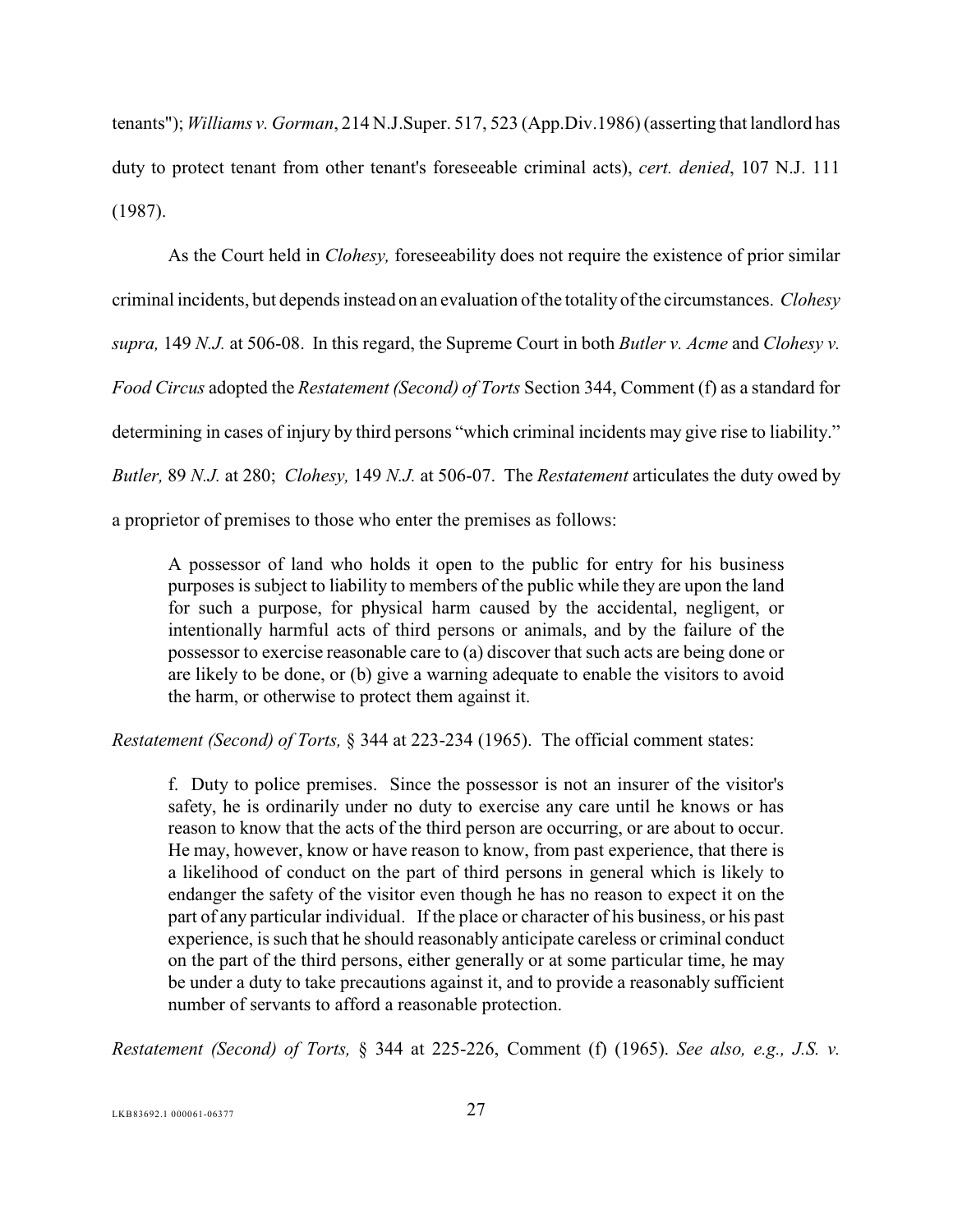<span id="page-31-2"></span>tenants"); *Williams v. Gorman*, 214 N.J.Super. 517, 523 (App.Div.1986) (asserting that landlord has duty to protect tenant from other tenant's foreseeable criminal acts), *cert. denied*, 107 N.J. 111 (1987).

<span id="page-31-0"></span>As the Court held in *Clohesy,* foreseeability does not require the existence of prior similar criminal incidents, but depends instead on an evaluation ofthe totality of the circumstances. *Clohesy supra,* 149 *N.J.* at 506-08. In this regard, the Supreme Court in both *Butler v. Acme* and *Clohesy v. Food Circus* adopted the *Restatement (Second) of Torts* Section 344, Comment (f) as a standard for determining in cases of injury by third persons "which criminal incidents may give rise to liability." *Butler,* 89 *N.J.* at 280; *Clohesy,* 149 *N.J.* at 506-07. The *Restatement* articulates the duty owed by

a proprietor of premises to those who enter the premises as follows:

<span id="page-31-3"></span>A possessor of land who holds it open to the public for entry for his business purposes is subject to liability to members of the public while they are upon the land for such a purpose, for physical harm caused by the accidental, negligent, or intentionally harmful acts of third persons or animals, and by the failure of the possessor to exercise reasonable care to (a) discover that such acts are being done or are likely to be done, or (b) give a warning adequate to enable the visitors to avoid the harm, or otherwise to protect them against it.

*Restatement (Second) of Torts,* § 344 at 223-234 (1965). The official comment states:

<span id="page-31-1"></span>f. Duty to police premises. Since the possessor is not an insurer of the visitor's safety, he is ordinarily under no duty to exercise any care until he knows or has reason to know that the acts of the third person are occurring, or are about to occur. He may, however, know or have reason to know, from past experience, that there is a likelihood of conduct on the part of third persons in general which is likely to endanger the safety of the visitor even though he has no reason to expect it on the part of any particular individual. If the place or character of his business, or his past experience, is such that he should reasonably anticipate careless or criminal conduct on the part of the third persons, either generally or at some particular time, he may be under a duty to take precautions against it, and to provide a reasonably sufficient number of servants to afford a reasonable protection.

*Restatement (Second) of Torts,* § 344 at 225-226, Comment (f) (1965). *See also, e.g., J.S. v.*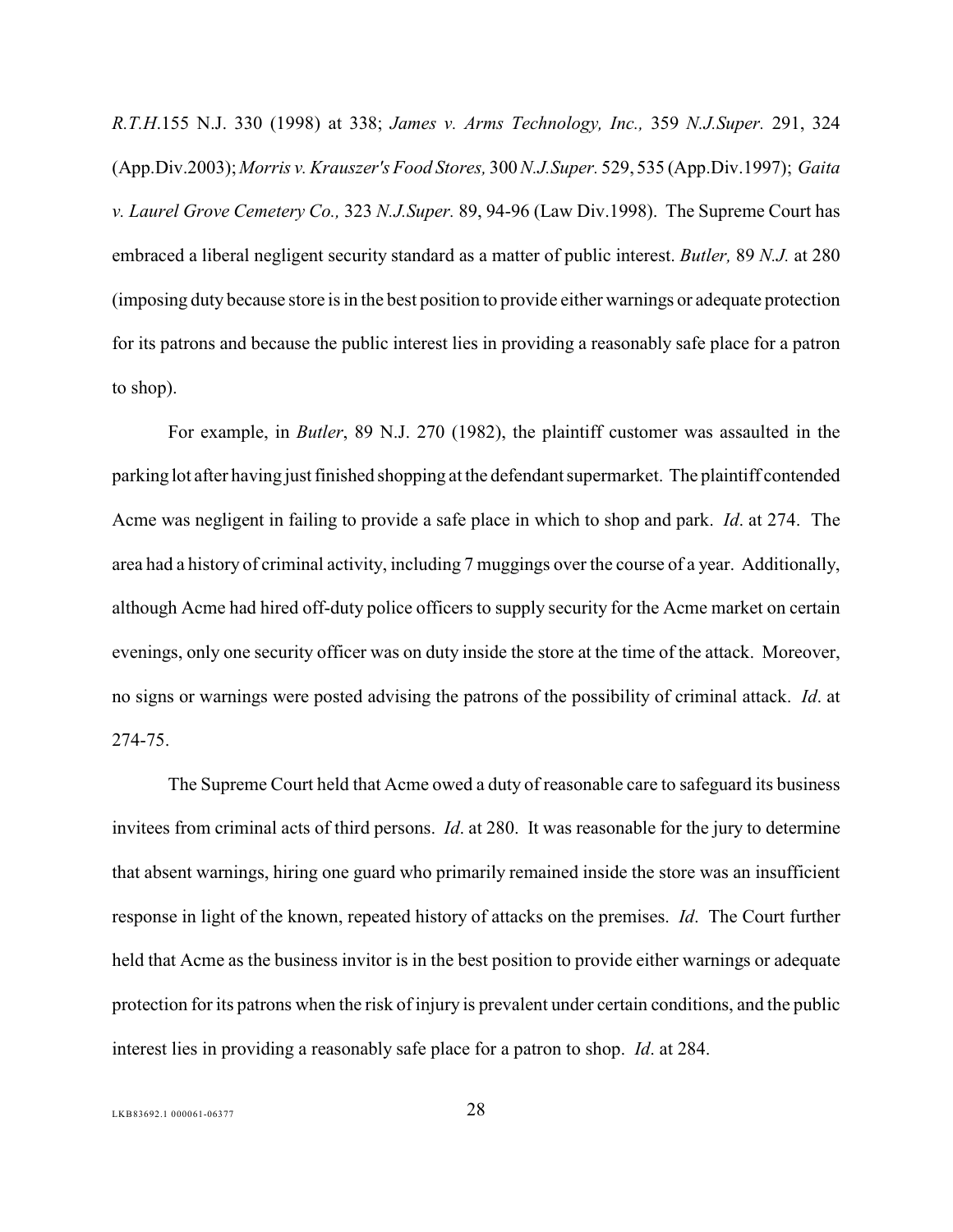<span id="page-32-2"></span><span id="page-32-1"></span><span id="page-32-0"></span>*R.T.H*.155 N.J. 330 (1998) at 338; *James v. Arms Technology, Inc.,* 359 *N.J.Super.* 291, 324 (App.Div.2003); *Morris v. Krauszer's Food Stores,* 300 *N.J.Super.* 529, 535 (App.Div.1997); *Gaita v. Laurel Grove Cemetery Co.,* 323 *N.J.Super.* 89, 94-96 (Law Div.1998). The Supreme Court has embraced a liberal negligent security standard as a matter of public interest. *Butler,* 89 *N.J.* at 280 (imposing duty because store is in the best position to provide either warnings or adequate protection for its patrons and because the public interest lies in providing a reasonably safe place for a patron to shop).

For example, in *Butler*, 89 N.J. 270 (1982), the plaintiff customer was assaulted in the parking lot after having just finished shopping at the defendant supermarket. The plaintiff contended Acme was negligent in failing to provide a safe place in which to shop and park. *Id*. at 274. The area had a history of criminal activity, including 7 muggings over the course of a year. Additionally, although Acme had hired off-duty police officers to supply security for the Acme market on certain evenings, only one security officer was on duty inside the store at the time of the attack. Moreover, no signs or warnings were posted advising the patrons of the possibility of criminal attack. *Id*. at 274-75.

The Supreme Court held that Acme owed a duty of reasonable care to safeguard its business invitees from criminal acts of third persons. *Id*. at 280. It was reasonable for the jury to determine that absent warnings, hiring one guard who primarily remained inside the store was an insufficient response in light of the known, repeated history of attacks on the premises. *Id*. The Court further held that Acme as the business invitor is in the best position to provide either warnings or adequate protection for its patrons when the risk of injury is prevalent under certain conditions, and the public interest lies in providing a reasonably safe place for a patron to shop. *Id*. at 284.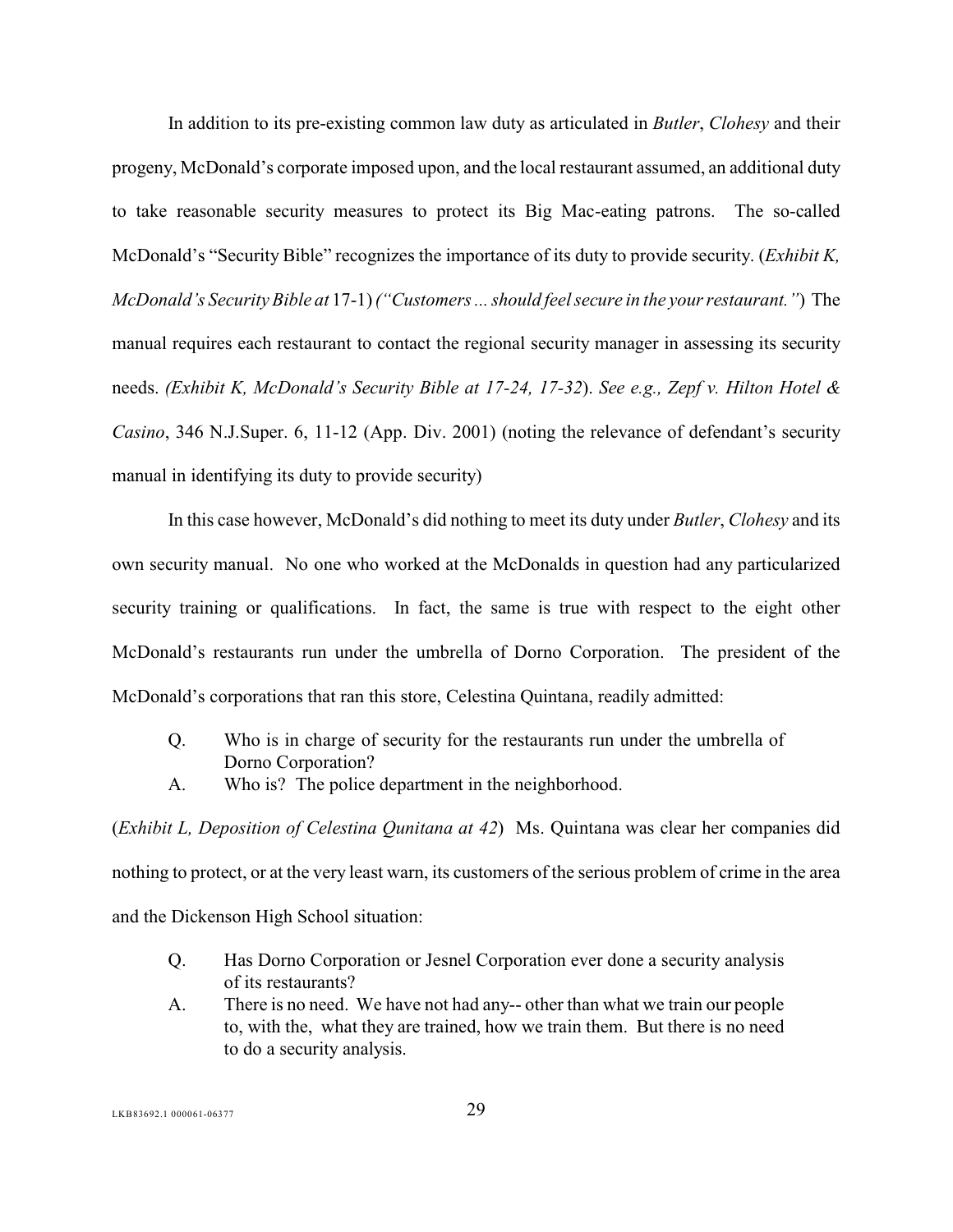<span id="page-33-0"></span>In addition to its pre-existing common law duty as articulated in *Butler*, *Clohesy* and their progeny, McDonald's corporate imposed upon, and the local restaurant assumed, an additional duty to take reasonable security measures to protect its Big Mac-eating patrons. The so-called McDonald's "Security Bible" recognizes the importance of its duty to provide security. (*Exhibit K, McDonald's Security Bible at* 17-1) *("Customers ... should feel secure in the your restaurant."*) The manual requires each restaurant to contact the regional security manager in assessing its security needs. *(Exhibit K, McDonald's Security Bible at 17-24, 17-32*). *See e.g., Zepf v. Hilton Hotel & Casino*, 346 N.J.Super. 6, 11-12 (App. Div. 2001) (noting the relevance of defendant's security manual in identifying its duty to provide security)

<span id="page-33-1"></span>In this case however, McDonald's did nothing to meet its duty under *Butler*, *Clohesy* and its own security manual. No one who worked at the McDonalds in question had any particularized security training or qualifications. In fact, the same is true with respect to the eight other McDonald's restaurants run under the umbrella of Dorno Corporation. The president of the McDonald's corporations that ran this store, Celestina Quintana, readily admitted:

- Q. Who is in charge of security for the restaurants run under the umbrella of Dorno Corporation?
- A. Who is? The police department in the neighborhood.

(*Exhibit L, Deposition of Celestina Qunitana at 42*) Ms. Quintana was clear her companies did nothing to protect, or at the very least warn, its customers of the serious problem of crime in the area and the Dickenson High School situation:

- Q. Has Dorno Corporation or Jesnel Corporation ever done a security analysis of its restaurants?
- A. There is no need. We have not had any-- other than what we train our people to, with the, what they are trained, how we train them. But there is no need to do a security analysis.

LKB83692.1 000061-06377 29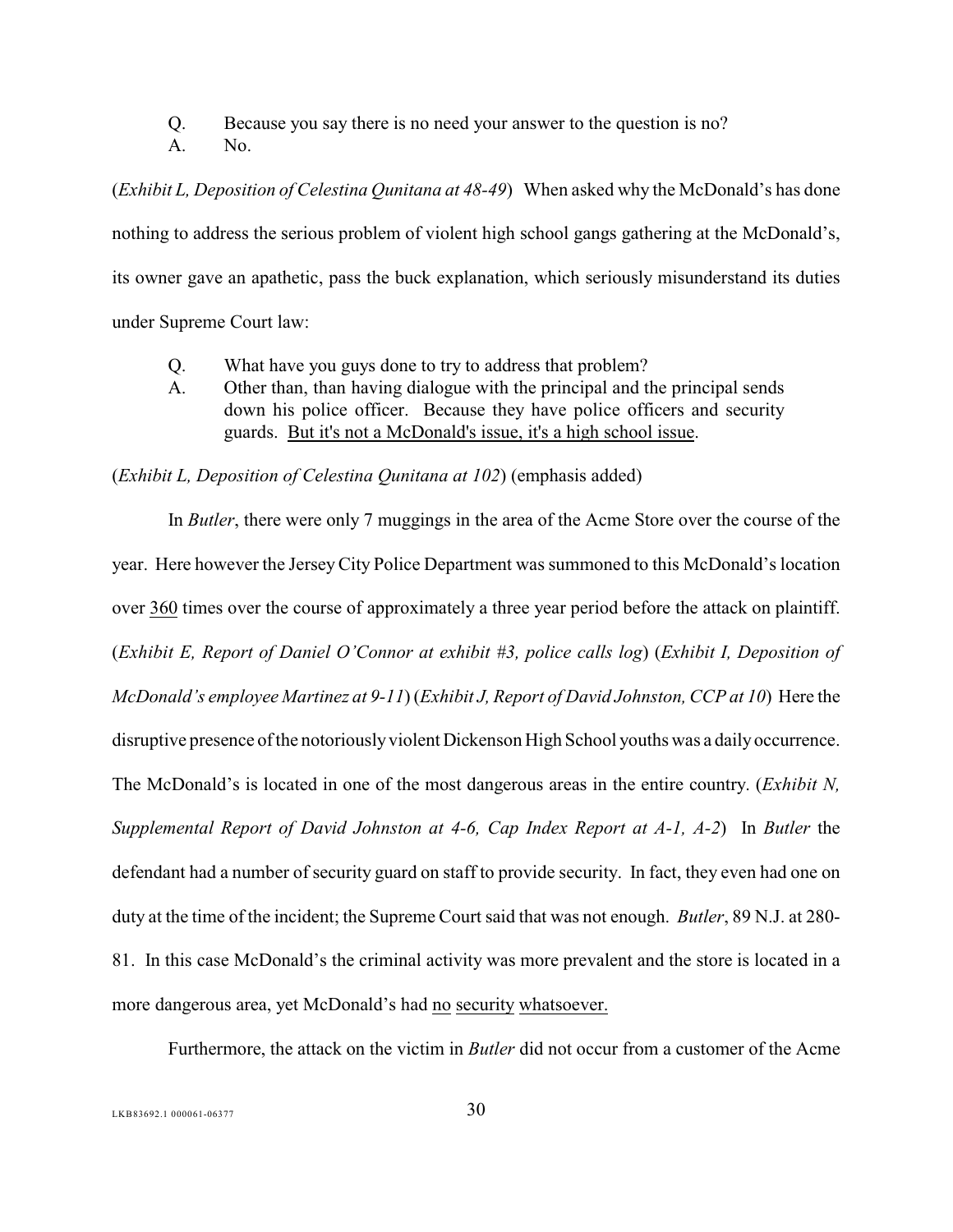Q. Because you say there is no need your answer to the question is no?

A. No.

(*Exhibit L, Deposition of Celestina Qunitana at 48-49*) When asked why the McDonald's has done nothing to address the serious problem of violent high school gangs gathering at the McDonald's, its owner gave an apathetic, pass the buck explanation, which seriously misunderstand its duties under Supreme Court law:

- Q. What have you guys done to try to address that problem?
- A. Other than, than having dialogue with the principal and the principal sends down his police officer. Because they have police officers and security guards. But it's not a McDonald's issue, it's a high school issue.

(*Exhibit L, Deposition of Celestina Qunitana at 102*) (emphasis added)

<span id="page-34-0"></span>In *Butler*, there were only 7 muggings in the area of the Acme Store over the course of the year. Here however the JerseyCity Police Department was summoned to this McDonald's location over 360 times over the course of approximately a three year period before the attack on plaintiff. (*Exhibit E, Report of Daniel O'Connor at exhibit #3, police calls log*) (*Exhibit I, Deposition of McDonald's employee Martinez at 9-11*) (*Exhibit J, Report of David Johnston, CCP at 10*) Here the disruptive presence of the notoriously violent Dickenson High School youths was a daily occurrence. The McDonald's is located in one of the most dangerous areas in the entire country. (*Exhibit N, Supplemental Report of David Johnston at 4-6, Cap Index Report at A-1, A-2*) In *Butler* the defendant had a number of security guard on staff to provide security. In fact, they even had one on duty at the time of the incident; the Supreme Court said that was not enough. *Butler*, 89 N.J. at 280- 81. In this case McDonald's the criminal activity was more prevalent and the store is located in a more dangerous area, yet McDonald's had no security whatsoever.

Furthermore, the attack on the victim in *Butler* did not occur from a customer of the Acme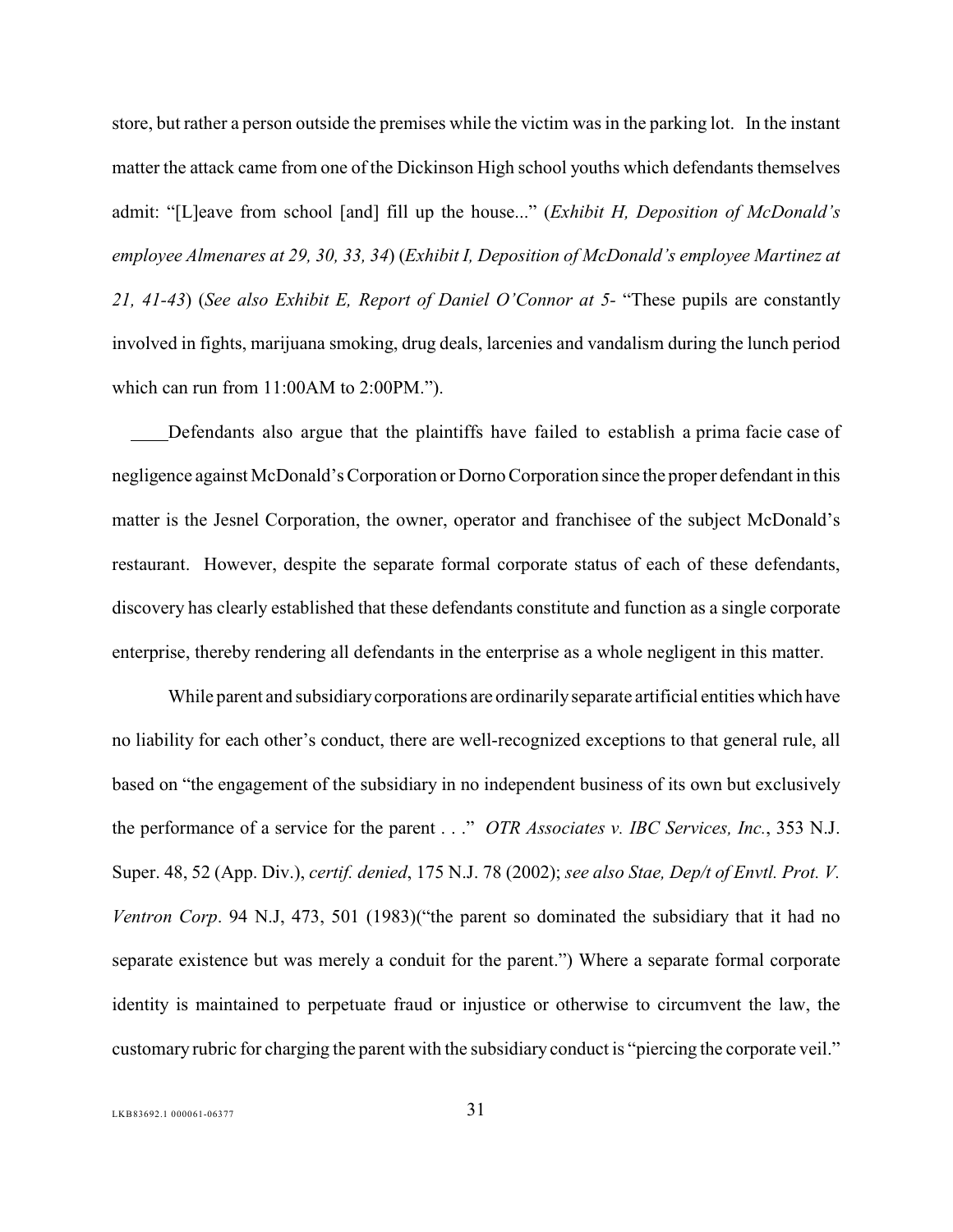store, but rather a person outside the premises while the victim was in the parking lot. In the instant matter the attack came from one of the Dickinson High school youths which defendants themselves admit: "[L]eave from school [and] fill up the house..." (*Exhibit H, Deposition of McDonald's employee Almenares at 29, 30, 33, 34*) (*Exhibit I, Deposition of McDonald's employee Martinez at 21, 41-43*) (*See also Exhibit E, Report of Daniel O'Connor at 5-* "These pupils are constantly involved in fights, marijuana smoking, drug deals, larcenies and vandalism during the lunch period which can run from 11:00AM to 2:00PM.").

 Defendants also argue that the plaintiffs have failed to establish a prima facie case of negligence against McDonald's Corporation or Dorno Corporation since the proper defendant in this matter is the Jesnel Corporation, the owner, operator and franchisee of the subject McDonald's restaurant. However, despite the separate formal corporate status of each of these defendants, discovery has clearly established that these defendants constitute and function as a single corporate enterprise, thereby rendering all defendants in the enterprise as a whole negligent in this matter. ---

<span id="page-35-1"></span><span id="page-35-0"></span>While parent and subsidiary corporations are ordinarily separate artificial entities which have no liability for each other's conduct, there are well-recognized exceptions to that general rule, all based on "the engagement of the subsidiary in no independent business of its own but exclusively the performance of a service for the parent . . ." *OTR Associates v. IBC Services, Inc.*, 353 N.J. Super. 48, 52 (App. Div.), *certif. denied*, 175 N.J. 78 (2002); *see also Stae, Dep/t of Envtl. Prot. V. Ventron Corp*. 94 N.J, 473, 501 (1983)("the parent so dominated the subsidiary that it had no separate existence but was merely a conduit for the parent.") Where a separate formal corporate identity is maintained to perpetuate fraud or injustice or otherwise to circumvent the law, the customary rubric for charging the parent with the subsidiary conduct is "piercing the corporate veil."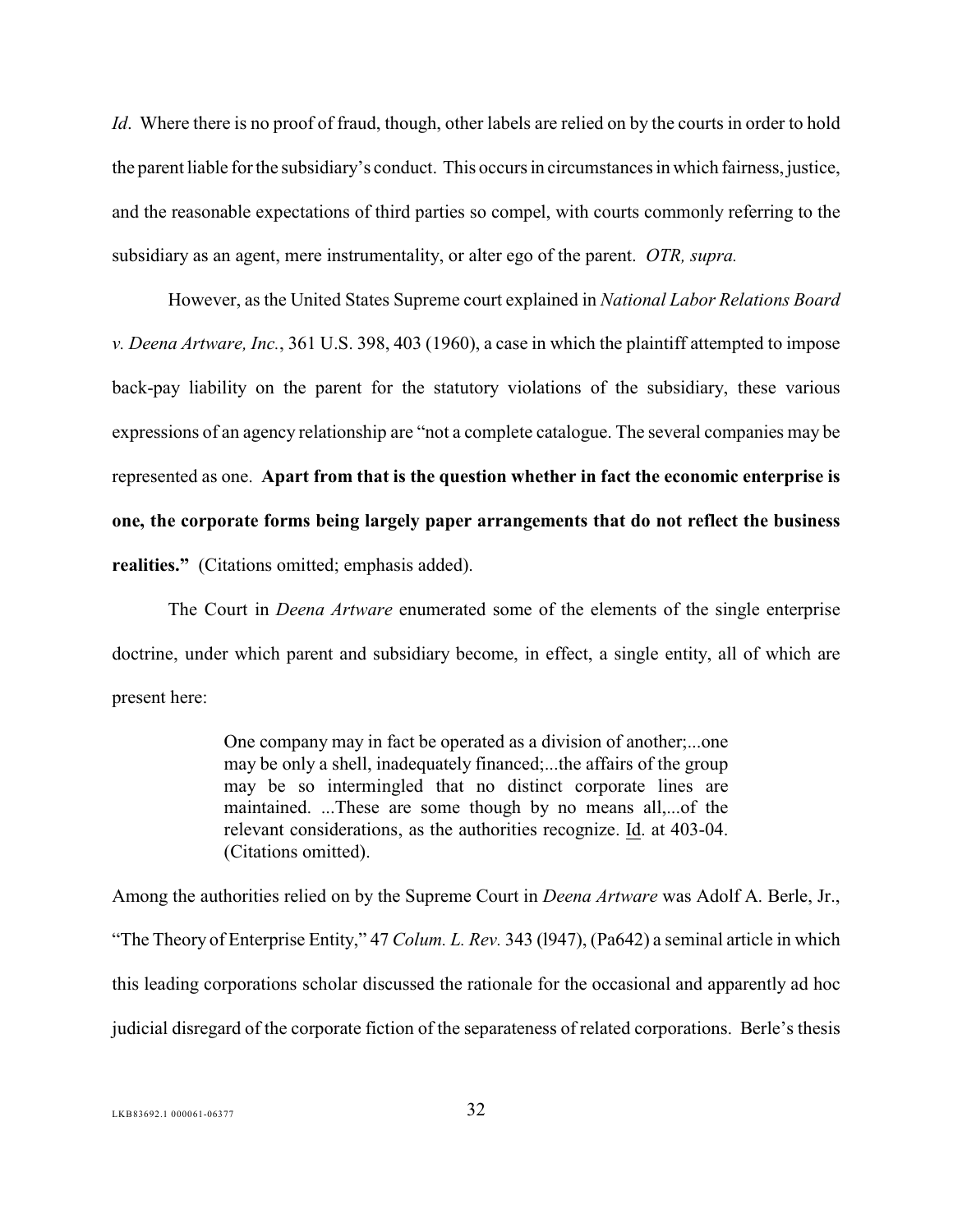*Id*. Where there is no proof of fraud, though, other labels are relied on by the courts in order to hold the parent liable for the subsidiary's conduct. This occurs in circumstances in which fairness, justice, and the reasonable expectations of third parties so compel, with courts commonly referring to the subsidiary as an agent, mere instrumentality, or alter ego of the parent. *OTR, supra.*

<span id="page-36-1"></span><span id="page-36-0"></span>However, as the United States Supreme court explained in *National Labor Relations Board v. Deena Artware, Inc.*, 361 U.S. 398, 403 (1960), a case in which the plaintiff attempted to impose back-pay liability on the parent for the statutory violations of the subsidiary, these various expressions of an agency relationship are "not a complete catalogue. The several companies may be represented as one. **Apart from that is the question whether in fact the economic enterprise is one, the corporate forms being largely paper arrangements that do not reflect the business realities."** (Citations omitted; emphasis added).

The Court in *Deena Artware* enumerated some of the elements of the single enterprise doctrine, under which parent and subsidiary become, in effect, a single entity, all of which are present here:

> <span id="page-36-2"></span>One company may in fact be operated as a division of another;...one may be only a shell, inadequately financed;...the affairs of the group may be so intermingled that no distinct corporate lines are maintained. ...These are some though by no means all,...of the relevant considerations, as the authorities recognize. Id. at 403-04. (Citations omitted).

Among the authorities relied on by the Supreme Court in *Deena Artware* was Adolf A. Berle, Jr., "The Theory of Enterprise Entity," 47 *Colum. L. Rev.* 343 (l947), (Pa642) a seminal article in which this leading corporations scholar discussed the rationale for the occasional and apparently ad hoc judicial disregard of the corporate fiction of the separateness of related corporations. Berle's thesis

LKB83692.1 000061-06377 32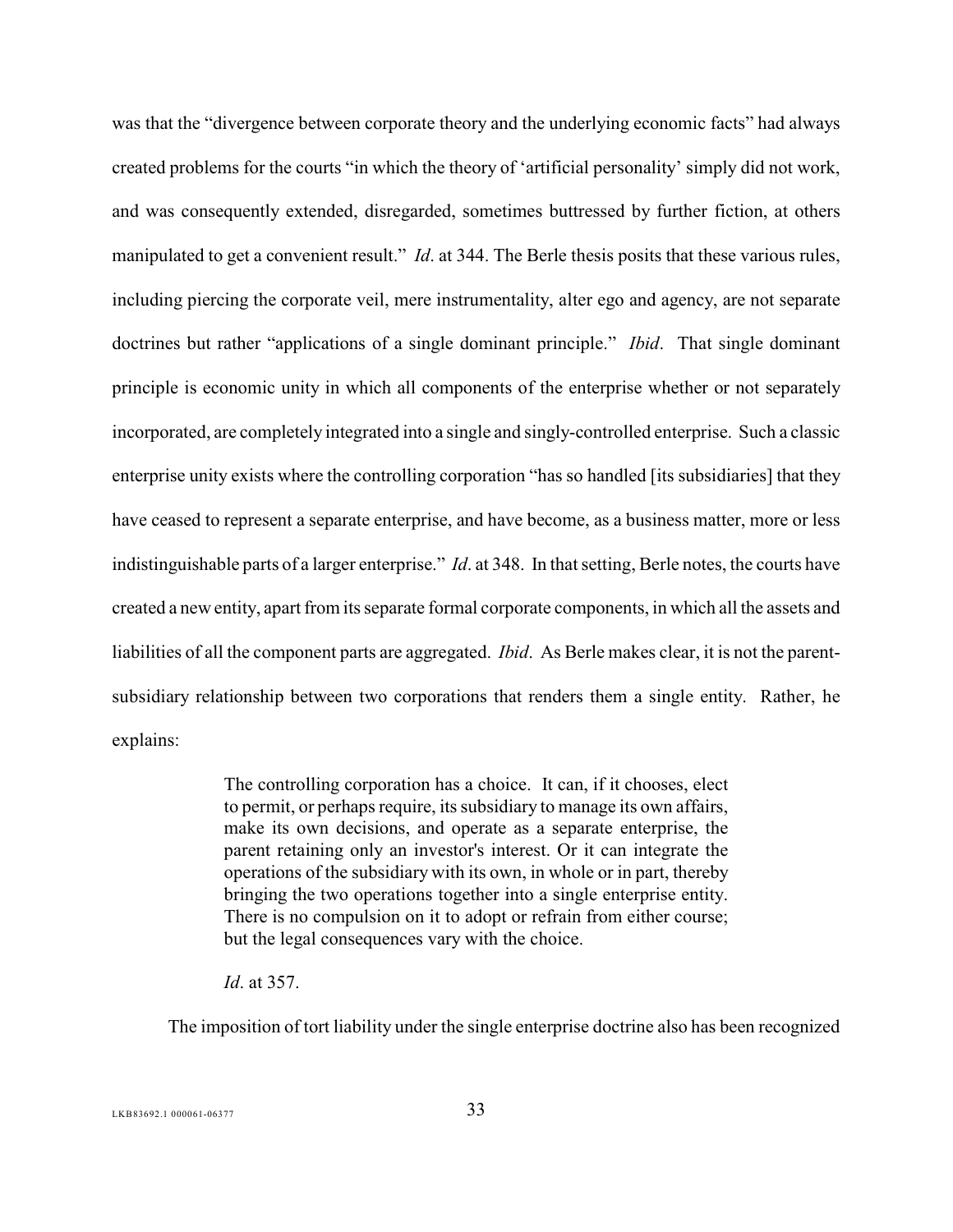was that the "divergence between corporate theory and the underlying economic facts" had always created problems for the courts "in which the theory of 'artificial personality' simply did not work, and was consequently extended, disregarded, sometimes buttressed by further fiction, at others manipulated to get a convenient result." *Id*. at 344. The Berle thesis posits that these various rules, including piercing the corporate veil, mere instrumentality, alter ego and agency, are not separate doctrines but rather "applications of a single dominant principle." *Ibid*. That single dominant principle is economic unity in which all components of the enterprise whether or not separately incorporated, are completely integrated into a single and singly-controlled enterprise. Such a classic enterprise unity exists where the controlling corporation "has so handled [its subsidiaries] that they have ceased to represent a separate enterprise, and have become, as a business matter, more or less indistinguishable parts of a larger enterprise." *Id*. at 348. In that setting, Berle notes, the courts have created a new entity, apart from its separate formal corporate components, in which all the assets and liabilities of all the component parts are aggregated. *Ibid*. As Berle makes clear, it is not the parentsubsidiary relationship between two corporations that renders them a single entity. Rather, he explains:

> The controlling corporation has a choice. It can, if it chooses, elect to permit, or perhaps require, its subsidiary to manage its own affairs, make its own decisions, and operate as a separate enterprise, the parent retaining only an investor's interest. Or it can integrate the operations of the subsidiary with its own, in whole or in part, thereby bringing the two operations together into a single enterprise entity. There is no compulsion on it to adopt or refrain from either course; but the legal consequences vary with the choice.

*Id*. at 357.

The imposition of tort liability under the single enterprise doctrine also has been recognized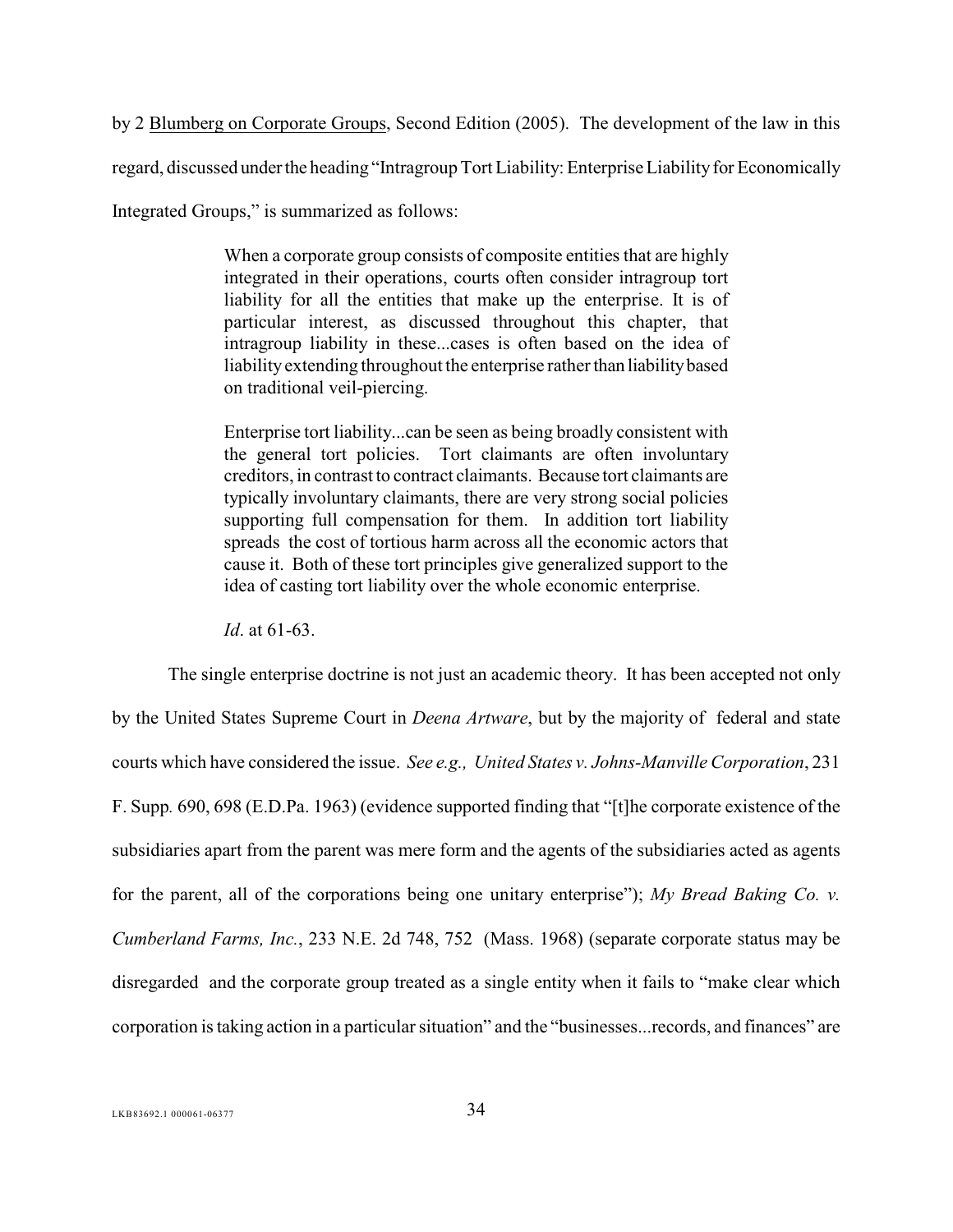<span id="page-38-2"></span>by 2 Blumberg on Corporate Groups, Second Edition (2005). The development of the law in this regard, discussed under the heading "Intragroup Tort Liability: Enterprise Liability for Economically Integrated Groups," is summarized as follows:

> When a corporate group consists of composite entities that are highly integrated in their operations, courts often consider intragroup tort liability for all the entities that make up the enterprise. It is of particular interest, as discussed throughout this chapter, that intragroup liability in these...cases is often based on the idea of liability extending throughout the enterprise rather than liability based on traditional veil-piercing.

Enterprise tort liability...can be seen as being broadly consistent with the general tort policies. Tort claimants are often involuntary creditors, in contrast to contract claimants. Because tort claimants are typically involuntary claimants, there are very strong social policies supporting full compensation for them. In addition tort liability spreads the cost of tortious harm across all the economic actors that cause it. Both of these tort principles give generalized support to the idea of casting tort liability over the whole economic enterprise.

<span id="page-38-1"></span><span id="page-38-0"></span>*Id*. at 61-63.

The single enterprise doctrine is not just an academic theory. It has been accepted not only by the United States Supreme Court in *Deena Artware*, but by the majority of federal and state courts which have considered the issue. *See e.g., United States v. Johns-Manville Corporation*, 231 F. Supp*.* 690, 698 (E.D.Pa. 1963) (evidence supported finding that "[t]he corporate existence of the subsidiaries apart from the parent was mere form and the agents of the subsidiaries acted as agents for the parent, all of the corporations being one unitary enterprise"); *My Bread Baking Co. v. Cumberland Farms, Inc.*, 233 N.E. 2d 748, 752 (Mass. 1968) (separate corporate status may be disregarded and the corporate group treated as a single entity when it fails to "make clear which corporation is taking action in a particular situation" and the "businesses...records, and finances" are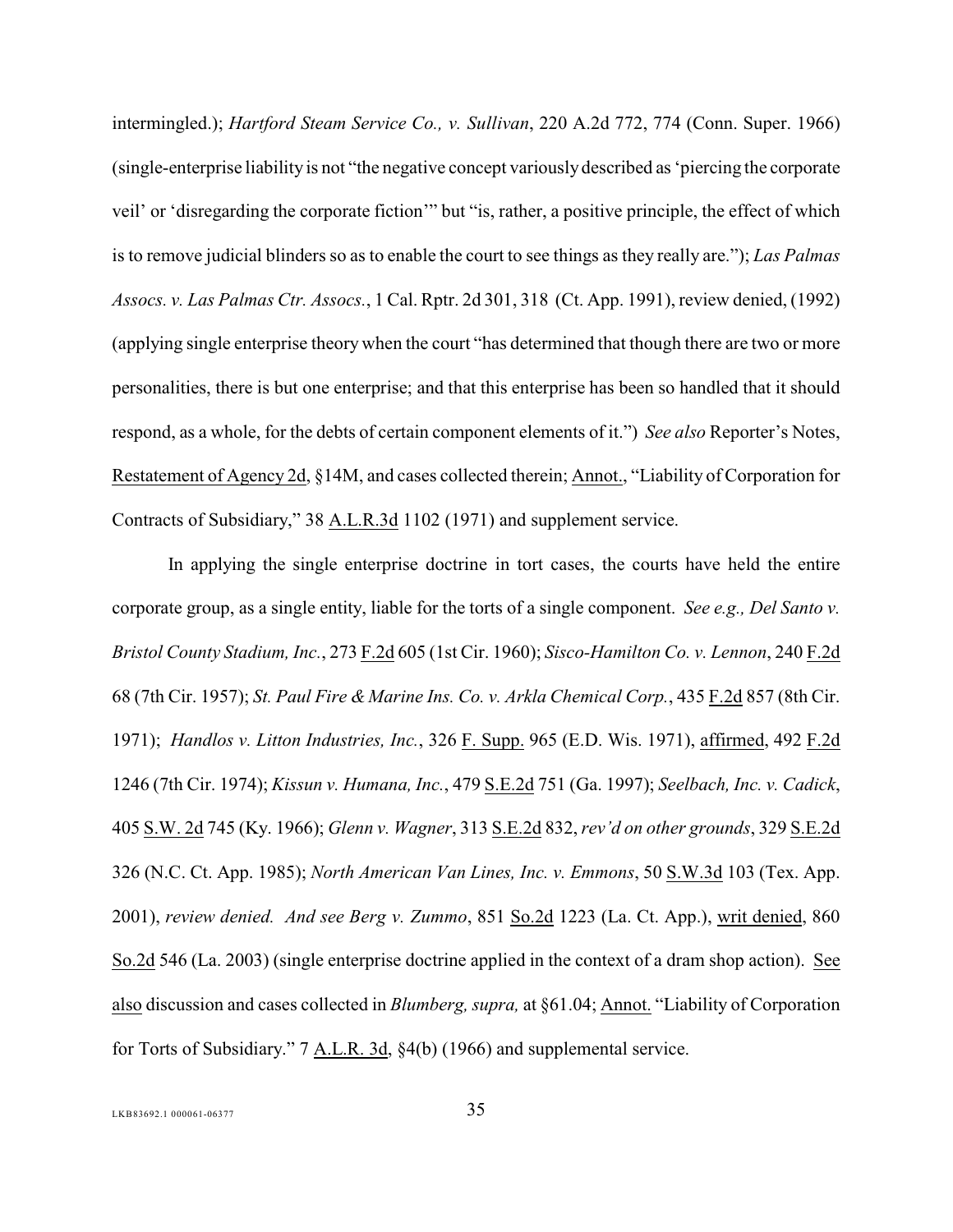<span id="page-39-6"></span><span id="page-39-4"></span>intermingled.); *Hartford Steam Service Co., v. Sullivan*, 220 A.2d 772, 774 (Conn. Super. 1966) (single-enterprise liability is not "the negative concept variously described as 'piercing the corporate veil' or 'disregarding the corporate fiction'" but "is, rather, a positive principle, the effect of which is to remove judicial blinders so as to enable the court to see things as they really are."); *Las Palmas Assocs. v. Las Palmas Ctr. Assocs.*, 1 Cal. Rptr. 2d 301, 318 (Ct. App. 1991), review denied, (1992) (applying single enterprise theory when the court "has determined that though there are two or more personalities, there is but one enterprise; and that this enterprise has been so handled that it should respond, as a whole, for the debts of certain component elements of it.") *See also* Reporter's Notes, Restatement of Agency 2d, §14M, and cases collected therein; Annot., "Liability of Corporation for Contracts of Subsidiary," 38 A.L.R.3d 1102 (1971) and supplement service.

<span id="page-39-13"></span><span id="page-39-12"></span><span id="page-39-11"></span><span id="page-39-10"></span><span id="page-39-9"></span><span id="page-39-8"></span><span id="page-39-7"></span><span id="page-39-5"></span><span id="page-39-3"></span><span id="page-39-2"></span><span id="page-39-1"></span><span id="page-39-0"></span>In applying the single enterprise doctrine in tort cases, the courts have held the entire corporate group, as a single entity, liable for the torts of a single component. *See e.g., Del Santo v. Bristol County Stadium, Inc.*, 273 F.2d 605 (1st Cir. 1960); *Sisco-Hamilton Co. v. Lennon*, 240 F.2d 68 (7th Cir. 1957); *St. Paul Fire & Marine Ins. Co. v. Arkla Chemical Corp.*, 435 F.2d 857 (8th Cir. 1971); *Handlos v. Litton Industries, Inc.*, 326 F. Supp. 965 (E.D. Wis. 1971), affirmed, 492 F.2d 1246 (7th Cir. 1974); *Kissun v. Humana, Inc.*, 479 S.E.2d 751 (Ga. 1997); *Seelbach, Inc. v. Cadick*, 405 S.W. 2d 745 (Ky. 1966); *Glenn v. Wagner*, 313 S.E.2d 832, *rev'd on other grounds*, 329 S.E.2d 326 (N.C. Ct. App. 1985); *North American Van Lines, Inc. v. Emmons*, 50 S.W.3d 103 (Tex. App. 2001), *review denied. And see Berg v. Zummo*, 851 So.2d 1223 (La. Ct. App.), writ denied, 860 So.2d 546 (La. 2003) (single enterprise doctrine applied in the context of a dram shop action). See also discussion and cases collected in *Blumberg, supra,* at §61.04; Annot. "Liability of Corporation for Torts of Subsidiary." 7 A.L.R. 3d, §4(b) (1966) and supplemental service.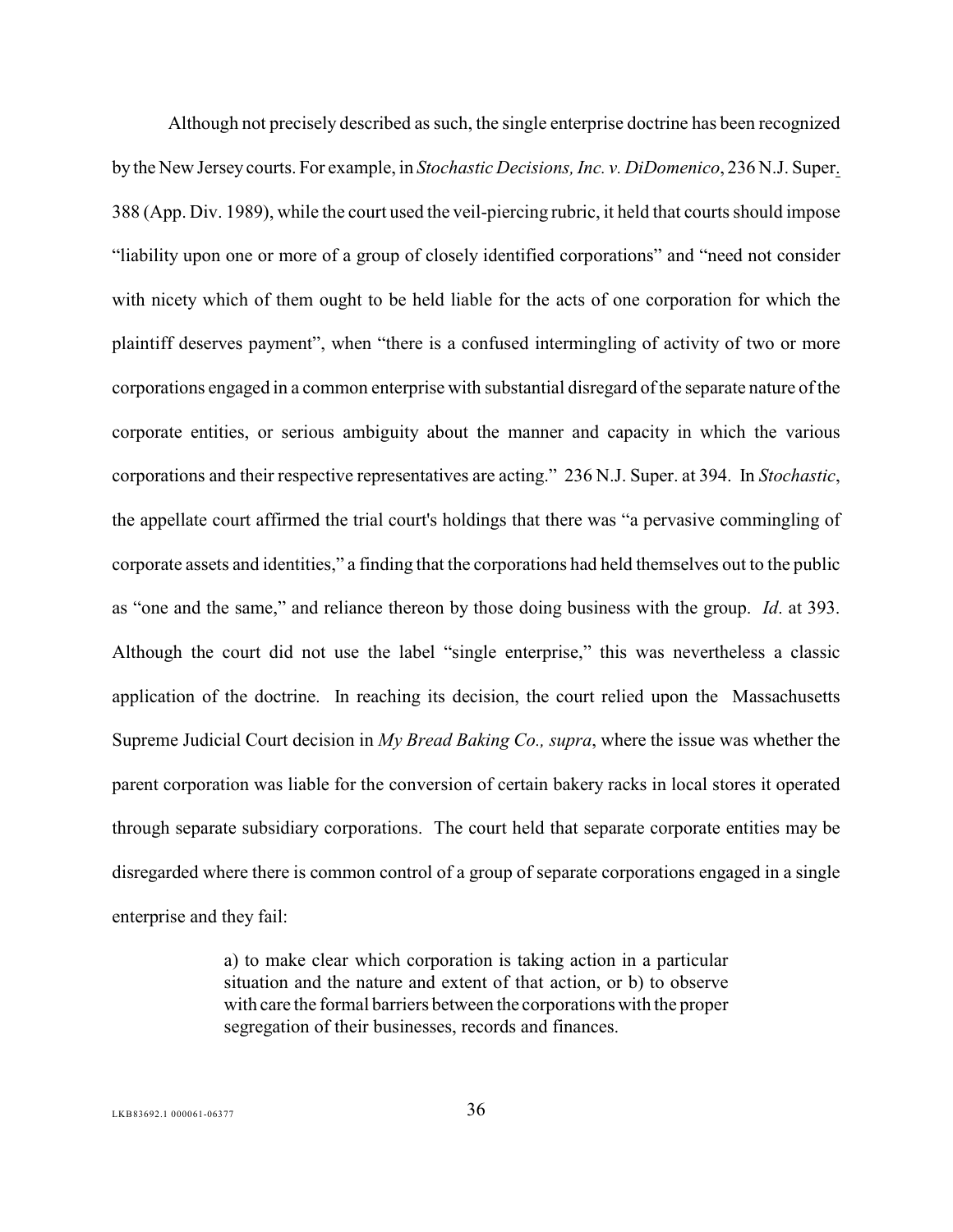<span id="page-40-1"></span>Although not precisely described as such, the single enterprise doctrine has been recognized by the New Jersey courts. For example, in *Stochastic Decisions, Inc. v. DiDomenico*, 236 N.J. Super. -388 (App. Div. 1989), while the court used the veil-piercing rubric, it held that courts should impose "liability upon one or more of a group of closely identified corporations" and "need not consider with nicety which of them ought to be held liable for the acts of one corporation for which the plaintiff deserves payment", when "there is a confused intermingling of activity of two or more corporations engaged in a common enterprise with substantial disregard of the separate nature of the corporate entities, or serious ambiguity about the manner and capacity in which the various corporations and their respective representatives are acting." 236 N.J. Super. at 394. In *Stochastic*, the appellate court affirmed the trial court's holdings that there was "a pervasive commingling of corporate assets and identities," a finding that the corporations had held themselves out to the public as "one and the same," and reliance thereon by those doing business with the group. *Id*. at 393. Although the court did not use the label "single enterprise," this was nevertheless a classic application of the doctrine. In reaching its decision, the court relied upon the Massachusetts Supreme Judicial Court decision in *My Bread Baking Co., supra*, where the issue was whether the parent corporation was liable for the conversion of certain bakery racks in local stores it operated through separate subsidiary corporations. The court held that separate corporate entities may be disregarded where there is common control of a group of separate corporations engaged in a single enterprise and they fail:

> <span id="page-40-0"></span>a) to make clear which corporation is taking action in a particular situation and the nature and extent of that action, or b) to observe with care the formal barriers between the corporations with the proper segregation of their businesses, records and finances.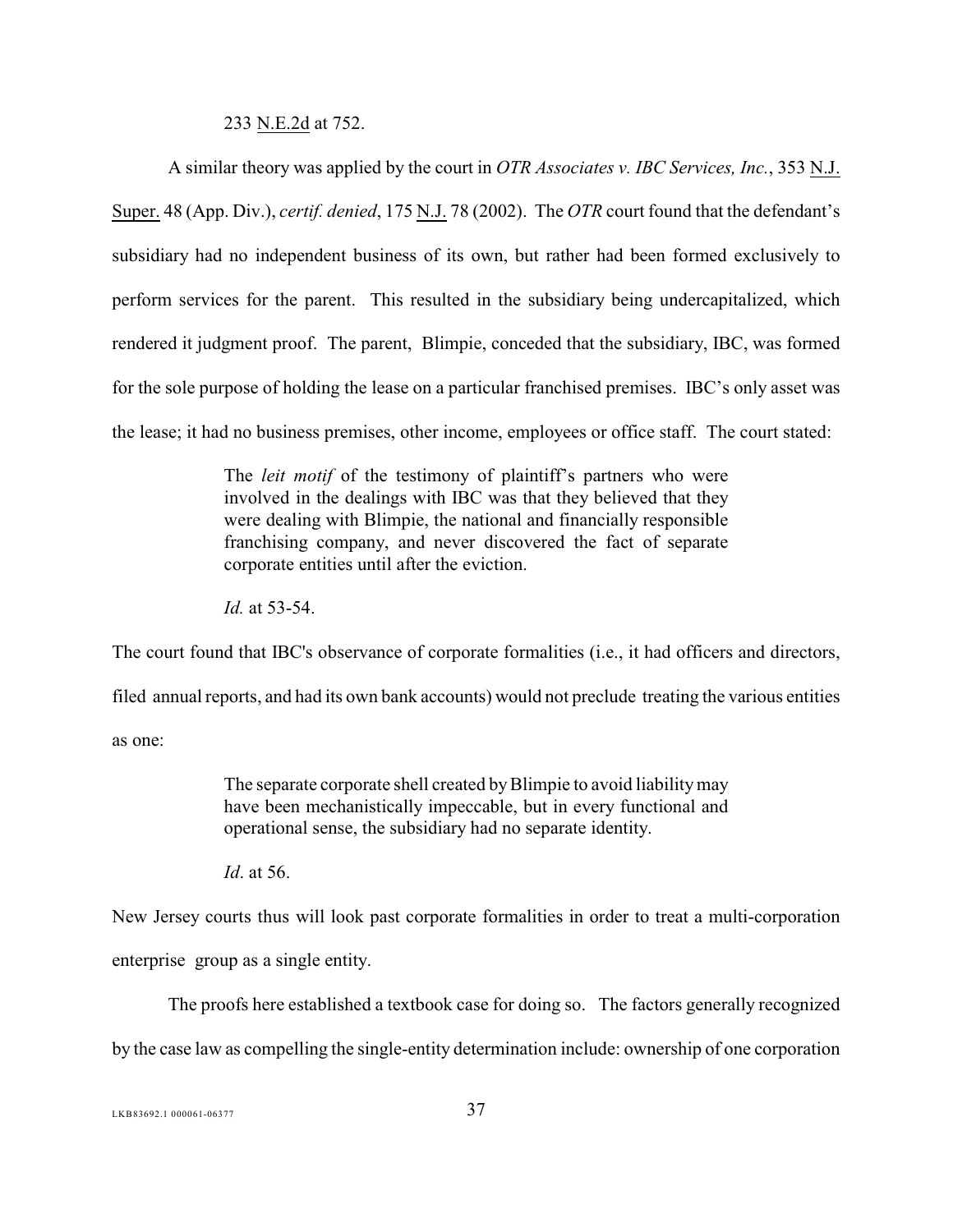#### <span id="page-41-0"></span>233 N.E.2d at 752.

A similar theory was applied by the court in *OTR Associates v. IBC Services, Inc.*, 353 N.J. Super. 48 (App. Div.), *certif. denied*, 175 N.J. 78 (2002). The *OTR* court found that the defendant's subsidiary had no independent business of its own, but rather had been formed exclusively to perform services for the parent. This resulted in the subsidiary being undercapitalized, which rendered it judgment proof. The parent, Blimpie, conceded that the subsidiary, IBC, was formed for the sole purpose of holding the lease on a particular franchised premises. IBC's only asset was the lease; it had no business premises, other income, employees or office staff. The court stated:

> The *leit motif* of the testimony of plaintiff's partners who were involved in the dealings with IBC was that they believed that they were dealing with Blimpie, the national and financially responsible franchising company, and never discovered the fact of separate corporate entities until after the eviction.

*Id.* at 53-54.

The court found that IBC's observance of corporate formalities (i.e., it had officers and directors, filed annual reports, and had its own bank accounts) would not preclude treating the various entities as one:

> The separate corporate shell created by Blimpie to avoid liability may have been mechanistically impeccable, but in every functional and operational sense, the subsidiary had no separate identity.

*Id*. at 56.

New Jersey courts thus will look past corporate formalities in order to treat a multi-corporation enterprise group as a single entity.

The proofs here established a textbook case for doing so. The factors generally recognized by the case law as compelling the single-entity determination include: ownership of one corporation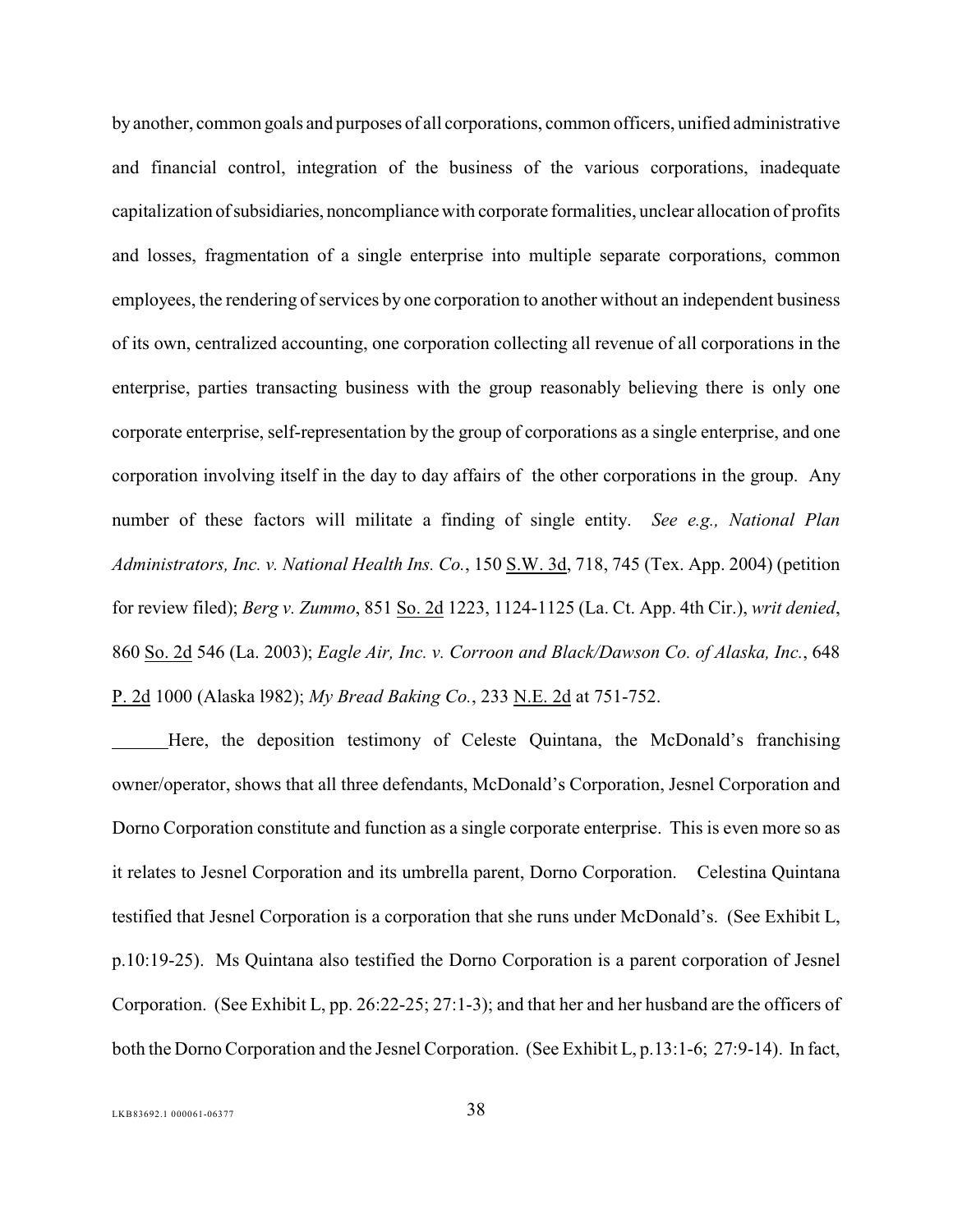by another, common goals and purposes of all corporations, common officers, unified administrative and financial control, integration of the business of the various corporations, inadequate capitalization of subsidiaries, noncompliance with corporate formalities, unclear allocation of profits and losses, fragmentation of a single enterprise into multiple separate corporations, common employees, the rendering of services by one corporation to another without an independent business of its own, centralized accounting, one corporation collecting all revenue of all corporations in the enterprise, parties transacting business with the group reasonably believing there is only one corporate enterprise, self-representation by the group of corporations as a single enterprise, and one corporation involving itself in the day to day affairs of the other corporations in the group. Any number of these factors will militate a finding of single entity. *See e.g., National Plan Administrators, Inc. v. National Health Ins. Co.*, 150 S.W. 3d, 718, 745 (Tex. App. 2004) (petition for review filed); *Berg v. Zummo*, 851 So. 2d 1223, 1124-1125 (La. Ct. App. 4th Cir.), *writ denied*, 860 So. 2d 546 (La. 2003); *Eagle Air, Inc. v. Corroon and Black/Dawson Co. of Alaska, Inc.*, 648 P. 2d 1000 (Alaska l982); *My Bread Baking Co.*, 233 N.E. 2d at 751-752.

<span id="page-42-3"></span><span id="page-42-2"></span><span id="page-42-1"></span><span id="page-42-0"></span>Here, the deposition testimony of Celeste Quintana, the McDonald's franchising owner/operator, shows that all three defendants, McDonald's Corporation, Jesnel Corporation and Dorno Corporation constitute and function as a single corporate enterprise. This is even more so as it relates to Jesnel Corporation and its umbrella parent, Dorno Corporation. Celestina Quintana testified that Jesnel Corporation is a corporation that she runs under McDonald's. (See Exhibit L, p.10:19-25). Ms Quintana also testified the Dorno Corporation is a parent corporation of Jesnel Corporation. (See Exhibit L, pp. 26:22-25; 27:1-3); and that her and her husband are the officers of both the Dorno Corporation and the Jesnel Corporation. (See Exhibit L, p.13:1-6; 27:9-14). In fact,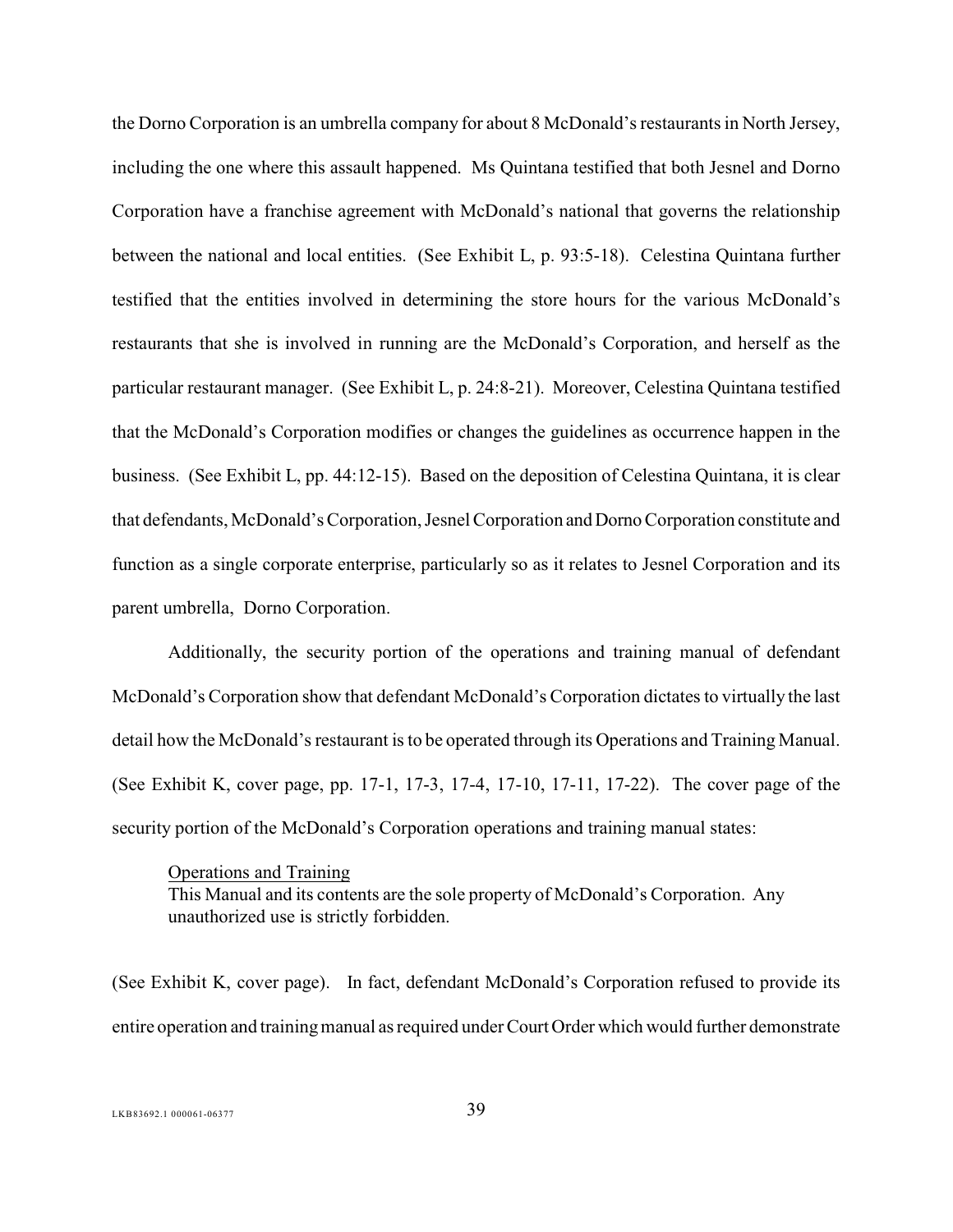the Dorno Corporation is an umbrella company for about 8 McDonald'srestaurantsin North Jersey, including the one where this assault happened. Ms Quintana testified that both Jesnel and Dorno Corporation have a franchise agreement with McDonald's national that governs the relationship between the national and local entities. (See Exhibit L, p. 93:5-18). Celestina Quintana further testified that the entities involved in determining the store hours for the various McDonald's restaurants that she is involved in running are the McDonald's Corporation, and herself as the particular restaurant manager. (See Exhibit L, p. 24:8-21). Moreover, Celestina Quintana testified that the McDonald's Corporation modifies or changes the guidelines as occurrence happen in the business. (See Exhibit L, pp. 44:12-15). Based on the deposition of Celestina Quintana, it is clear that defendants, McDonald's Corporation, Jesnel Corporation and Dorno Corporation constitute and function as a single corporate enterprise, particularly so as it relates to Jesnel Corporation and its parent umbrella, Dorno Corporation.

Additionally, the security portion of the operations and training manual of defendant McDonald's Corporation show that defendant McDonald's Corporation dictates to virtually the last detail how the McDonald's restaurant is to be operated through its Operations and Training Manual. (See Exhibit K, cover page, pp. 17-1, 17-3, 17-4, 17-10, 17-11, 17-22). The cover page of the security portion of the McDonald's Corporation operations and training manual states:

Operations and Training This Manual and its contents are the sole property of McDonald's Corporation. Any unauthorized use is strictly forbidden.

(See Exhibit K, cover page). In fact, defendant McDonald's Corporation refused to provide its entire operation and training manual as required under Court Order which would further demonstrate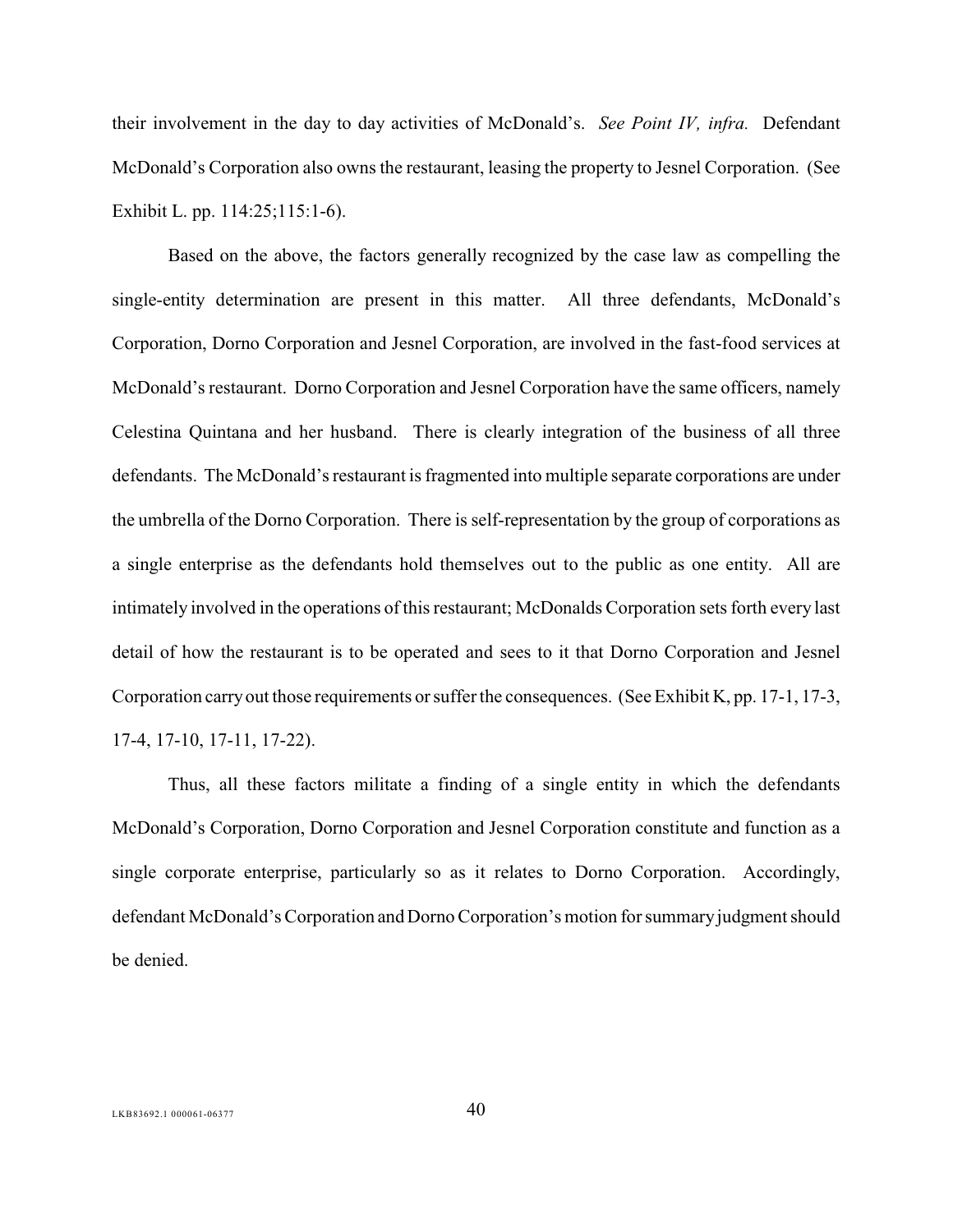their involvement in the day to day activities of McDonald's. *See Point IV, infra.* Defendant McDonald's Corporation also owns the restaurant, leasing the property to Jesnel Corporation. (See Exhibit L. pp. 114:25;115:1-6).

Based on the above, the factors generally recognized by the case law as compelling the single-entity determination are present in this matter. All three defendants, McDonald's Corporation, Dorno Corporation and Jesnel Corporation, are involved in the fast-food services at McDonald's restaurant. Dorno Corporation and Jesnel Corporation have the same officers, namely Celestina Quintana and her husband. There is clearly integration of the business of all three defendants. The McDonald's restaurant is fragmented into multiple separate corporations are under the umbrella of the Dorno Corporation. There is self-representation by the group of corporations as a single enterprise as the defendants hold themselves out to the public as one entity. All are intimately involved in the operations of this restaurant; McDonalds Corporation sets forth every last detail of how the restaurant is to be operated and sees to it that Dorno Corporation and Jesnel Corporation carry out those requirements or suffer the consequences. (See Exhibit K, pp. 17-1, 17-3, 17-4, 17-10, 17-11, 17-22).

Thus, all these factors militate a finding of a single entity in which the defendants McDonald's Corporation, Dorno Corporation and Jesnel Corporation constitute and function as a single corporate enterprise, particularly so as it relates to Dorno Corporation. Accordingly, defendant McDonald's Corporation and Dorno Corporation's motion for summary judgment should be denied.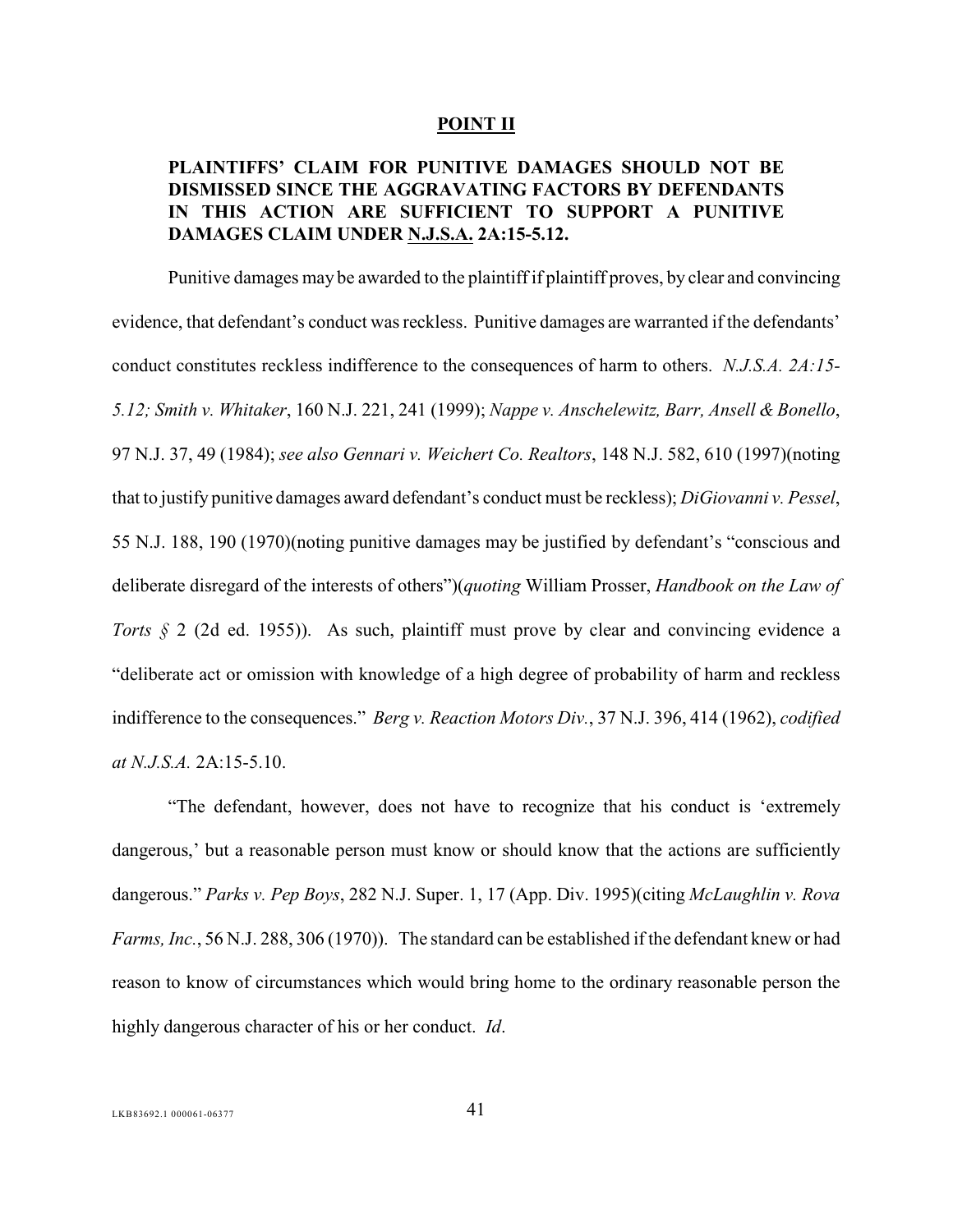#### <span id="page-45-8"></span><span id="page-45-5"></span><span id="page-45-2"></span><span id="page-45-0"></span>**POINT II**

## **PLAINTIFFS' CLAIM FOR PUNITIVE DAMAGES SHOULD NOT BE DISMISSED SINCE THE AGGRAVATING FACTORS BY DEFENDANTS IN THIS ACTION ARE SUFFICIENT TO SUPPORT A PUNITIVE DAMAGES CLAIM UNDER N.J.S.A. 2A:15-5.12.**

<span id="page-45-7"></span><span id="page-45-3"></span>Punitive damages may be awarded to the plaintiff if plaintiff proves, by clear and convincing evidence, that defendant's conduct was reckless. Punitive damages are warranted if the defendants' conduct constitutes reckless indifference to the consequences of harm to others. *N.J.S.A. 2A:15- 5.12; Smith v. Whitaker*, 160 N.J. 221, 241 (1999); *Nappe v. Anschelewitz, Barr, Ansell & Bonello*, 97 N.J. 37, 49 (1984); *see also Gennari v. Weichert Co. Realtors*, 148 N.J. 582, 610 (1997)(noting that to justify punitive damages award defendant's conduct must be reckless); *DiGiovanni v. Pessel*, 55 N.J. 188, 190 (1970)(noting punitive damages may be justified by defendant's "conscious and deliberate disregard of the interests of others")(*quoting* William Prosser, *Handbook on the Law of Torts §* 2 (2d ed. 1955)). As such, plaintiff must prove by clear and convincing evidence a "deliberate act or omission with knowledge of a high degree of probability of harm and reckless indifference to the consequences." *Berg v. Reaction Motors Div.*, 37 N.J. 396, 414 (1962), *codified at N.J.S.A.* 2A:15-5.10.

<span id="page-45-9"></span><span id="page-45-6"></span><span id="page-45-4"></span><span id="page-45-1"></span>"The defendant, however, does not have to recognize that his conduct is 'extremely dangerous,' but a reasonable person must know or should know that the actions are sufficiently dangerous." *Parks v. Pep Boys*, 282 N.J. Super. 1, 17 (App. Div. 1995)(citing *McLaughlin v. Rova Farms, Inc.*, 56 N.J. 288, 306 (1970)). The standard can be established if the defendant knew or had reason to know of circumstances which would bring home to the ordinary reasonable person the highly dangerous character of his or her conduct. *Id*.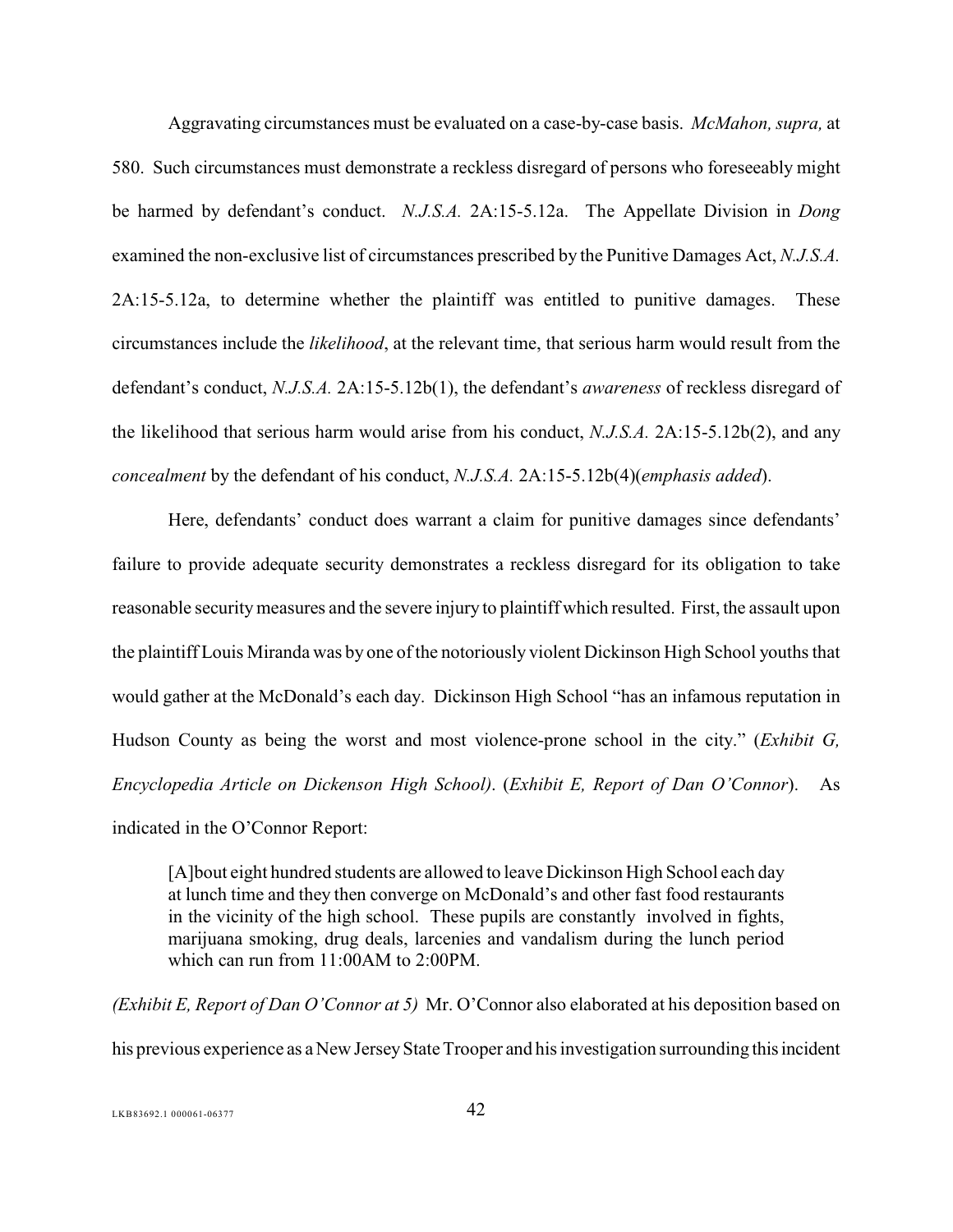<span id="page-46-0"></span>Aggravating circumstances must be evaluated on a case-by-case basis. *McMahon, supra,* at 580. Such circumstances must demonstrate a reckless disregard of persons who foreseeably might be harmed by defendant's conduct. *N.J.S.A.* 2A:15-5.12a. The Appellate Division in *Dong* examined the non-exclusive list of circumstances prescribed by the Punitive Damages Act, *N.J.S.A.* 2A:15-5.12a, to determine whether the plaintiff was entitled to punitive damages. These circumstances include the *likelihood*, at the relevant time, that serious harm would result from the defendant's conduct, *N.J.S.A.* 2A:15-5.12b(1), the defendant's *awareness* of reckless disregard of the likelihood that serious harm would arise from his conduct, *N.J.S.A.* 2A:15-5.12b(2), and any *concealment* by the defendant of his conduct, *N.J.S.A.* 2A:15-5.12b(4)(*emphasis added*).

Here, defendants' conduct does warrant a claim for punitive damages since defendants' failure to provide adequate security demonstrates a reckless disregard for its obligation to take reasonable security measures and the severe injury to plaintiff which resulted. First, the assault upon the plaintiff Louis Miranda was by one of the notoriously violent Dickinson High School youths that would gather at the McDonald's each day. Dickinson High School "has an infamous reputation in Hudson County as being the worst and most violence-prone school in the city." (*Exhibit G, Encyclopedia Article on Dickenson High School)*. (*Exhibit E, Report of Dan O'Connor*). As indicated in the O'Connor Report:

[A]bout eight hundred students are allowed to leave Dickinson High School each day at lunch time and they then converge on McDonald's and other fast food restaurants in the vicinity of the high school. These pupils are constantly involved in fights, marijuana smoking, drug deals, larcenies and vandalism during the lunch period which can run from 11:00AM to 2:00PM.

*(Exhibit E, Report of Dan O'Connor at 5)* Mr. O'Connor also elaborated at his deposition based on his previous experience as a New Jersey State Trooper and his investigation surrounding this incident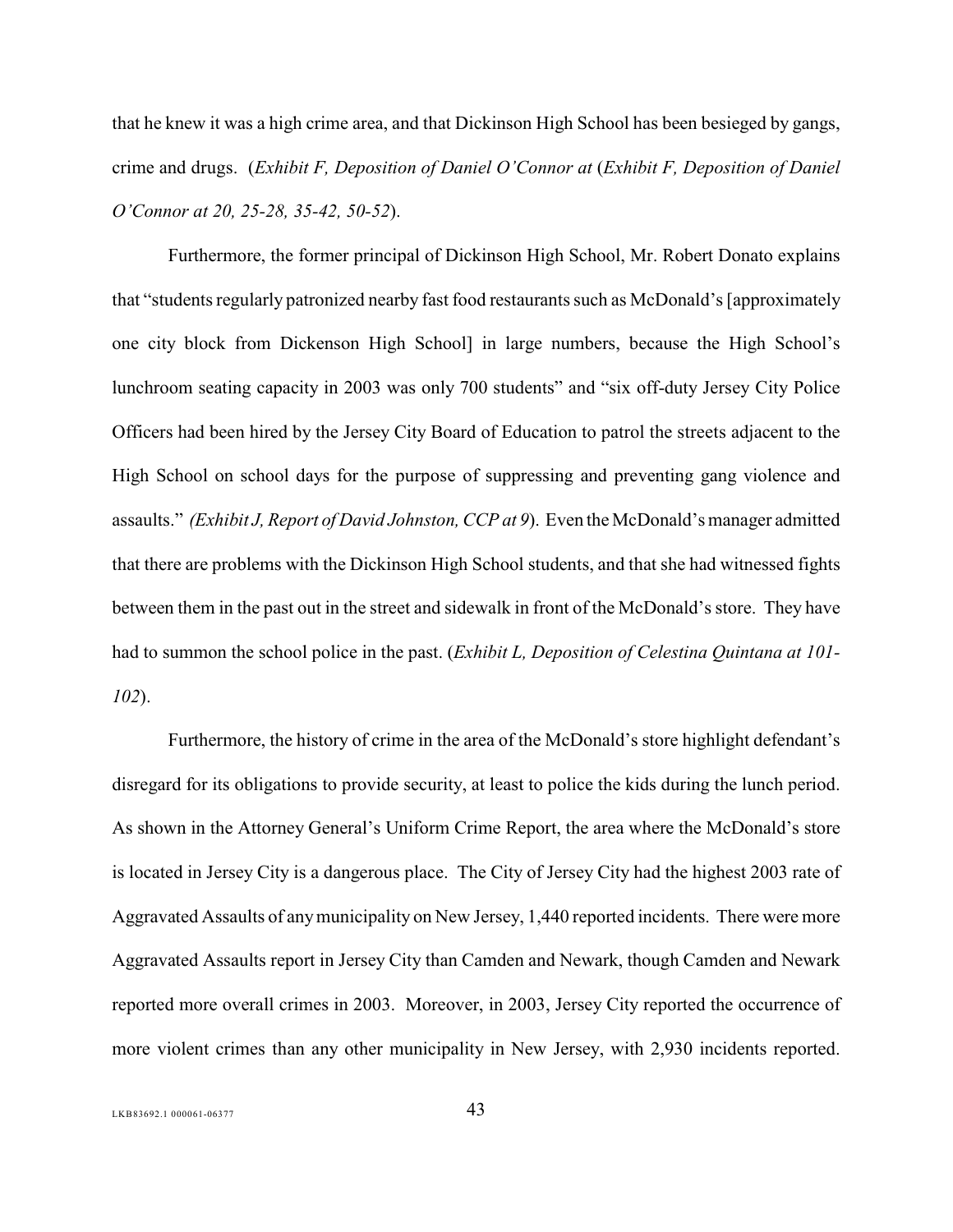that he knew it was a high crime area, and that Dickinson High School has been besieged by gangs, crime and drugs. (*Exhibit F, Deposition of Daniel O'Connor at* (*Exhibit F, Deposition of Daniel O'Connor at 20, 25-28, 35-42, 50-52*).

Furthermore, the former principal of Dickinson High School, Mr. Robert Donato explains that "students regularly patronized nearby fast food restaurants such as McDonald's [approximately one city block from Dickenson High School] in large numbers, because the High School's lunchroom seating capacity in 2003 was only 700 students" and "six off-duty Jersey City Police Officers had been hired by the Jersey City Board of Education to patrol the streets adjacent to the High School on school days for the purpose of suppressing and preventing gang violence and assaults." *(Exhibit J, Report of David Johnston, CCP at 9*). Even the McDonald's manager admitted that there are problems with the Dickinson High School students, and that she had witnessed fights between them in the past out in the street and sidewalk in front of the McDonald's store. They have had to summon the school police in the past. (*Exhibit L, Deposition of Celestina Quintana at 101- 102*).

Furthermore, the history of crime in the area of the McDonald's store highlight defendant's disregard for its obligations to provide security, at least to police the kids during the lunch period. As shown in the Attorney General's Uniform Crime Report, the area where the McDonald's store is located in Jersey City is a dangerous place. The City of Jersey City had the highest 2003 rate of Aggravated Assaults of any municipality on New Jersey, 1,440 reported incidents. There were more Aggravated Assaults report in Jersey City than Camden and Newark, though Camden and Newark reported more overall crimes in 2003. Moreover, in 2003, Jersey City reported the occurrence of more violent crimes than any other municipality in New Jersey, with 2,930 incidents reported.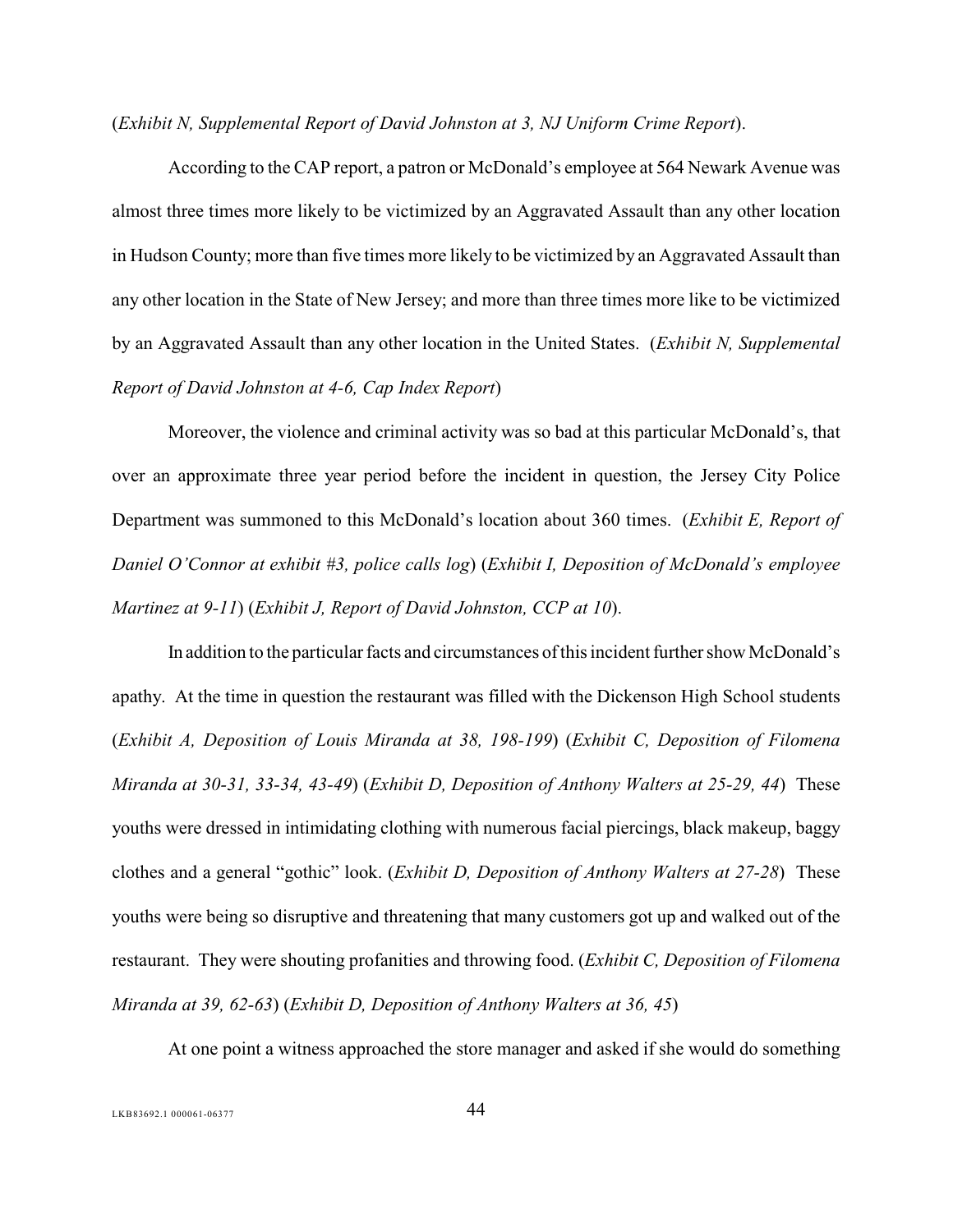(*Exhibit N, Supplemental Report of David Johnston at 3, NJ Uniform Crime Report*).

According to the CAP report, a patron or McDonald's employee at 564 Newark Avenue was almost three times more likely to be victimized by an Aggravated Assault than any other location in Hudson County; more than five times more likely to be victimized by an Aggravated Assault than any other location in the State of New Jersey; and more than three times more like to be victimized by an Aggravated Assault than any other location in the United States. (*Exhibit N, Supplemental Report of David Johnston at 4-6, Cap Index Report*)

Moreover, the violence and criminal activity was so bad at this particular McDonald's, that over an approximate three year period before the incident in question, the Jersey City Police Department was summoned to this McDonald's location about 360 times. (*Exhibit E, Report of Daniel O'Connor at exhibit #3, police calls log*) (*Exhibit I, Deposition of McDonald's employee Martinez at 9-11*) (*Exhibit J, Report of David Johnston, CCP at 10*).

In addition to the particular facts and circumstances of this incident further show McDonald's apathy. At the time in question the restaurant was filled with the Dickenson High School students (*Exhibit A, Deposition of Louis Miranda at 38, 198-199*) (*Exhibit C, Deposition of Filomena Miranda at 30-31, 33-34, 43-49*) (*Exhibit D, Deposition of Anthony Walters at 25-29, 44*) These youths were dressed in intimidating clothing with numerous facial piercings, black makeup, baggy clothes and a general "gothic" look. (*Exhibit D, Deposition of Anthony Walters at 27-28*) These youths were being so disruptive and threatening that many customers got up and walked out of the restaurant. They were shouting profanities and throwing food. (*Exhibit C, Deposition of Filomena Miranda at 39, 62-63*) (*Exhibit D, Deposition of Anthony Walters at 36, 45*)

At one point a witness approached the store manager and asked if she would do something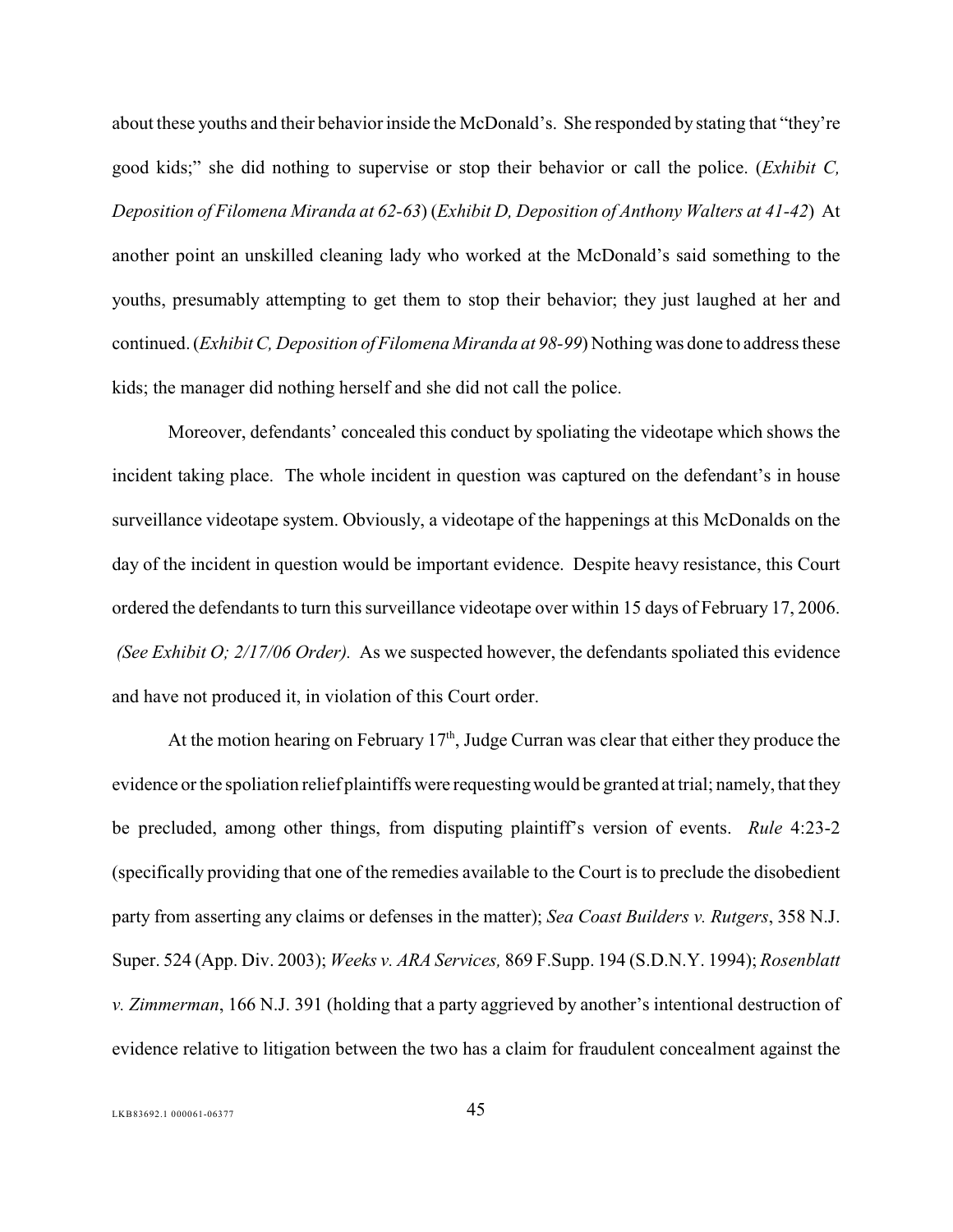about these youths and their behavior inside the McDonald's. She responded by stating that "they're" good kids;" she did nothing to supervise or stop their behavior or call the police. (*Exhibit C, Deposition of Filomena Miranda at 62-63*) (*Exhibit D, Deposition of Anthony Walters at 41-42*) At another point an unskilled cleaning lady who worked at the McDonald's said something to the youths, presumably attempting to get them to stop their behavior; they just laughed at her and continued. (*Exhibit C, Deposition of Filomena Miranda at 98-99*) Nothing was done to address these kids; the manager did nothing herself and she did not call the police.

Moreover, defendants' concealed this conduct by spoliating the videotape which shows the incident taking place. The whole incident in question was captured on the defendant's in house surveillance videotape system. Obviously, a videotape of the happenings at this McDonalds on the day of the incident in question would be important evidence. Despite heavy resistance, this Court ordered the defendants to turn this surveillance videotape over within 15 days of February 17, 2006. *(See Exhibit O; 2/17/06 Order).* As we suspected however, the defendants spoliated this evidence and have not produced it, in violation of this Court order.

<span id="page-49-3"></span><span id="page-49-2"></span><span id="page-49-1"></span><span id="page-49-0"></span>At the motion hearing on February  $17<sup>th</sup>$ , Judge Curran was clear that either they produce the evidence or the spoliation relief plaintiffs were requesting would be granted at trial; namely, that they be precluded, among other things, from disputing plaintiff's version of events. *Rule* 4:23-2 (specifically providing that one of the remedies available to the Court is to preclude the disobedient party from asserting any claims or defenses in the matter); *Sea Coast Builders v. Rutgers*, 358 N.J. Super. 524 (App. Div. 2003); *Weeks v. ARA Services,* 869 F.Supp. 194 (S.D.N.Y. 1994); *Rosenblatt v. Zimmerman*, 166 N.J. 391 (holding that a party aggrieved by another's intentional destruction of evidence relative to litigation between the two has a claim for fraudulent concealment against the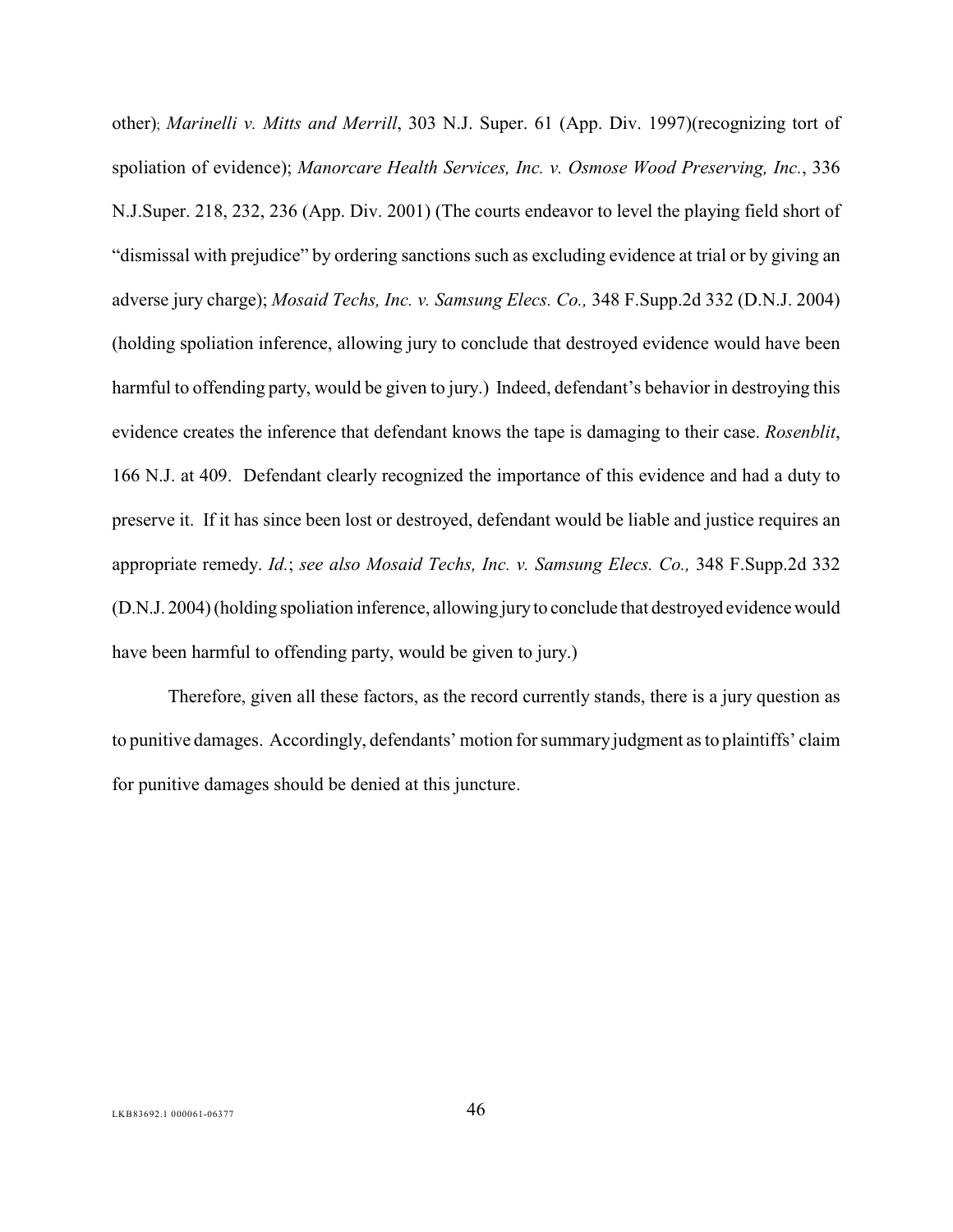<span id="page-50-2"></span><span id="page-50-1"></span><span id="page-50-0"></span>other); *Marinelli v. Mitts and Merrill*, 303 N.J. Super. 61 (App. Div. 1997)(recognizing tort of spoliation of evidence); *Manorcare Health Services, Inc. v. Osmose Wood Preserving, Inc.*, 336 N.J.Super. 218, 232, 236 (App. Div. 2001) (The courts endeavor to level the playing field short of "dismissal with prejudice" by ordering sanctions such as excluding evidence at trial or by giving an adverse jury charge); *Mosaid Techs, Inc. v. Samsung Elecs. Co.,* 348 F.Supp.2d 332 (D.N.J. 2004) (holding spoliation inference, allowing jury to conclude that destroyed evidence would have been harmful to offending party, would be given to jury.) Indeed, defendant's behavior in destroying this evidence creates the inference that defendant knows the tape is damaging to their case. *Rosenblit*, 166 N.J. at 409. Defendant clearly recognized the importance of this evidence and had a duty to preserve it. If it has since been lost or destroyed, defendant would be liable and justice requires an appropriate remedy. *Id.*; *see also Mosaid Techs, Inc. v. Samsung Elecs. Co.,* 348 F.Supp.2d 332 (D.N.J. 2004) (holding spoliation inference, allowing jury to conclude that destroyed evidence would have been harmful to offending party, would be given to jury.)

<span id="page-50-3"></span>Therefore, given all these factors, as the record currently stands, there is a jury question as to punitive damages. Accordingly, defendants' motion for summary judgment as to plaintiffs' claim for punitive damages should be denied at this juncture.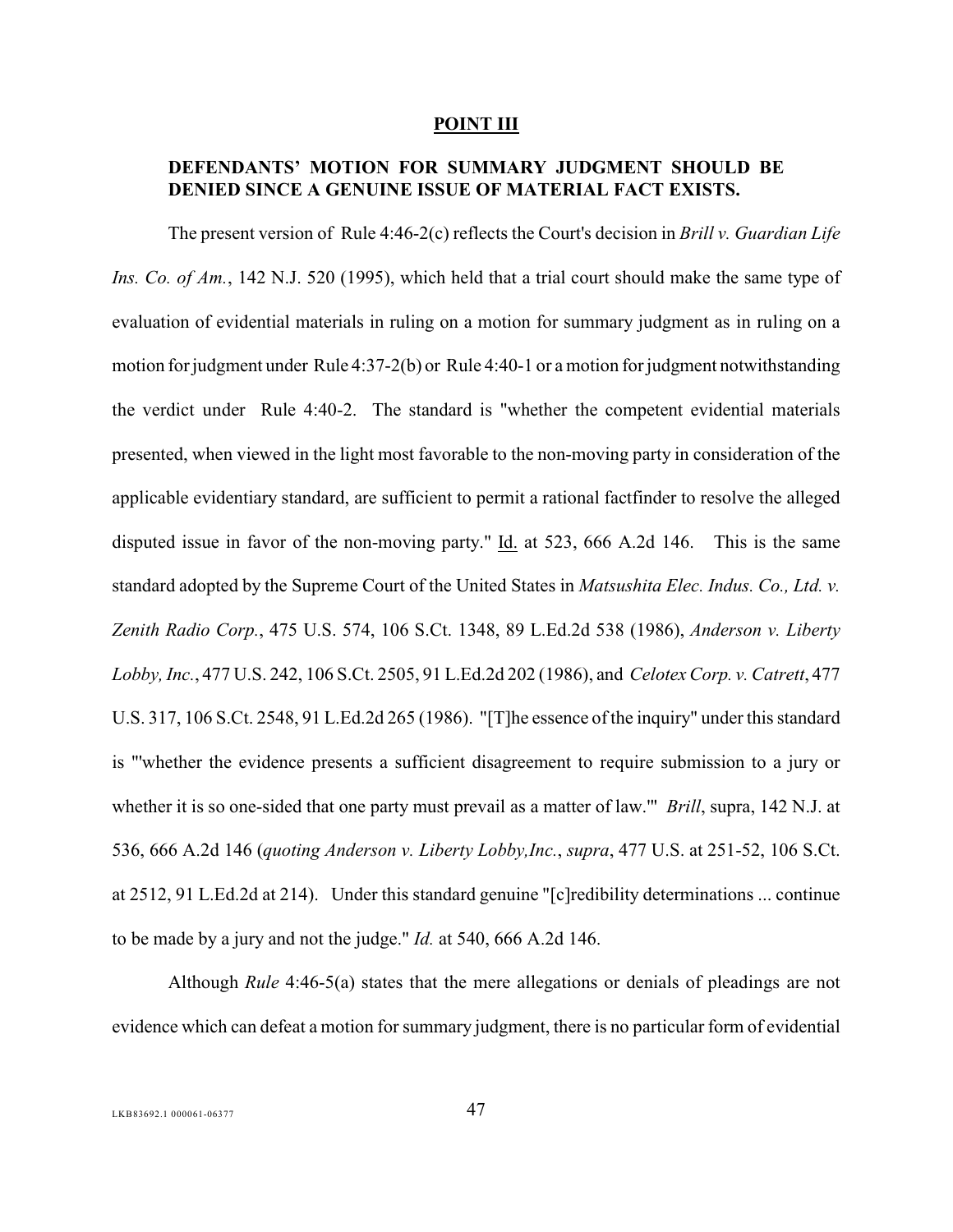#### <span id="page-51-8"></span><span id="page-51-6"></span><span id="page-51-4"></span><span id="page-51-3"></span><span id="page-51-2"></span><span id="page-51-1"></span><span id="page-51-0"></span>**POINT III**

### **DEFENDANTS' MOTION FOR SUMMARY JUDGMENT SHOULD BE DENIED SINCE A GENUINE ISSUE OF MATERIAL FACT EXISTS.**

<span id="page-51-7"></span><span id="page-51-5"></span>The present version of Rule 4:46-2(c) reflects the Court's decision in *Brill v. Guardian Life Ins. Co. of Am.*, 142 N.J. 520 (1995), which held that a trial court should make the same type of evaluation of evidential materials in ruling on a motion for summary judgment as in ruling on a motion forjudgment under Rule 4:37-2(b) or Rule 4:40-1 or a motion for judgment notwithstanding the verdict under Rule 4:40-2. The standard is "whether the competent evidential materials presented, when viewed in the light most favorable to the non-moving party in consideration of the applicable evidentiary standard, are sufficient to permit a rational factfinder to resolve the alleged disputed issue in favor of the non-moving party."  $\underline{Id}$  at 523, 666 A.2d 146. This is the same standard adopted by the Supreme Court of the United States in *Matsushita Elec. Indus. Co., Ltd. v. Zenith Radio Corp.*, 475 U.S. 574, 106 S.Ct. 1348, 89 L.Ed.2d 538 (1986), *Anderson v. Liberty Lobby, Inc.*, 477 U.S. 242, 106 S.Ct. 2505, 91 L.Ed.2d 202 (1986), and *Celotex Corp. v. Catrett*, 477 U.S. 317, 106 S.Ct. 2548, 91 L.Ed.2d 265 (1986). "[T]he essence of the inquiry" under this standard is "'whether the evidence presents a sufficient disagreement to require submission to a jury or whether it is so one-sided that one party must prevail as a matter of law.'" *Brill*, supra, 142 N.J. at 536, 666 A.2d 146 (*quoting Anderson v. Liberty Lobby,Inc.*, *supra*, 477 U.S. at 251-52, 106 S.Ct. at 2512, 91 L.Ed.2d at 214). Under this standard genuine "[c]redibility determinations ... continue to be made by a jury and not the judge." *Id.* at 540, 666 A.2d 146.

<span id="page-51-9"></span>Although *Rule* 4:46-5(a) states that the mere allegations or denials of pleadings are not evidence which can defeat a motion for summary judgment, there is no particular form of evidential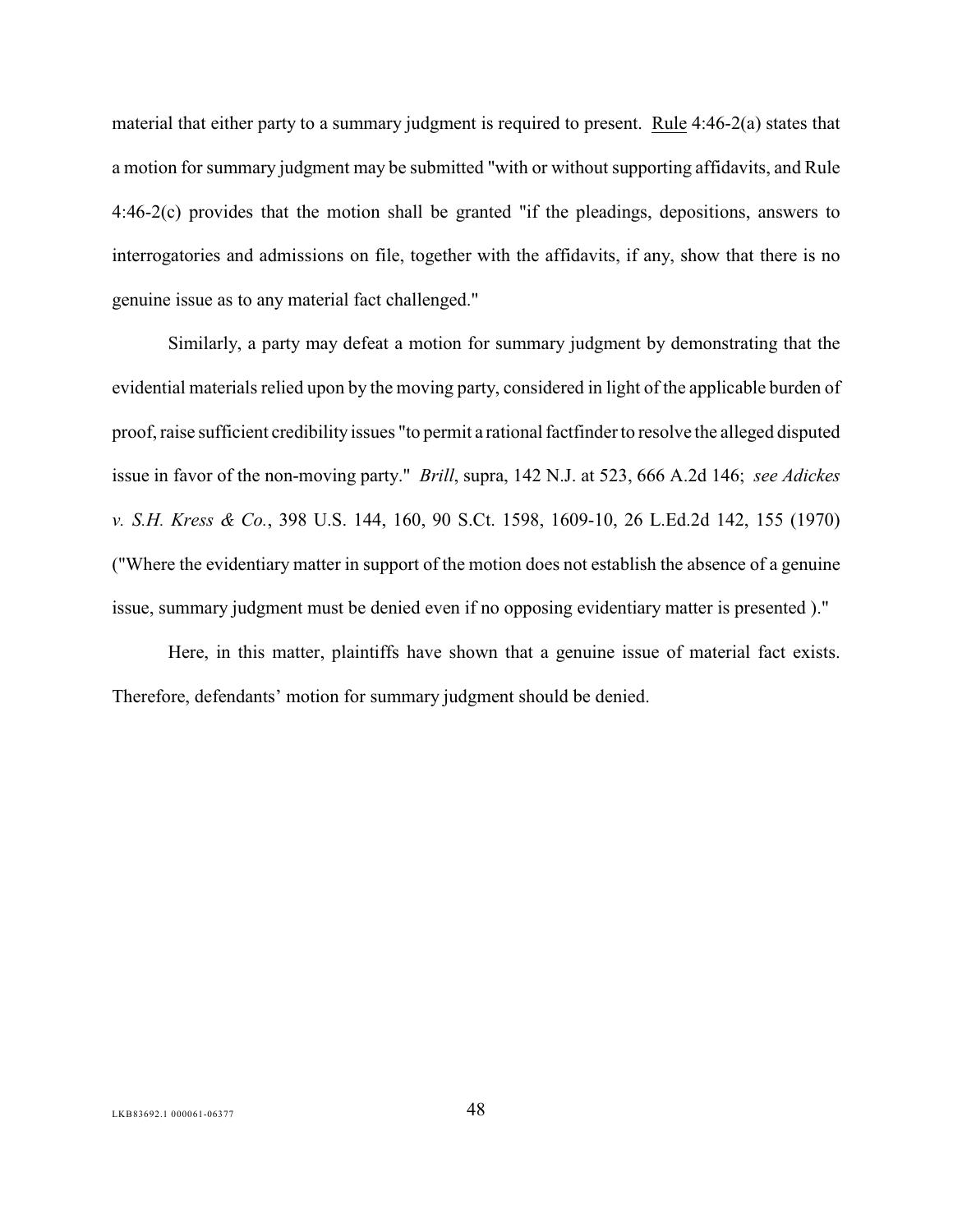<span id="page-52-2"></span>material that either party to a summary judgment is required to present. Rule 4:46-2(a) states that a motion for summary judgment may be submitted "with or without supporting affidavits, and Rule 4:46-2(c) provides that the motion shall be granted "if the pleadings, depositions, answers to interrogatories and admissions on file, together with the affidavits, if any, show that there is no genuine issue as to any material fact challenged."

<span id="page-52-1"></span><span id="page-52-0"></span>Similarly, a party may defeat a motion for summary judgment by demonstrating that the evidential materials relied upon by the moving party, considered in light of the applicable burden of proof, raise sufficient credibility issues "to permit a rational factfinder to resolve the alleged disputed issue in favor of the non-moving party." *Brill*, supra, 142 N.J. at 523, 666 A.2d 146; *see Adickes v. S.H. Kress & Co.*, 398 U.S. 144, 160, 90 S.Ct. 1598, 1609-10, 26 L.Ed.2d 142, 155 (1970) ("Where the evidentiary matter in support of the motion does not establish the absence of a genuine issue, summary judgment must be denied even if no opposing evidentiary matter is presented )."

Here, in this matter, plaintiffs have shown that a genuine issue of material fact exists. Therefore, defendants' motion for summary judgment should be denied.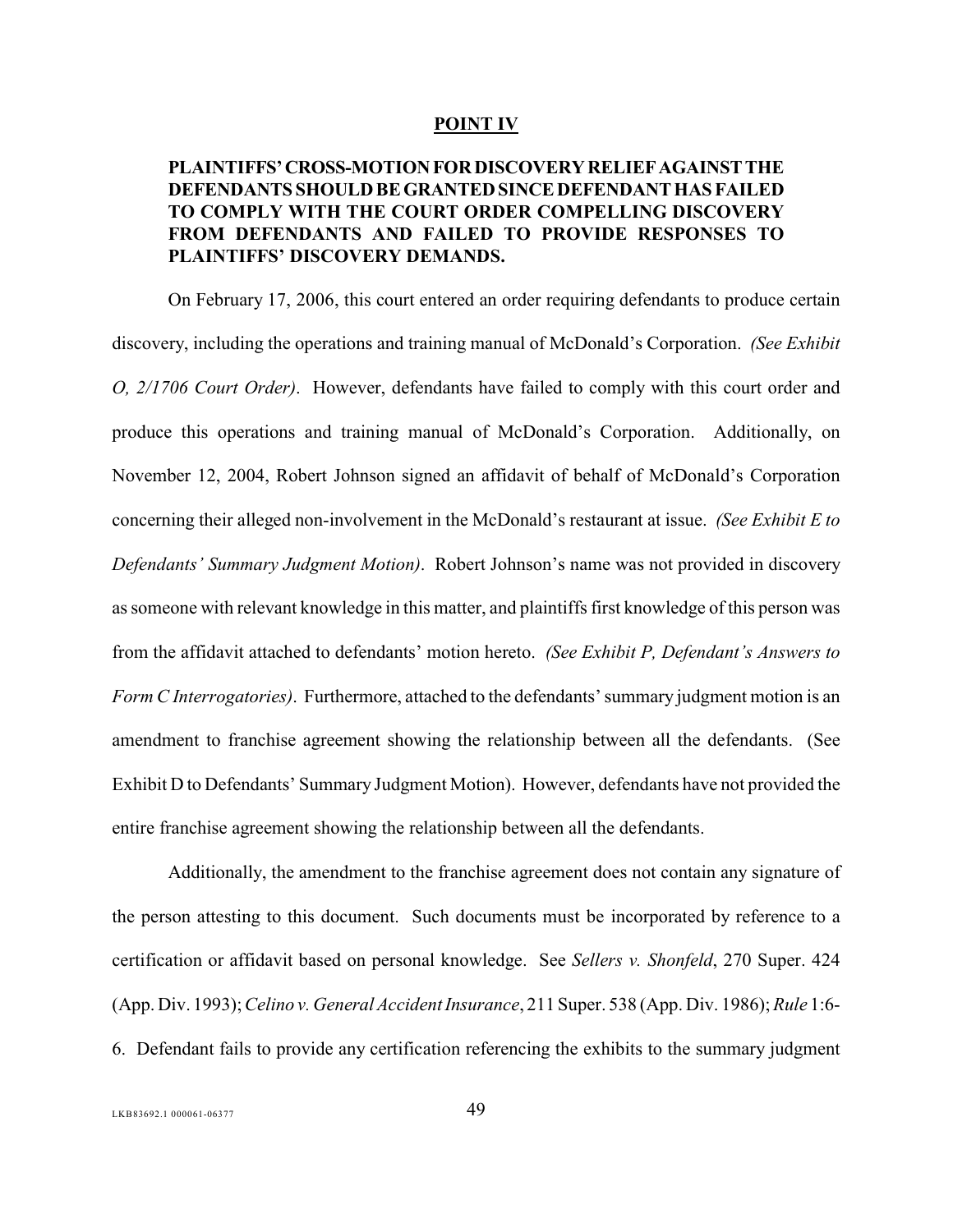#### <span id="page-53-0"></span>**POINT IV**

### **PLAINTIFFS' CROSS-MOTION FOR DISCOVERY RELIEF AGAINST THE DEFENDANTS SHOULD BE GRANTED SINCE DEFENDANT HAS FAILED TO COMPLY WITH THE COURT ORDER COMPELLING DISCOVERY FROM DEFENDANTS AND FAILED TO PROVIDE RESPONSES TO PLAINTIFFS' DISCOVERY DEMANDS.**

On February 17, 2006, this court entered an order requiring defendants to produce certain discovery, including the operations and training manual of McDonald's Corporation. *(See Exhibit O, 2/1706 Court Order).* However, defendants have failed to comply with this court order and produce this operations and training manual of McDonald's Corporation. Additionally, on November 12, 2004, Robert Johnson signed an affidavit of behalf of McDonald's Corporation concerning their alleged non-involvement in the McDonald's restaurant at issue. *(See Exhibit E to Defendants' Summary Judgment Motion)*. Robert Johnson's name was not provided in discovery as someone with relevant knowledge in this matter, and plaintiffs first knowledge of this person was from the affidavit attached to defendants' motion hereto. *(See Exhibit P, Defendant's Answers to Form C Interrogatories)*. Furthermore, attached to the defendants' summary judgment motion is an amendment to franchise agreement showing the relationship between all the defendants. (See Exhibit D to Defendants' Summary Judgment Motion). However, defendants have not provided the entire franchise agreement showing the relationship between all the defendants.

<span id="page-53-3"></span><span id="page-53-2"></span><span id="page-53-1"></span>Additionally, the amendment to the franchise agreement does not contain any signature of the person attesting to this document. Such documents must be incorporated by reference to a certification or affidavit based on personal knowledge. See *Sellers v. Shonfeld*, 270 Super. 424 (App. Div. 1993);*Celino v. General Accident Insurance*, 211 Super. 538 (App. Div. 1986); *Rule* 1:6- 6. Defendant fails to provide any certification referencing the exhibits to the summary judgment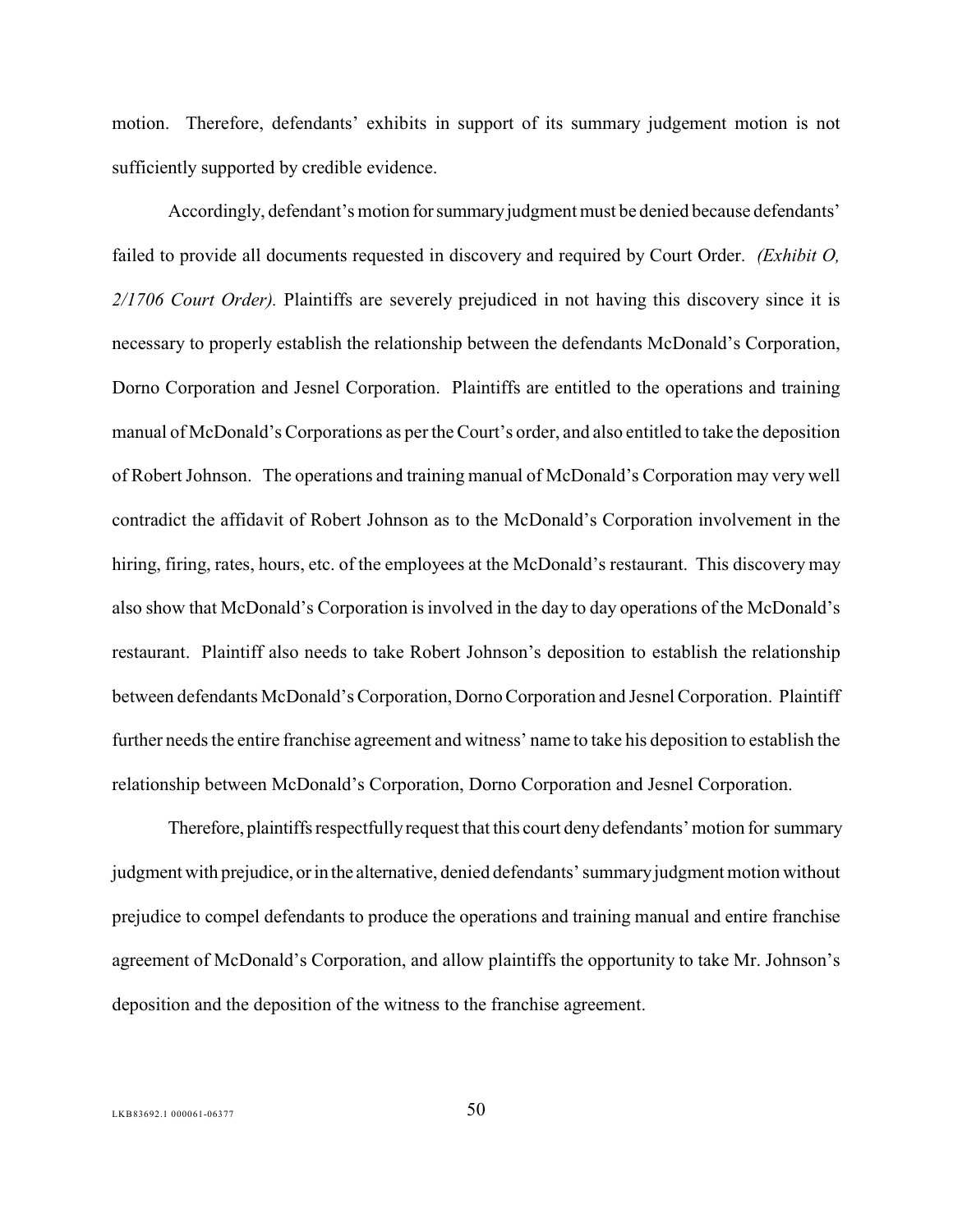motion. Therefore, defendants' exhibits in support of its summary judgement motion is not sufficiently supported by credible evidence.

Accordingly, defendant's motion for summary judgment must be denied because defendants' failed to provide all documents requested in discovery and required by Court Order. *(Exhibit O, 2/1706 Court Order).* Plaintiffs are severely prejudiced in not having this discovery since it is necessary to properly establish the relationship between the defendants McDonald's Corporation, Dorno Corporation and Jesnel Corporation. Plaintiffs are entitled to the operations and training manual of McDonald's Corporations as per the Court's order, and also entitled to take the deposition of Robert Johnson. The operations and training manual of McDonald's Corporation may very well contradict the affidavit of Robert Johnson as to the McDonald's Corporation involvement in the hiring, firing, rates, hours, etc. of the employees at the McDonald's restaurant. This discovery may also show that McDonald's Corporation is involved in the day to day operations of the McDonald's restaurant. Plaintiff also needs to take Robert Johnson's deposition to establish the relationship between defendants McDonald's Corporation, Dorno Corporation and Jesnel Corporation. Plaintiff further needs the entire franchise agreement and witness' name to take his deposition to establish the relationship between McDonald's Corporation, Dorno Corporation and Jesnel Corporation.

Therefore, plaintiffs respectfully request that this court deny defendants' motion for summary judgment with prejudice, or in the alternative, denied defendants' summary judgment motion without prejudice to compel defendants to produce the operations and training manual and entire franchise agreement of McDonald's Corporation, and allow plaintiffs the opportunity to take Mr. Johnson's deposition and the deposition of the witness to the franchise agreement.